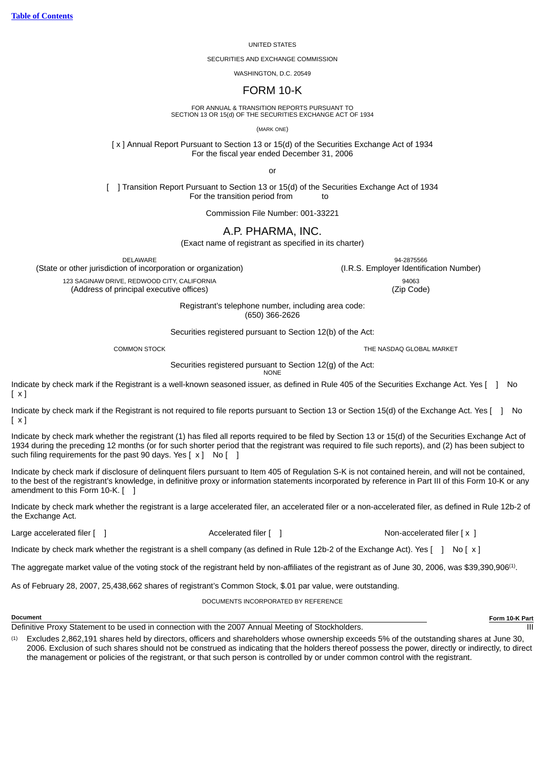#### UNITED STATES

SECURITIES AND EXCHANGE COMMISSION

WASHINGTON, D.C. 20549

# FORM 10-K

FOR ANNUAL & TRANSITION REPORTS PURSUANT TO SECTION 13 OR 15(d) OF THE SECURITIES EXCHANGE ACT OF 1934

(MARK ONE)

[ x ] Annual Report Pursuant to Section 13 or 15(d) of the Securities Exchange Act of 1934 For the fiscal year ended December 31, 2006

or

[ ] Transition Report Pursuant to Section 13 or 15(d) of the Securities Exchange Act of 1934 For the transition period from to

Commission File Number: 001-33221

A.P. PHARMA, INC.

(Exact name of registrant as specified in its charter)

DELAWARE 94-2875566

(State or other jurisdiction of incorporation or organization) (I.R.S. Employer Identification Number)

123 SAGINAW DRIVE, REDWOOD CITY, CALIFORNIA 94063

(Address of principal executive offices) (Zip Code)

Registrant's telephone number, including area code: (650) 366-2626

Securities registered pursuant to Section 12(b) of the Act:

COMMON STOCK THE NASDAQ GLOBAL MARKET

Securities registered pursuant to Section 12(g) of the Act:

**NONE** 

Indicate by check mark if the Registrant is a well-known seasoned issuer, as defined in Rule 405 of the Securities Exchange Act. Yes [ ] No [ x ]

Indicate by check mark if the Registrant is not required to file reports pursuant to Section 13 or Section 15(d) of the Exchange Act. Yes [ ] No  $\lceil x \rceil$ 

Indicate by check mark whether the registrant (1) has filed all reports required to be filed by Section 13 or 15(d) of the Securities Exchange Act of 1934 during the preceding 12 months (or for such shorter period that the registrant was required to file such reports), and (2) has been subject to such filing requirements for the past 90 days. Yes  $[x]$  No  $[ ]$ 

Indicate by check mark if disclosure of delinquent filers pursuant to Item 405 of Regulation S-K is not contained herein, and will not be contained, to the best of the registrant's knowledge, in definitive proxy or information statements incorporated by reference in Part III of this Form 10-K or any amendment to this Form 10-K. [ ]

Indicate by check mark whether the registrant is a large accelerated filer, an accelerated filer or a non-accelerated filer, as defined in Rule 12b-2 of the Exchange Act.

Large accelerated filer [ ] Accelerated filer [ ] Non-accelerated filer [ x ]

Indicate by check mark whether the registrant is a shell company (as defined in Rule 12b-2 of the Exchange Act). Yes  $\begin{bmatrix} 1 & No & b \\ 1 & No & b \end{bmatrix}$ 

The aggregate market value of the voting stock of the registrant held by non-affiliates of the registrant as of June 30, 2006, was \$39,390,906<sup>(1)</sup>.

As of February 28, 2007, 25,438,662 shares of registrant's Common Stock, \$.01 par value, were outstanding.

DOCUMENTS INCORPORATED BY REFERENCE

## **Document Form 10-K Part**

Definitive Proxy Statement to be used in connection with the 2007 Annual Meeting of Stockholders.

(1) Excludes 2,862,191 shares held by directors, officers and shareholders whose ownership exceeds 5% of the outstanding shares at June 30, 2006. Exclusion of such shares should not be construed as indicating that the holders thereof possess the power, directly or indirectly, to direct the management or policies of the registrant, or that such person is controlled by or under common control with the registrant.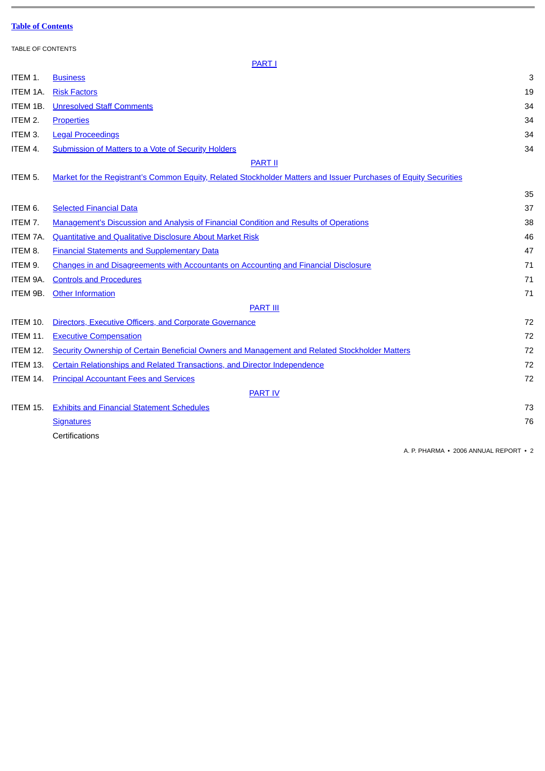<span id="page-1-0"></span>TABLE OF CONTENTS

|                 | <b>PART I</b>                                                                                                    |    |
|-----------------|------------------------------------------------------------------------------------------------------------------|----|
| ITEM 1.         | <b>Business</b>                                                                                                  | 3  |
| ITEM 1A.        | <b>Risk Factors</b>                                                                                              | 19 |
| ITEM 1B.        | <b>Unresolved Staff Comments</b>                                                                                 | 34 |
| ITEM 2.         | <b>Properties</b>                                                                                                | 34 |
| ITEM 3.         | <b>Legal Proceedings</b>                                                                                         | 34 |
| ITEM 4.         | <b>Submission of Matters to a Vote of Security Holders</b>                                                       | 34 |
|                 | <b>PART II</b>                                                                                                   |    |
| ITEM 5.         | Market for the Registrant's Common Equity, Related Stockholder Matters and Issuer Purchases of Equity Securities |    |
|                 |                                                                                                                  | 35 |
| ITEM 6.         | <b>Selected Financial Data</b>                                                                                   | 37 |
| ITEM 7.         | <b>Management's Discussion and Analysis of Financial Condition and Results of Operations</b>                     | 38 |
| ITEM 7A.        | <b>Quantitative and Qualitative Disclosure About Market Risk</b>                                                 | 46 |
| ITEM 8.         | <b>Financial Statements and Supplementary Data</b>                                                               | 47 |
| ITEM 9.         | Changes in and Disagreements with Accountants on Accounting and Financial Disclosure                             | 71 |
| ITEM 9A.        | <b>Controls and Procedures</b>                                                                                   | 71 |
| ITEM 9B.        | <b>Other Information</b>                                                                                         | 71 |
|                 | <b>PART III</b>                                                                                                  |    |
| ITEM 10.        | Directors, Executive Officers, and Corporate Governance                                                          | 72 |
| <b>ITEM 11.</b> | <b>Executive Compensation</b>                                                                                    | 72 |
| <b>ITEM 12.</b> | Security Ownership of Certain Beneficial Owners and Management and Related Stockholder Matters                   | 72 |
| ITEM 13.        | Certain Relationships and Related Transactions, and Director Independence                                        | 72 |
| ITEM 14.        | <b>Principal Accountant Fees and Services</b>                                                                    | 72 |
|                 | <b>PART IV</b>                                                                                                   |    |
| <b>ITEM 15.</b> | <b>Exhibits and Financial Statement Schedules</b>                                                                | 73 |
|                 | <b>Signatures</b>                                                                                                | 76 |
|                 | Certifications                                                                                                   |    |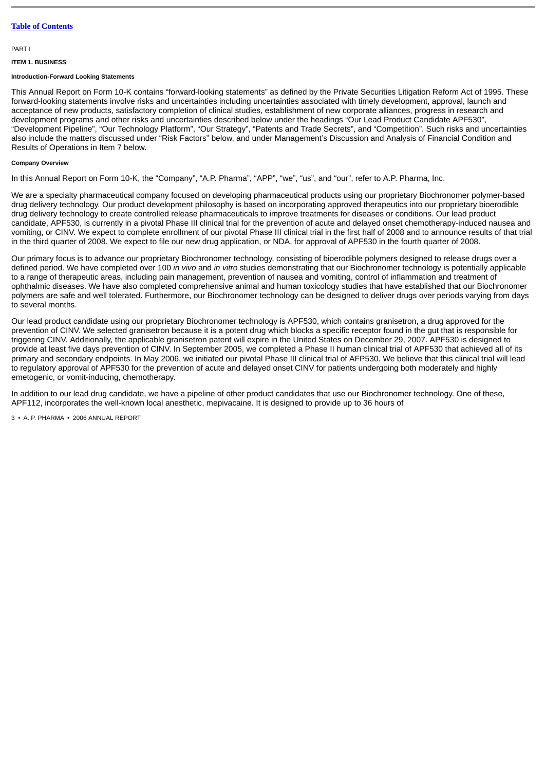#### <span id="page-2-0"></span>PART I

## <span id="page-2-1"></span>**ITEM 1. BUSINESS**

#### **Introduction-Forward Looking Statements**

This Annual Report on Form 10-K contains "forward-looking statements" as defined by the Private Securities Litigation Reform Act of 1995. These forward-looking statements involve risks and uncertainties including uncertainties associated with timely development, approval, launch and acceptance of new products, satisfactory completion of clinical studies, establishment of new corporate alliances, progress in research and development programs and other risks and uncertainties described below under the headings "Our Lead Product Candidate APF530", "Development Pipeline", "Our Technology Platform", "Our Strategy", "Patents and Trade Secrets", and "Competition". Such risks and uncertainties also include the matters discussed under "Risk Factors" below, and under Management's Discussion and Analysis of Financial Condition and Results of Operations in Item 7 below.

#### **Company Overview**

In this Annual Report on Form 10-K, the "Company", "A.P. Pharma", "APP", "we", "us", and "our", refer to A.P. Pharma, Inc.

We are a specialty pharmaceutical company focused on developing pharmaceutical products using our proprietary Biochronomer polymer-based drug delivery technology. Our product development philosophy is based on incorporating approved therapeutics into our proprietary bioerodible drug delivery technology to create controlled release pharmaceuticals to improve treatments for diseases or conditions. Our lead product candidate, APF530, is currently in a pivotal Phase III clinical trial for the prevention of acute and delayed onset chemotherapy-induced nausea and vomiting, or CINV. We expect to complete enrollment of our pivotal Phase III clinical trial in the first half of 2008 and to announce results of that trial in the third quarter of 2008. We expect to file our new drug application, or NDA, for approval of APF530 in the fourth quarter of 2008.

Our primary focus is to advance our proprietary Biochronomer technology, consisting of bioerodible polymers designed to release drugs over a defined period. We have completed over 100 *in vivo* and *in vitro* studies demonstrating that our Biochronomer technology is potentially applicable to a range of therapeutic areas, including pain management, prevention of nausea and vomiting, control of inflammation and treatment of ophthalmic diseases. We have also completed comprehensive animal and human toxicology studies that have established that our Biochronomer polymers are safe and well tolerated. Furthermore, our Biochronomer technology can be designed to deliver drugs over periods varying from days to several months.

Our lead product candidate using our proprietary Biochronomer technology is APF530, which contains granisetron, a drug approved for the prevention of CINV. We selected granisetron because it is a potent drug which blocks a specific receptor found in the gut that is responsible for triggering CINV. Additionally, the applicable granisetron patent will expire in the United States on December 29, 2007. APF530 is designed to provide at least five days prevention of CINV. In September 2005, we completed a Phase II human clinical trial of APF530 that achieved all of its primary and secondary endpoints. In May 2006, we initiated our pivotal Phase III clinical trial of AFP530. We believe that this clinical trial will lead to regulatory approval of APF530 for the prevention of acute and delayed onset CINV for patients undergoing both moderately and highly emetogenic, or vomit-inducing, chemotherapy.

In addition to our lead drug candidate, we have a pipeline of other product candidates that use our Biochronomer technology. One of these, APF112, incorporates the well-known local anesthetic, mepivacaine. It is designed to provide up to 36 hours of

```
3 • A. P. PHARMA • 2006 ANNUAL REPORT
```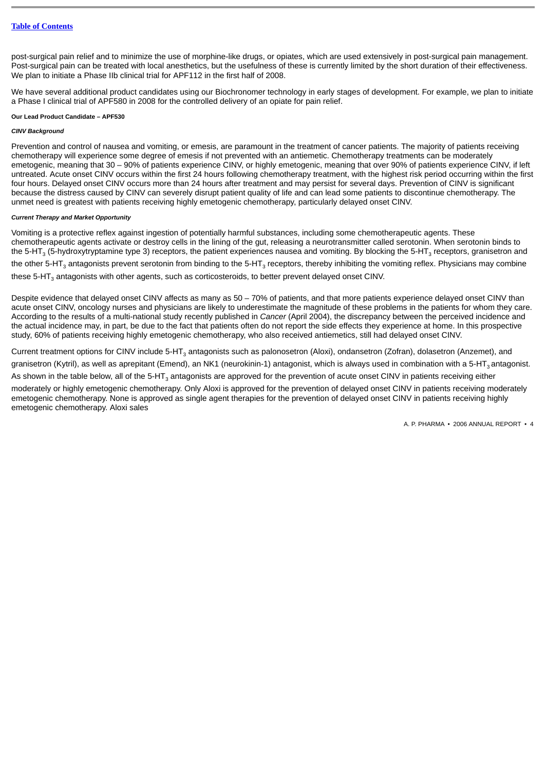post-surgical pain relief and to minimize the use of morphine-like drugs, or opiates, which are used extensively in post-surgical pain management. Post-surgical pain can be treated with local anesthetics, but the usefulness of these is currently limited by the short duration of their effectiveness. We plan to initiate a Phase IIb clinical trial for APF112 in the first half of 2008.

We have several additional product candidates using our Biochronomer technology in early stages of development. For example, we plan to initiate a Phase I clinical trial of APF580 in 2008 for the controlled delivery of an opiate for pain relief.

#### **Our Lead Product Candidate – APF530**

## *CINV Background*

Prevention and control of nausea and vomiting, or emesis, are paramount in the treatment of cancer patients. The majority of patients receiving chemotherapy will experience some degree of emesis if not prevented with an antiemetic. Chemotherapy treatments can be moderately emetogenic, meaning that 30 – 90% of patients experience CINV, or highly emetogenic, meaning that over 90% of patients experience CINV, if left untreated. Acute onset CINV occurs within the first 24 hours following chemotherapy treatment, with the highest risk period occurring within the first four hours. Delayed onset CINV occurs more than 24 hours after treatment and may persist for several days. Prevention of CINV is significant because the distress caused by CINV can severely disrupt patient quality of life and can lead some patients to discontinue chemotherapy. The unmet need is greatest with patients receiving highly emetogenic chemotherapy, particularly delayed onset CINV.

## *Current Therapy and Market Opportunity*

Vomiting is a protective reflex against ingestion of potentially harmful substances, including some chemotherapeutic agents. These chemotherapeutic agents activate or destroy cells in the lining of the gut, releasing a neurotransmitter called serotonin. When serotonin binds to the 5-HT $_{\rm 3}$  (5-hydroxytryptamine type 3) receptors, the patient experiences nausea and vomiting. By blocking the 5-HT $_{\rm 3}$  receptors, granisetron and the other 5-HT $_{\rm 3}$  antagonists prevent serotonin from binding to the 5-HT $_{\rm 3}$  receptors, thereby inhibiting the vomiting reflex. Physicians may combine these 5-HT $_3$  antagonists with other agents, such as corticosteroids, to better prevent delayed onset CINV.

Despite evidence that delayed onset CINV affects as many as 50 – 70% of patients, and that more patients experience delayed onset CINV than acute onset CINV, oncology nurses and physicians are likely to underestimate the magnitude of these problems in the patients for whom they care. According to the results of a multi-national study recently published in *Cancer* (April 2004), the discrepancy between the perceived incidence and the actual incidence may, in part, be due to the fact that patients often do not report the side effects they experience at home. In this prospective study, 60% of patients receiving highly emetogenic chemotherapy, who also received antiemetics, still had delayed onset CINV.

Current treatment options for CINV include 5-HT<sub>3</sub> antagonists such as palonosetron (Aloxi), ondansetron (Zofran), dolasetron (Anzemet), and granisetron (Kytril), as well as aprepitant (Emend), an NK1 (neurokinin-1) antagonist, which is always used in combination with a 5-HT<sub>3</sub> antagonist. As shown in the table below, all of the 5-HT $_{\rm 3}$  antagonists are approved for the prevention of acute onset CINV in patients receiving either

moderately or highly emetogenic chemotherapy. Only Aloxi is approved for the prevention of delayed onset CINV in patients receiving moderately emetogenic chemotherapy. None is approved as single agent therapies for the prevention of delayed onset CINV in patients receiving highly emetogenic chemotherapy. Aloxi sales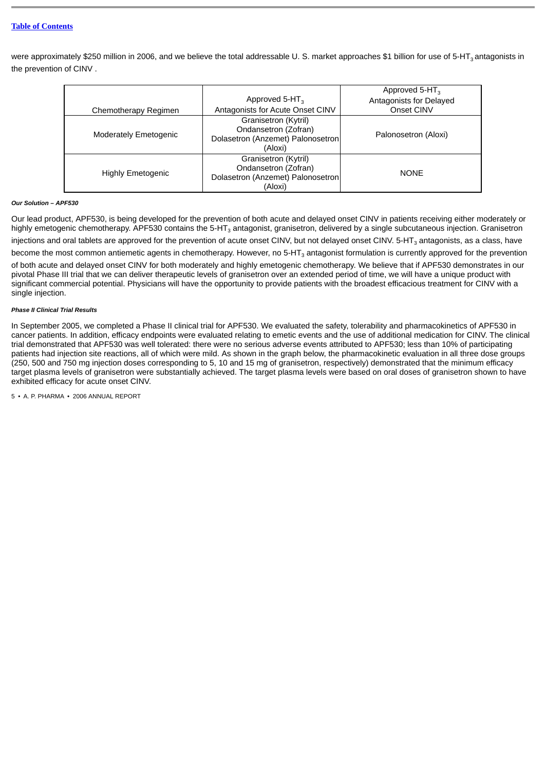were approximately \$250 million in 2006, and we believe the total addressable U. S. market approaches \$1 billion for use of 5-HT<sub>3</sub> antagonists in the prevention of CINV .

|                              |                                                                                              | Approved 5-HT <sub>3</sub> |
|------------------------------|----------------------------------------------------------------------------------------------|----------------------------|
|                              | Approved 5-HT <sub>3</sub>                                                                   | Antagonists for Delayed    |
| Chemotherapy Regimen         | Antagonists for Acute Onset CINV                                                             | Onset CINV                 |
| <b>Moderately Emetogenic</b> | Granisetron (Kytril)<br>Ondansetron (Zofran)<br>Dolasetron (Anzemet) Palonosetron<br>(Aloxi) | Palonosetron (Aloxi)       |
| <b>Highly Emetogenic</b>     | Granisetron (Kytril)<br>Ondansetron (Zofran)<br>Dolasetron (Anzemet) Palonosetron<br>(Aloxi) | <b>NONE</b>                |

## *Our Solution – APF530*

Our lead product, APF530, is being developed for the prevention of both acute and delayed onset CINV in patients receiving either moderately or highly emetogenic chemotherapy. APF530 contains the 5-HT $_{\rm 3}$  antagonist, granisetron, delivered by a single subcutaneous injection. Granisetron injections and oral tablets are approved for the prevention of acute onset CINV, but not delayed onset CINV. 5-HT $_{\rm 3}$  antagonists, as a class, have

become the most common antiemetic agents in chemotherapy. However, no 5-HT $_{\rm 3}$  antagonist formulation is currently approved for the prevention

of both acute and delayed onset CINV for both moderately and highly emetogenic chemotherapy. We believe that if APF530 demonstrates in our pivotal Phase III trial that we can deliver therapeutic levels of granisetron over an extended period of time, we will have a unique product with significant commercial potential. Physicians will have the opportunity to provide patients with the broadest efficacious treatment for CINV with a single injection.

## *Phase II Clinical Trial Results*

In September 2005, we completed a Phase II clinical trial for APF530. We evaluated the safety, tolerability and pharmacokinetics of APF530 in cancer patients. In addition, efficacy endpoints were evaluated relating to emetic events and the use of additional medication for CINV. The clinical trial demonstrated that APF530 was well tolerated: there were no serious adverse events attributed to APF530; less than 10% of participating patients had injection site reactions, all of which were mild. As shown in the graph below, the pharmacokinetic evaluation in all three dose groups (250, 500 and 750 mg injection doses corresponding to 5, 10 and 15 mg of granisetron, respectively) demonstrated that the minimum efficacy target plasma levels of granisetron were substantially achieved. The target plasma levels were based on oral doses of granisetron shown to have exhibited efficacy for acute onset CINV.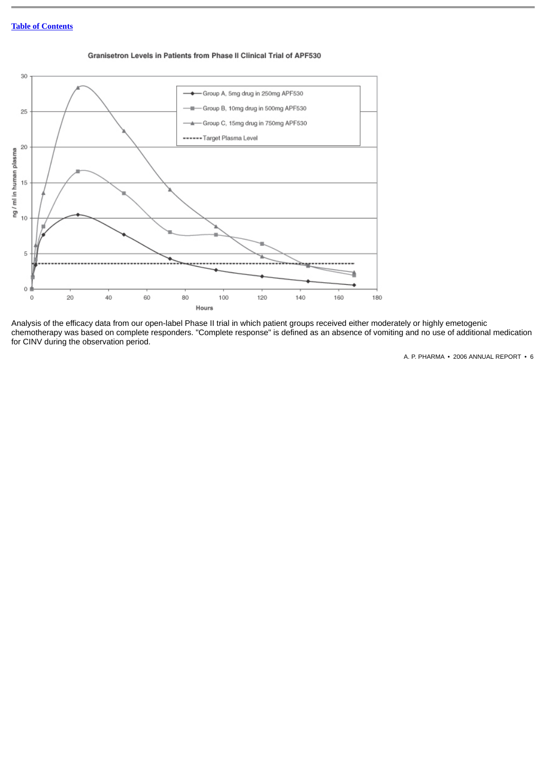

Granisetron Levels in Patients from Phase II Clinical Trial of APF530

Analysis of the efficacy data from our open-label Phase II trial in which patient groups received either moderately or highly emetogenic chemotherapy was based on complete responders. "Complete response" is defined as an absence of vomiting and no use of additional medication for CINV during the observation period.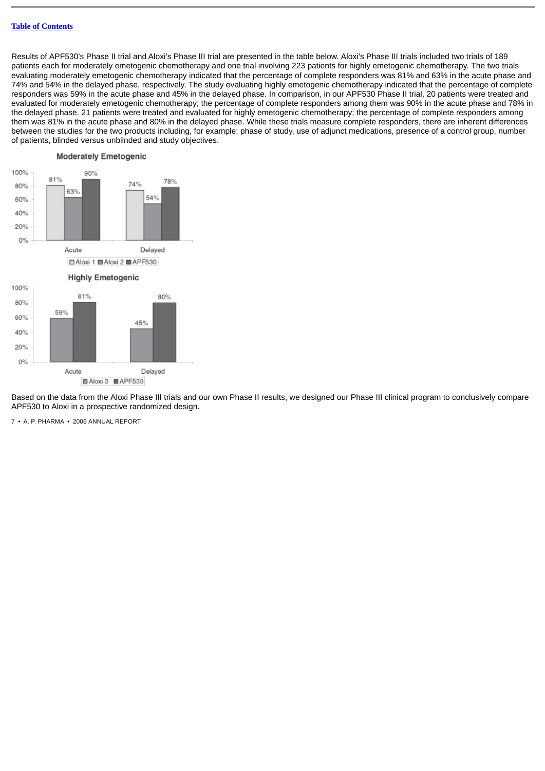Results of APF530's Phase II trial and Aloxi's Phase III trial are presented in the table below. Aloxi's Phase III trials included two trials of 189 patients each for moderately emetogenic chemotherapy and one trial involving 223 patients for highly emetogenic chemotherapy. The two trials evaluating moderately emetogenic chemotherapy indicated that the percentage of complete responders was 81% and 63% in the acute phase and 74% and 54% in the delayed phase, respectively. The study evaluating highly emetogenic chemotherapy indicated that the percentage of complete responders was 59% in the acute phase and 45% in the delayed phase. In comparison, in our APF530 Phase II trial, 20 patients were treated and evaluated for moderately emetogenic chemotherapy; the percentage of complete responders among them was 90% in the acute phase and 78% in the delayed phase. 21 patients were treated and evaluated for highly emetogenic chemotherapy; the percentage of complete responders among them was 81% in the acute phase and 80% in the delayed phase. While these trials measure complete responders, there are inherent differences between the studies for the two products including, for example: phase of study, use of adjunct medications, presence of a control group, number of patients, blinded versus unblinded and study objectives.



Based on the data from the Aloxi Phase III trials and our own Phase II results, we designed our Phase III clinical program to conclusively compare APF530 to Aloxi in a prospective randomized design.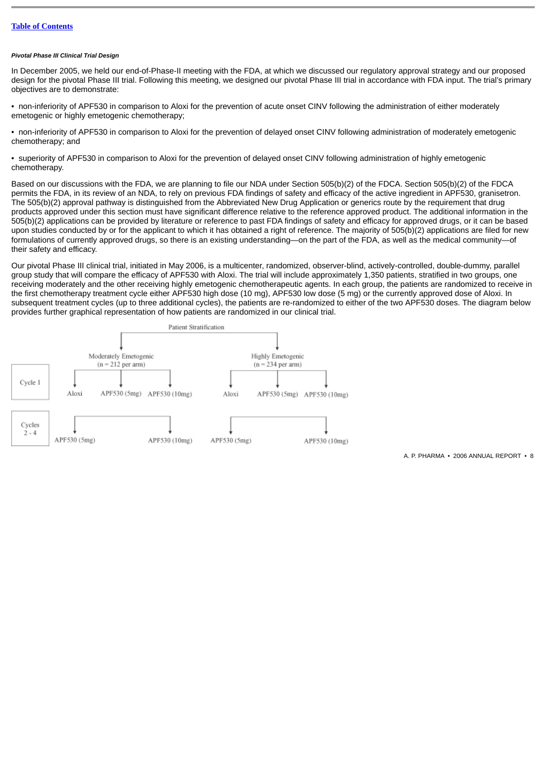#### *Pivotal Phase III Clinical Trial Design*

In December 2005, we held our end-of-Phase-II meeting with the FDA, at which we discussed our regulatory approval strategy and our proposed design for the pivotal Phase III trial. Following this meeting, we designed our pivotal Phase III trial in accordance with FDA input. The trial's primary objectives are to demonstrate:

• non-inferiority of APF530 in comparison to Aloxi for the prevention of acute onset CINV following the administration of either moderately emetogenic or highly emetogenic chemotherapy;

• non-inferiority of APF530 in comparison to Aloxi for the prevention of delayed onset CINV following administration of moderately emetogenic chemotherapy; and

• superiority of APF530 in comparison to Aloxi for the prevention of delayed onset CINV following administration of highly emetogenic chemotherapy.

Based on our discussions with the FDA, we are planning to file our NDA under Section 505(b)(2) of the FDCA. Section 505(b)(2) of the FDCA permits the FDA, in its review of an NDA, to rely on previous FDA findings of safety and efficacy of the active ingredient in APF530, granisetron. The 505(b)(2) approval pathway is distinguished from the Abbreviated New Drug Application or generics route by the requirement that drug products approved under this section must have significant difference relative to the reference approved product. The additional information in the 505(b)(2) applications can be provided by literature or reference to past FDA findings of safety and efficacy for approved drugs, or it can be based upon studies conducted by or for the applicant to which it has obtained a right of reference. The majority of 505(b)(2) applications are filed for new formulations of currently approved drugs, so there is an existing understanding—on the part of the FDA, as well as the medical community—of their safety and efficacy.

Our pivotal Phase III clinical trial, initiated in May 2006, is a multicenter, randomized, observer-blind, actively-controlled, double-dummy, parallel group study that will compare the efficacy of APF530 with Aloxi. The trial will include approximately 1,350 patients, stratified in two groups, one receiving moderately and the other receiving highly emetogenic chemotherapeutic agents. In each group, the patients are randomized to receive in the first chemotherapy treatment cycle either APF530 high dose (10 mg), APF530 low dose (5 mg) or the currently approved dose of Aloxi. In subsequent treatment cycles (up to three additional cycles), the patients are re-randomized to either of the two APF530 doses. The diagram below provides further graphical representation of how patients are randomized in our clinical trial.

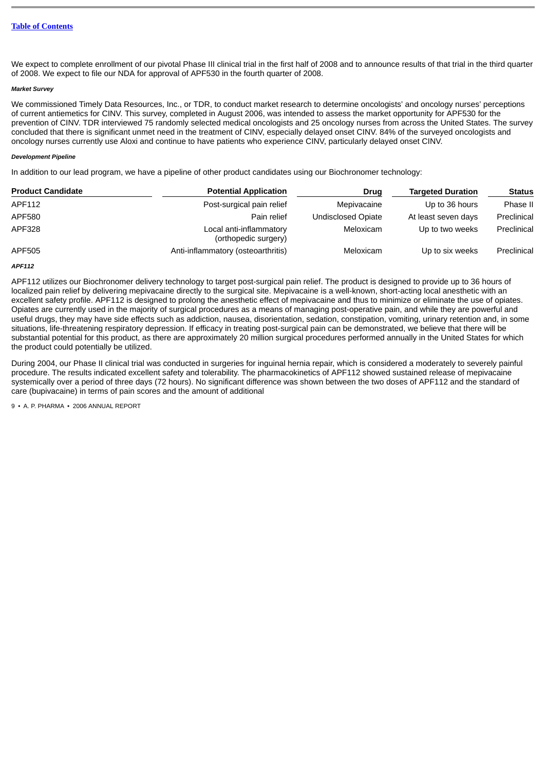We expect to complete enrollment of our pivotal Phase III clinical trial in the first half of 2008 and to announce results of that trial in the third quarter of 2008. We expect to file our NDA for approval of APF530 in the fourth quarter of 2008.

## *Market Survey*

We commissioned Timely Data Resources, Inc., or TDR, to conduct market research to determine oncologists' and oncology nurses' perceptions of current antiemetics for CINV. This survey, completed in August 2006, was intended to assess the market opportunity for APF530 for the prevention of CINV. TDR interviewed 75 randomly selected medical oncologists and 25 oncology nurses from across the United States. The survey concluded that there is significant unmet need in the treatment of CINV, especially delayed onset CINV. 84% of the surveyed oncologists and oncology nurses currently use Aloxi and continue to have patients who experience CINV, particularly delayed onset CINV.

## *Development Pipeline*

In addition to our lead program, we have a pipeline of other product candidates using our Biochronomer technology:

| <b>Product Candidate</b> | <b>Potential Application</b>                    | Drug               | <b>Targeted Duration</b> | <b>Status</b> |
|--------------------------|-------------------------------------------------|--------------------|--------------------------|---------------|
| APF112                   | Post-surgical pain relief                       | Mepivacaine        | Up to 36 hours           | Phase II      |
| APF580                   | Pain relief                                     | Undisclosed Opiate | At least seven days      | Preclinical   |
| APF328                   | Local anti-inflammatory<br>(orthopedic surgery) | Meloxicam          | Up to two weeks          | Preclinical   |
| APF505                   | Anti-inflammatory (osteoarthritis)              | Meloxicam          | Up to six weeks          | Preclinical   |

*APF112*

APF112 utilizes our Biochronomer delivery technology to target post-surgical pain relief. The product is designed to provide up to 36 hours of localized pain relief by delivering mepivacaine directly to the surgical site. Mepivacaine is a well-known, short-acting local anesthetic with an excellent safety profile. APF112 is designed to prolong the anesthetic effect of mepivacaine and thus to minimize or eliminate the use of opiates. Opiates are currently used in the majority of surgical procedures as a means of managing post-operative pain, and while they are powerful and useful drugs, they may have side effects such as addiction, nausea, disorientation, sedation, constipation, vomiting, urinary retention and, in some situations, life-threatening respiratory depression. If efficacy in treating post-surgical pain can be demonstrated, we believe that there will be substantial potential for this product, as there are approximately 20 million surgical procedures performed annually in the United States for which the product could potentially be utilized.

During 2004, our Phase II clinical trial was conducted in surgeries for inguinal hernia repair, which is considered a moderately to severely painful procedure. The results indicated excellent safety and tolerability. The pharmacokinetics of APF112 showed sustained release of mepivacaine systemically over a period of three days (72 hours). No significant difference was shown between the two doses of APF112 and the standard of care (bupivacaine) in terms of pain scores and the amount of additional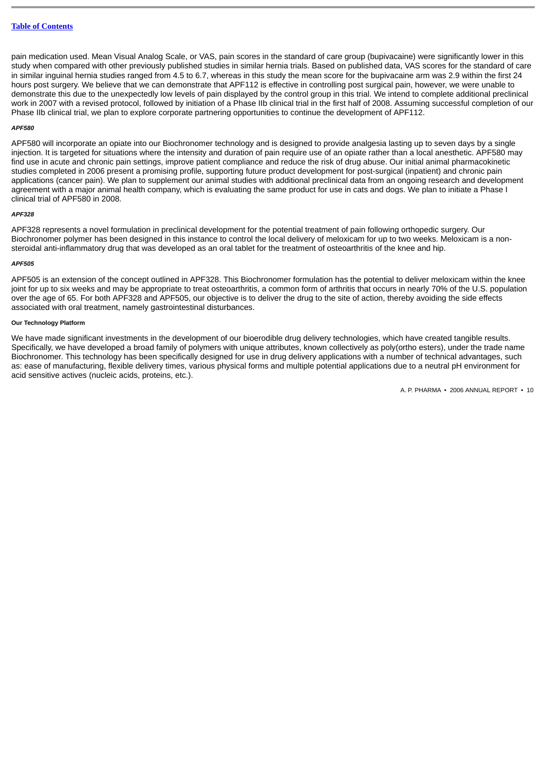pain medication used. Mean Visual Analog Scale, or VAS, pain scores in the standard of care group (bupivacaine) were significantly lower in this study when compared with other previously published studies in similar hernia trials. Based on published data, VAS scores for the standard of care in similar inguinal hernia studies ranged from 4.5 to 6.7, whereas in this study the mean score for the bupivacaine arm was 2.9 within the first 24 hours post surgery. We believe that we can demonstrate that APF112 is effective in controlling post surgical pain, however, we were unable to demonstrate this due to the unexpectedly low levels of pain displayed by the control group in this trial. We intend to complete additional preclinical work in 2007 with a revised protocol, followed by initiation of a Phase IIb clinical trial in the first half of 2008. Assuming successful completion of our Phase IIb clinical trial, we plan to explore corporate partnering opportunities to continue the development of APF112.

#### *APF580*

APF580 will incorporate an opiate into our Biochronomer technology and is designed to provide analgesia lasting up to seven days by a single injection. It is targeted for situations where the intensity and duration of pain require use of an opiate rather than a local anesthetic. APF580 may find use in acute and chronic pain settings, improve patient compliance and reduce the risk of drug abuse. Our initial animal pharmacokinetic studies completed in 2006 present a promising profile, supporting future product development for post-surgical (inpatient) and chronic pain applications (cancer pain). We plan to supplement our animal studies with additional preclinical data from an ongoing research and development agreement with a major animal health company, which is evaluating the same product for use in cats and dogs. We plan to initiate a Phase I clinical trial of APF580 in 2008.

#### *APF328*

APF328 represents a novel formulation in preclinical development for the potential treatment of pain following orthopedic surgery. Our Biochronomer polymer has been designed in this instance to control the local delivery of meloxicam for up to two weeks. Meloxicam is a nonsteroidal anti-inflammatory drug that was developed as an oral tablet for the treatment of osteoarthritis of the knee and hip.

#### *APF505*

APF505 is an extension of the concept outlined in APF328. This Biochronomer formulation has the potential to deliver meloxicam within the knee joint for up to six weeks and may be appropriate to treat osteoarthritis, a common form of arthritis that occurs in nearly 70% of the U.S. population over the age of 65. For both APF328 and APF505, our objective is to deliver the drug to the site of action, thereby avoiding the side effects associated with oral treatment, namely gastrointestinal disturbances.

## **Our Technology Platform**

We have made significant investments in the development of our bioerodible drug delivery technologies, which have created tangible results. Specifically, we have developed a broad family of polymers with unique attributes, known collectively as poly(ortho esters), under the trade name Biochronomer. This technology has been specifically designed for use in drug delivery applications with a number of technical advantages, such as: ease of manufacturing, flexible delivery times, various physical forms and multiple potential applications due to a neutral pH environment for acid sensitive actives (nucleic acids, proteins, etc.).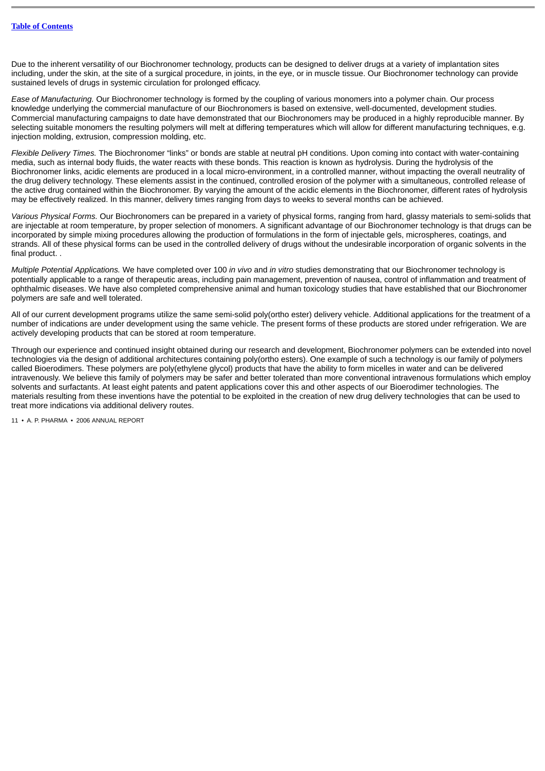Due to the inherent versatility of our Biochronomer technology, products can be designed to deliver drugs at a variety of implantation sites including, under the skin, at the site of a surgical procedure, in joints, in the eye, or in muscle tissue. Our Biochronomer technology can provide sustained levels of drugs in systemic circulation for prolonged efficacy.

*Ease of Manufacturing.* Our Biochronomer technology is formed by the coupling of various monomers into a polymer chain. Our process knowledge underlying the commercial manufacture of our Biochronomers is based on extensive, well-documented, development studies. Commercial manufacturing campaigns to date have demonstrated that our Biochronomers may be produced in a highly reproducible manner. By selecting suitable monomers the resulting polymers will melt at differing temperatures which will allow for different manufacturing techniques, e.g. injection molding, extrusion, compression molding, etc.

*Flexible Delivery Times.* The Biochronomer "links" or bonds are stable at neutral pH conditions. Upon coming into contact with water-containing media, such as internal body fluids, the water reacts with these bonds. This reaction is known as hydrolysis. During the hydrolysis of the Biochronomer links, acidic elements are produced in a local micro-environment, in a controlled manner, without impacting the overall neutrality of the drug delivery technology. These elements assist in the continued, controlled erosion of the polymer with a simultaneous, controlled release of the active drug contained within the Biochronomer. By varying the amount of the acidic elements in the Biochronomer, different rates of hydrolysis may be effectively realized. In this manner, delivery times ranging from days to weeks to several months can be achieved.

*Various Physical Forms.* Our Biochronomers can be prepared in a variety of physical forms, ranging from hard, glassy materials to semi-solids that are injectable at room temperature, by proper selection of monomers. A significant advantage of our Biochronomer technology is that drugs can be incorporated by simple mixing procedures allowing the production of formulations in the form of injectable gels, microspheres, coatings, and strands. All of these physical forms can be used in the controlled delivery of drugs without the undesirable incorporation of organic solvents in the final product. .

*Multiple Potential Applications.* We have completed over 100 *in vivo* and *in vitro* studies demonstrating that our Biochronomer technology is potentially applicable to a range of therapeutic areas, including pain management, prevention of nausea, control of inflammation and treatment of ophthalmic diseases. We have also completed comprehensive animal and human toxicology studies that have established that our Biochronomer polymers are safe and well tolerated.

All of our current development programs utilize the same semi-solid poly(ortho ester) delivery vehicle. Additional applications for the treatment of a number of indications are under development using the same vehicle. The present forms of these products are stored under refrigeration. We are actively developing products that can be stored at room temperature.

Through our experience and continued insight obtained during our research and development, Biochronomer polymers can be extended into novel technologies via the design of additional architectures containing poly(ortho esters). One example of such a technology is our family of polymers called Bioerodimers. These polymers are poly(ethylene glycol) products that have the ability to form micelles in water and can be delivered intravenously. We believe this family of polymers may be safer and better tolerated than more conventional intravenous formulations which employ solvents and surfactants. At least eight patents and patent applications cover this and other aspects of our Bioerodimer technologies. The materials resulting from these inventions have the potential to be exploited in the creation of new drug delivery technologies that can be used to treat more indications via additional delivery routes.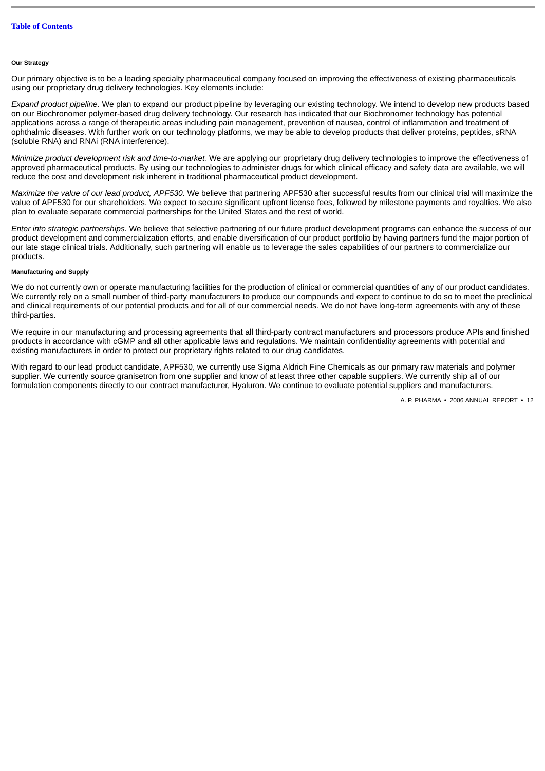#### **Our Strategy**

Our primary objective is to be a leading specialty pharmaceutical company focused on improving the effectiveness of existing pharmaceuticals using our proprietary drug delivery technologies. Key elements include:

*Expand product pipeline.* We plan to expand our product pipeline by leveraging our existing technology. We intend to develop new products based on our Biochronomer polymer-based drug delivery technology. Our research has indicated that our Biochronomer technology has potential applications across a range of therapeutic areas including pain management, prevention of nausea, control of inflammation and treatment of ophthalmic diseases. With further work on our technology platforms, we may be able to develop products that deliver proteins, peptides, sRNA (soluble RNA) and RNAi (RNA interference).

*Minimize product development risk and time-to-market.* We are applying our proprietary drug delivery technologies to improve the effectiveness of approved pharmaceutical products. By using our technologies to administer drugs for which clinical efficacy and safety data are available, we will reduce the cost and development risk inherent in traditional pharmaceutical product development.

*Maximize the value of our lead product, APF530.* We believe that partnering APF530 after successful results from our clinical trial will maximize the value of APF530 for our shareholders. We expect to secure significant upfront license fees, followed by milestone payments and royalties. We also plan to evaluate separate commercial partnerships for the United States and the rest of world.

*Enter into strategic partnerships.* We believe that selective partnering of our future product development programs can enhance the success of our product development and commercialization efforts, and enable diversification of our product portfolio by having partners fund the major portion of our late stage clinical trials. Additionally, such partnering will enable us to leverage the sales capabilities of our partners to commercialize our products.

#### **Manufacturing and Supply**

We do not currently own or operate manufacturing facilities for the production of clinical or commercial quantities of any of our product candidates. We currently rely on a small number of third-party manufacturers to produce our compounds and expect to continue to do so to meet the preclinical and clinical requirements of our potential products and for all of our commercial needs. We do not have long-term agreements with any of these third-parties.

We require in our manufacturing and processing agreements that all third-party contract manufacturers and processors produce APIs and finished products in accordance with cGMP and all other applicable laws and regulations. We maintain confidentiality agreements with potential and existing manufacturers in order to protect our proprietary rights related to our drug candidates.

With regard to our lead product candidate, APF530, we currently use Sigma Aldrich Fine Chemicals as our primary raw materials and polymer supplier. We currently source granisetron from one supplier and know of at least three other capable suppliers. We currently ship all of our formulation components directly to our contract manufacturer, Hyaluron. We continue to evaluate potential suppliers and manufacturers.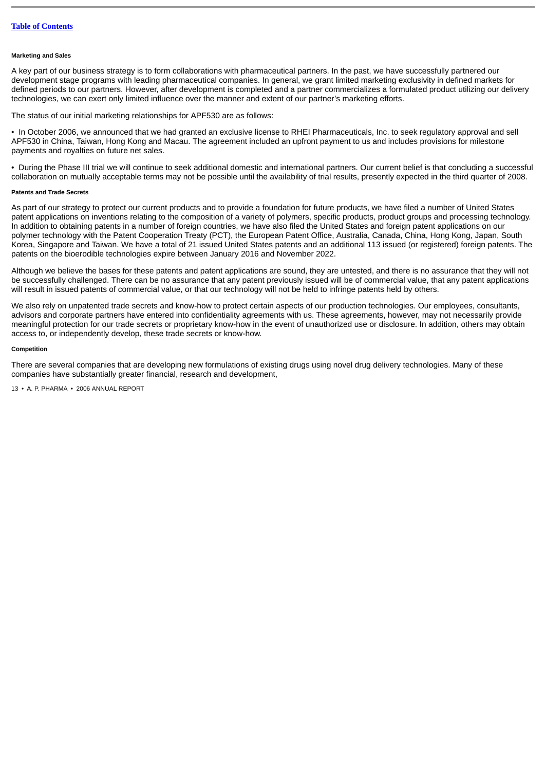#### **Marketing and Sales**

A key part of our business strategy is to form collaborations with pharmaceutical partners. In the past, we have successfully partnered our development stage programs with leading pharmaceutical companies. In general, we grant limited marketing exclusivity in defined markets for defined periods to our partners. However, after development is completed and a partner commercializes a formulated product utilizing our delivery technologies, we can exert only limited influence over the manner and extent of our partner's marketing efforts.

The status of our initial marketing relationships for APF530 are as follows:

• In October 2006, we announced that we had granted an exclusive license to RHEI Pharmaceuticals, Inc. to seek regulatory approval and sell APF530 in China, Taiwan, Hong Kong and Macau. The agreement included an upfront payment to us and includes provisions for milestone payments and royalties on future net sales.

• During the Phase III trial we will continue to seek additional domestic and international partners. Our current belief is that concluding a successful collaboration on mutually acceptable terms may not be possible until the availability of trial results, presently expected in the third quarter of 2008.

#### **Patents and Trade Secrets**

As part of our strategy to protect our current products and to provide a foundation for future products, we have filed a number of United States patent applications on inventions relating to the composition of a variety of polymers, specific products, product groups and processing technology. In addition to obtaining patents in a number of foreign countries, we have also filed the United States and foreign patent applications on our polymer technology with the Patent Cooperation Treaty (PCT), the European Patent Office, Australia, Canada, China, Hong Kong, Japan, South Korea, Singapore and Taiwan. We have a total of 21 issued United States patents and an additional 113 issued (or registered) foreign patents. The patents on the bioerodible technologies expire between January 2016 and November 2022.

Although we believe the bases for these patents and patent applications are sound, they are untested, and there is no assurance that they will not be successfully challenged. There can be no assurance that any patent previously issued will be of commercial value, that any patent applications will result in issued patents of commercial value, or that our technology will not be held to infringe patents held by others.

We also rely on unpatented trade secrets and know-how to protect certain aspects of our production technologies. Our employees, consultants, advisors and corporate partners have entered into confidentiality agreements with us. These agreements, however, may not necessarily provide meaningful protection for our trade secrets or proprietary know-how in the event of unauthorized use or disclosure. In addition, others may obtain access to, or independently develop, these trade secrets or know-how.

#### **Competition**

There are several companies that are developing new formulations of existing drugs using novel drug delivery technologies. Many of these companies have substantially greater financial, research and development,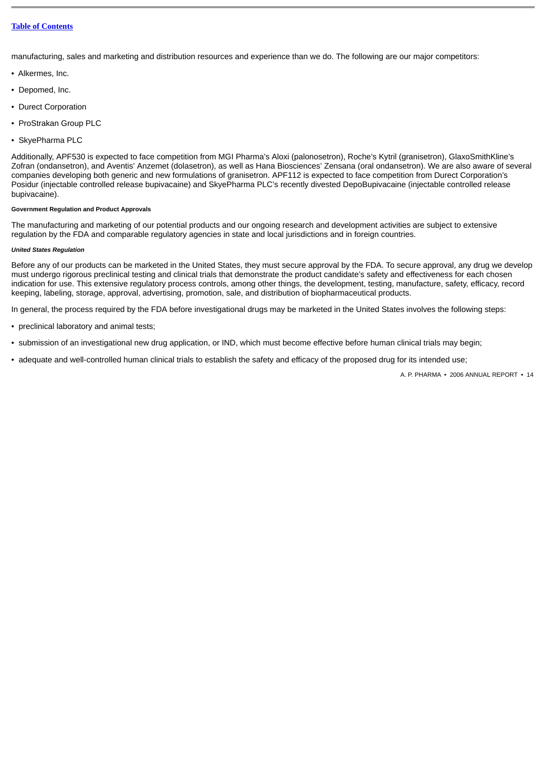manufacturing, sales and marketing and distribution resources and experience than we do. The following are our major competitors:

- Alkermes, Inc.
- Depomed, Inc.
- Durect Corporation
- ProStrakan Group PLC
- SkyePharma PLC

Additionally, APF530 is expected to face competition from MGI Pharma's Aloxi (palonosetron), Roche's Kytril (granisetron), GlaxoSmithKline's Zofran (ondansetron), and Aventis' Anzemet (dolasetron), as well as Hana Biosciences' Zensana (oral ondansetron). We are also aware of several companies developing both generic and new formulations of granisetron. APF112 is expected to face competition from Durect Corporation's Posidur (injectable controlled release bupivacaine) and SkyePharma PLC's recently divested DepoBupivacaine (injectable controlled release bupivacaine).

## **Government Regulation and Product Approvals**

The manufacturing and marketing of our potential products and our ongoing research and development activities are subject to extensive regulation by the FDA and comparable regulatory agencies in state and local jurisdictions and in foreign countries.

## *United States Regulation*

Before any of our products can be marketed in the United States, they must secure approval by the FDA. To secure approval, any drug we develop must undergo rigorous preclinical testing and clinical trials that demonstrate the product candidate's safety and effectiveness for each chosen indication for use. This extensive regulatory process controls, among other things, the development, testing, manufacture, safety, efficacy, record keeping, labeling, storage, approval, advertising, promotion, sale, and distribution of biopharmaceutical products.

In general, the process required by the FDA before investigational drugs may be marketed in the United States involves the following steps:

- preclinical laboratory and animal tests;
- submission of an investigational new drug application, or IND, which must become effective before human clinical trials may begin;
- adequate and well-controlled human clinical trials to establish the safety and efficacy of the proposed drug for its intended use;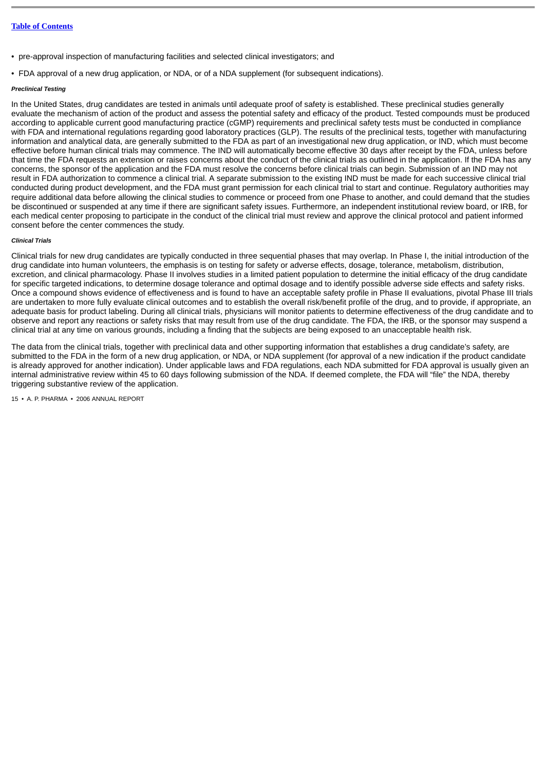- pre-approval inspection of manufacturing facilities and selected clinical investigators; and
- FDA approval of a new drug application, or NDA, or of a NDA supplement (for subsequent indications).

## *Preclinical Testing*

In the United States, drug candidates are tested in animals until adequate proof of safety is established. These preclinical studies generally evaluate the mechanism of action of the product and assess the potential safety and efficacy of the product. Tested compounds must be produced according to applicable current good manufacturing practice (cGMP) requirements and preclinical safety tests must be conducted in compliance with FDA and international regulations regarding good laboratory practices (GLP). The results of the preclinical tests, together with manufacturing information and analytical data, are generally submitted to the FDA as part of an investigational new drug application, or IND, which must become effective before human clinical trials may commence. The IND will automatically become effective 30 days after receipt by the FDA, unless before that time the FDA requests an extension or raises concerns about the conduct of the clinical trials as outlined in the application. If the FDA has any concerns, the sponsor of the application and the FDA must resolve the concerns before clinical trials can begin. Submission of an IND may not result in FDA authorization to commence a clinical trial. A separate submission to the existing IND must be made for each successive clinical trial conducted during product development, and the FDA must grant permission for each clinical trial to start and continue. Regulatory authorities may require additional data before allowing the clinical studies to commence or proceed from one Phase to another, and could demand that the studies be discontinued or suspended at any time if there are significant safety issues. Furthermore, an independent institutional review board, or IRB, for each medical center proposing to participate in the conduct of the clinical trial must review and approve the clinical protocol and patient informed consent before the center commences the study.

## *Clinical Trials*

Clinical trials for new drug candidates are typically conducted in three sequential phases that may overlap. In Phase I, the initial introduction of the drug candidate into human volunteers, the emphasis is on testing for safety or adverse effects, dosage, tolerance, metabolism, distribution, excretion, and clinical pharmacology. Phase II involves studies in a limited patient population to determine the initial efficacy of the drug candidate for specific targeted indications, to determine dosage tolerance and optimal dosage and to identify possible adverse side effects and safety risks. Once a compound shows evidence of effectiveness and is found to have an acceptable safety profile in Phase II evaluations, pivotal Phase III trials are undertaken to more fully evaluate clinical outcomes and to establish the overall risk/benefit profile of the drug, and to provide, if appropriate, an adequate basis for product labeling. During all clinical trials, physicians will monitor patients to determine effectiveness of the drug candidate and to observe and report any reactions or safety risks that may result from use of the drug candidate. The FDA, the IRB, or the sponsor may suspend a clinical trial at any time on various grounds, including a finding that the subjects are being exposed to an unacceptable health risk.

The data from the clinical trials, together with preclinical data and other supporting information that establishes a drug candidate's safety, are submitted to the FDA in the form of a new drug application, or NDA, or NDA supplement (for approval of a new indication if the product candidate is already approved for another indication). Under applicable laws and FDA regulations, each NDA submitted for FDA approval is usually given an internal administrative review within 45 to 60 days following submission of the NDA. If deemed complete, the FDA will "file" the NDA, thereby triggering substantive review of the application.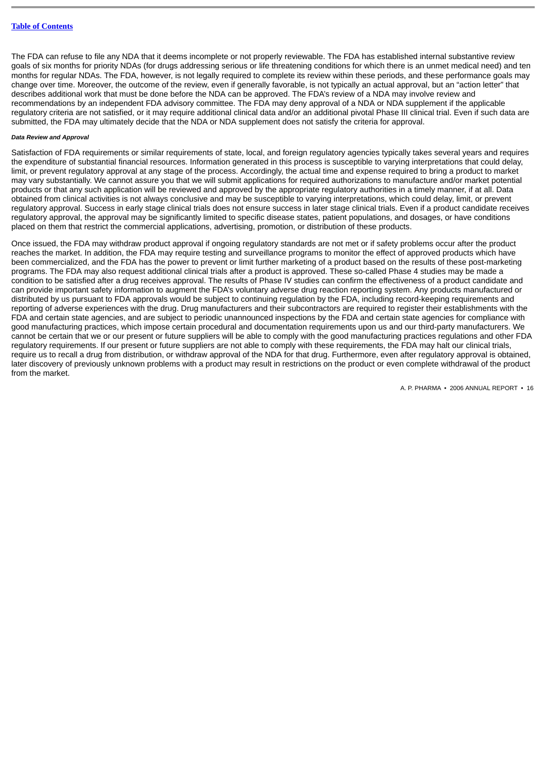The FDA can refuse to file any NDA that it deems incomplete or not properly reviewable. The FDA has established internal substantive review goals of six months for priority NDAs (for drugs addressing serious or life threatening conditions for which there is an unmet medical need) and ten months for regular NDAs. The FDA, however, is not legally required to complete its review within these periods, and these performance goals may change over time. Moreover, the outcome of the review, even if generally favorable, is not typically an actual approval, but an "action letter" that describes additional work that must be done before the NDA can be approved. The FDA's review of a NDA may involve review and recommendations by an independent FDA advisory committee. The FDA may deny approval of a NDA or NDA supplement if the applicable regulatory criteria are not satisfied, or it may require additional clinical data and/or an additional pivotal Phase III clinical trial. Even if such data are submitted, the FDA may ultimately decide that the NDA or NDA supplement does not satisfy the criteria for approval.

#### *Data Review and Approval*

Satisfaction of FDA requirements or similar requirements of state, local, and foreign requiatory agencies typically takes several years and requires the expenditure of substantial financial resources. Information generated in this process is susceptible to varying interpretations that could delay, limit, or prevent regulatory approval at any stage of the process. Accordingly, the actual time and expense required to bring a product to market may vary substantially. We cannot assure you that we will submit applications for required authorizations to manufacture and/or market potential products or that any such application will be reviewed and approved by the appropriate regulatory authorities in a timely manner, if at all. Data obtained from clinical activities is not always conclusive and may be susceptible to varying interpretations, which could delay, limit, or prevent regulatory approval. Success in early stage clinical trials does not ensure success in later stage clinical trials. Even if a product candidate receives regulatory approval, the approval may be significantly limited to specific disease states, patient populations, and dosages, or have conditions placed on them that restrict the commercial applications, advertising, promotion, or distribution of these products.

Once issued, the FDA may withdraw product approval if ongoing regulatory standards are not met or if safety problems occur after the product reaches the market. In addition, the FDA may require testing and surveillance programs to monitor the effect of approved products which have been commercialized, and the FDA has the power to prevent or limit further marketing of a product based on the results of these post-marketing programs. The FDA may also request additional clinical trials after a product is approved. These so-called Phase 4 studies may be made a condition to be satisfied after a drug receives approval. The results of Phase IV studies can confirm the effectiveness of a product candidate and can provide important safety information to augment the FDA's voluntary adverse drug reaction reporting system. Any products manufactured or distributed by us pursuant to FDA approvals would be subject to continuing regulation by the FDA, including record-keeping requirements and reporting of adverse experiences with the drug. Drug manufacturers and their subcontractors are required to register their establishments with the FDA and certain state agencies, and are subject to periodic unannounced inspections by the FDA and certain state agencies for compliance with good manufacturing practices, which impose certain procedural and documentation requirements upon us and our third-party manufacturers. We cannot be certain that we or our present or future suppliers will be able to comply with the good manufacturing practices regulations and other FDA regulatory requirements. If our present or future suppliers are not able to comply with these requirements, the FDA may halt our clinical trials, require us to recall a drug from distribution, or withdraw approval of the NDA for that drug. Furthermore, even after regulatory approval is obtained, later discovery of previously unknown problems with a product may result in restrictions on the product or even complete withdrawal of the product from the market.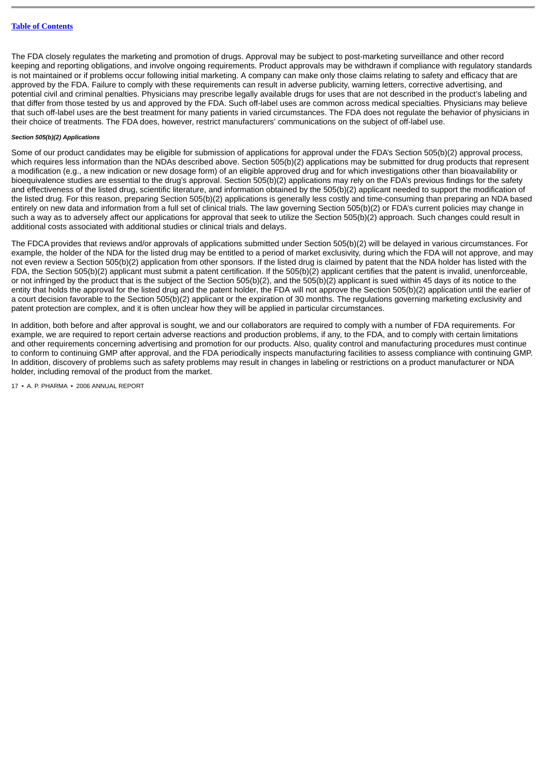The FDA closely regulates the marketing and promotion of drugs. Approval may be subject to post-marketing surveillance and other record keeping and reporting obligations, and involve ongoing requirements. Product approvals may be withdrawn if compliance with regulatory standards is not maintained or if problems occur following initial marketing. A company can make only those claims relating to safety and efficacy that are approved by the FDA. Failure to comply with these requirements can result in adverse publicity, warning letters, corrective advertising, and potential civil and criminal penalties. Physicians may prescribe legally available drugs for uses that are not described in the product's labeling and that differ from those tested by us and approved by the FDA. Such off-label uses are common across medical specialties. Physicians may believe that such off-label uses are the best treatment for many patients in varied circumstances. The FDA does not regulate the behavior of physicians in their choice of treatments. The FDA does, however, restrict manufacturers' communications on the subject of off-label use.

#### *Section 505(b)(2) Applications*

Some of our product candidates may be eligible for submission of applications for approval under the FDA's Section 505(b)(2) approval process. which requires less information than the NDAs described above. Section 505(b)(2) applications may be submitted for drug products that represent a modification (e.g., a new indication or new dosage form) of an eligible approved drug and for which investigations other than bioavailability or bioequivalence studies are essential to the drug's approval. Section 505(b)(2) applications may rely on the FDA's previous findings for the safety and effectiveness of the listed drug, scientific literature, and information obtained by the 505(b)(2) applicant needed to support the modification of the listed drug. For this reason, preparing Section 505(b)(2) applications is generally less costly and time-consuming than preparing an NDA based entirely on new data and information from a full set of clinical trials. The law governing Section 505(b)(2) or FDA's current policies may change in such a way as to adversely affect our applications for approval that seek to utilize the Section 505(b)(2) approach. Such changes could result in additional costs associated with additional studies or clinical trials and delays.

The FDCA provides that reviews and/or approvals of applications submitted under Section 505(b)(2) will be delayed in various circumstances. For example, the holder of the NDA for the listed drug may be entitled to a period of market exclusivity, during which the FDA will not approve, and may not even review a Section 505(b)(2) application from other sponsors. If the listed drug is claimed by patent that the NDA holder has listed with the FDA, the Section 505(b)(2) applicant must submit a patent certification. If the 505(b)(2) applicant certifies that the patent is invalid, unenforceable, or not infringed by the product that is the subject of the Section 505(b)(2), and the 505(b)(2) applicant is sued within 45 days of its notice to the entity that holds the approval for the listed drug and the patent holder, the FDA will not approve the Section 505(b)(2) application until the earlier of a court decision favorable to the Section 505(b)(2) applicant or the expiration of 30 months. The regulations governing marketing exclusivity and patent protection are complex, and it is often unclear how they will be applied in particular circumstances.

In addition, both before and after approval is sought, we and our collaborators are required to comply with a number of FDA requirements. For example, we are required to report certain adverse reactions and production problems, if any, to the FDA, and to comply with certain limitations and other requirements concerning advertising and promotion for our products. Also, quality control and manufacturing procedures must continue to conform to continuing GMP after approval, and the FDA periodically inspects manufacturing facilities to assess compliance with continuing GMP. In addition, discovery of problems such as safety problems may result in changes in labeling or restrictions on a product manufacturer or NDA holder, including removal of the product from the market.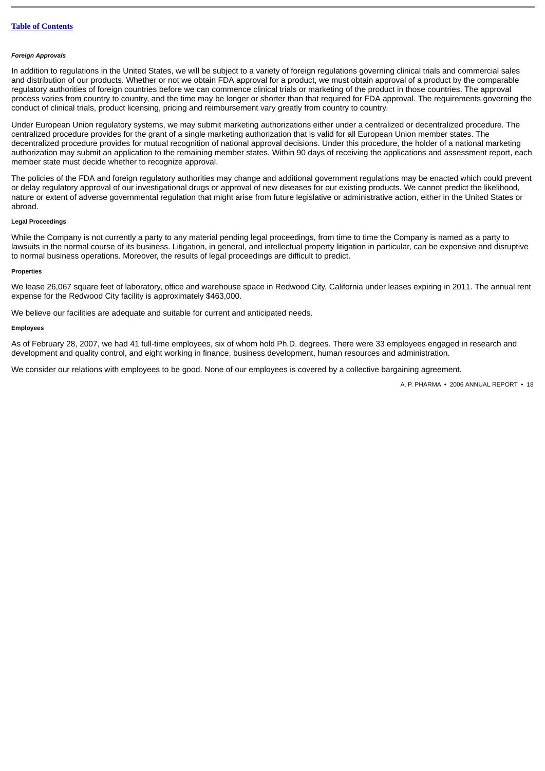#### *Foreign Approvals*

In addition to regulations in the United States, we will be subject to a variety of foreign regulations governing clinical trials and commercial sales and distribution of our products. Whether or not we obtain FDA approval for a product, we must obtain approval of a product by the comparable regulatory authorities of foreign countries before we can commence clinical trials or marketing of the product in those countries. The approval process varies from country to country, and the time may be longer or shorter than that required for FDA approval. The requirements governing the conduct of clinical trials, product licensing, pricing and reimbursement vary greatly from country to country.

Under European Union regulatory systems, we may submit marketing authorizations either under a centralized or decentralized procedure. The centralized procedure provides for the grant of a single marketing authorization that is valid for all European Union member states. The decentralized procedure provides for mutual recognition of national approval decisions. Under this procedure, the holder of a national marketing authorization may submit an application to the remaining member states. Within 90 days of receiving the applications and assessment report, each member state must decide whether to recognize approval.

The policies of the FDA and foreign regulatory authorities may change and additional government regulations may be enacted which could prevent or delay regulatory approval of our investigational drugs or approval of new diseases for our existing products. We cannot predict the likelihood, nature or extent of adverse governmental regulation that might arise from future legislative or administrative action, either in the United States or abroad.

#### **Legal Proceedings**

While the Company is not currently a party to any material pending legal proceedings, from time to time the Company is named as a party to lawsuits in the normal course of its business. Litigation, in general, and intellectual property litigation in particular, can be expensive and disruptive to normal business operations. Moreover, the results of legal proceedings are difficult to predict.

#### **Properties**

We lease 26,067 square feet of laboratory, office and warehouse space in Redwood City, California under leases expiring in 2011. The annual rent expense for the Redwood City facility is approximately \$463,000.

We believe our facilities are adequate and suitable for current and anticipated needs.

## **Employees**

As of February 28, 2007, we had 41 full-time employees, six of whom hold Ph.D. degrees. There were 33 employees engaged in research and development and quality control, and eight working in finance, business development, human resources and administration.

We consider our relations with employees to be good. None of our employees is covered by a collective bargaining agreement.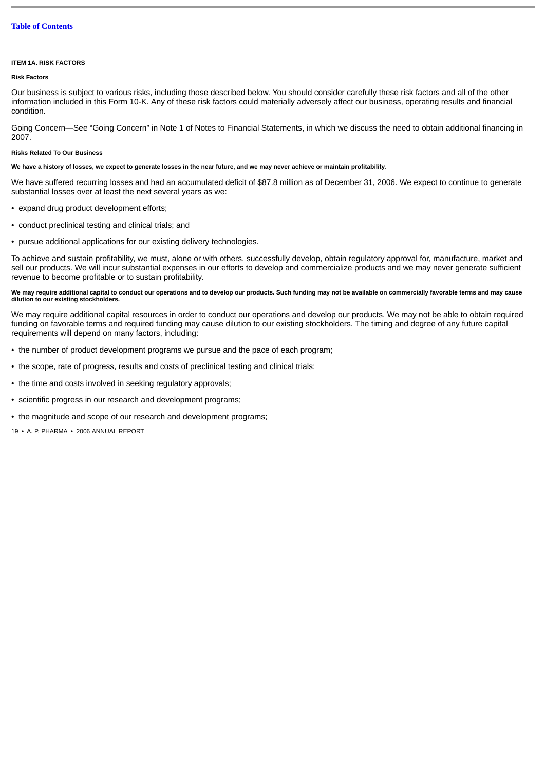#### <span id="page-18-0"></span>**ITEM 1A. RISK FACTORS**

**Risk Factors**

Our business is subject to various risks, including those described below. You should consider carefully these risk factors and all of the other information included in this Form 10-K. Any of these risk factors could materially adversely affect our business, operating results and financial condition.

Going Concern—See "Going Concern" in Note 1 of Notes to Financial Statements, in which we discuss the need to obtain additional financing in 2007.

#### **Risks Related To Our Business**

**We have a history of losses, we expect to generate losses in the near future, and we may never achieve or maintain profitability.**

We have suffered recurring losses and had an accumulated deficit of \$87.8 million as of December 31, 2006. We expect to continue to generate substantial losses over at least the next several years as we:

- expand drug product development efforts;
- conduct preclinical testing and clinical trials; and
- pursue additional applications for our existing delivery technologies.

To achieve and sustain profitability, we must, alone or with others, successfully develop, obtain regulatory approval for, manufacture, market and sell our products. We will incur substantial expenses in our efforts to develop and commercialize products and we may never generate sufficient revenue to become profitable or to sustain profitability.

**We may require additional capital to conduct our operations and to develop our products. Such funding may not be available on commercially favorable terms and may cause dilution to our existing stockholders.**

We may require additional capital resources in order to conduct our operations and develop our products. We may not be able to obtain required funding on favorable terms and required funding may cause dilution to our existing stockholders. The timing and degree of any future capital requirements will depend on many factors, including:

- the number of product development programs we pursue and the pace of each program;
- the scope, rate of progress, results and costs of preclinical testing and clinical trials;
- the time and costs involved in seeking regulatory approvals:
- scientific progress in our research and development programs;
- the magnitude and scope of our research and development programs;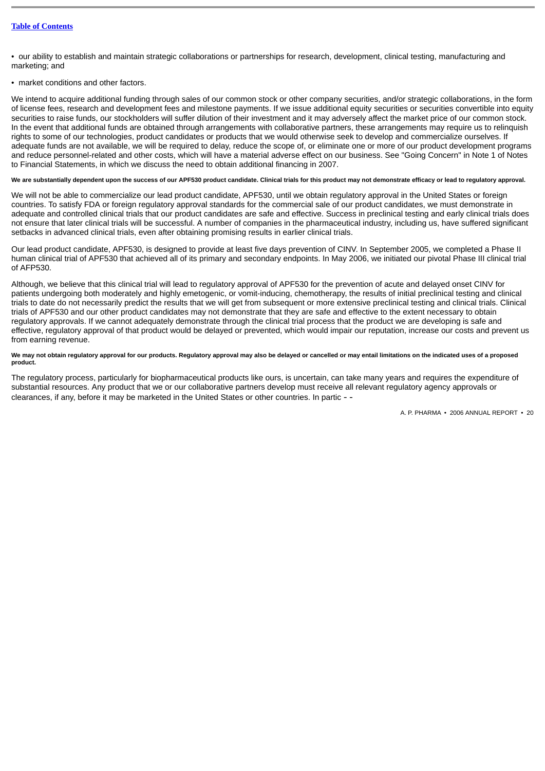• our ability to establish and maintain strategic collaborations or partnerships for research, development, clinical testing, manufacturing and marketing; and

• market conditions and other factors.

We intend to acquire additional funding through sales of our common stock or other company securities, and/or strategic collaborations, in the form of license fees, research and development fees and milestone payments. If we issue additional equity securities or securities convertible into equity securities to raise funds, our stockholders will suffer dilution of their investment and it may adversely affect the market price of our common stock. In the event that additional funds are obtained through arrangements with collaborative partners, these arrangements may require us to relinquish rights to some of our technologies, product candidates or products that we would otherwise seek to develop and commercialize ourselves. If adequate funds are not available, we will be required to delay, reduce the scope of, or eliminate one or more of our product development programs and reduce personnel-related and other costs, which will have a material adverse effect on our business. See "Going Concern" in Note 1 of Notes to Financial Statements, in which we discuss the need to obtain additional financing in 2007.

## We are substantially dependent upon the success of our APF530 product candidate. Clinical trials for this product may not demonstrate efficacy or lead to regulatory approval.

We will not be able to commercialize our lead product candidate, APF530, until we obtain regulatory approval in the United States or foreign countries. To satisfy FDA or foreign regulatory approval standards for the commercial sale of our product candidates, we must demonstrate in adequate and controlled clinical trials that our product candidates are safe and effective. Success in preclinical testing and early clinical trials does not ensure that later clinical trials will be successful. A number of companies in the pharmaceutical industry, including us, have suffered significant setbacks in advanced clinical trials, even after obtaining promising results in earlier clinical trials.

Our lead product candidate, APF530, is designed to provide at least five days prevention of CINV. In September 2005, we completed a Phase II human clinical trial of APF530 that achieved all of its primary and secondary endpoints. In May 2006, we initiated our pivotal Phase III clinical trial of AFP530.

Although, we believe that this clinical trial will lead to regulatory approval of APF530 for the prevention of acute and delayed onset CINV for patients undergoing both moderately and highly emetogenic, or vomit-inducing, chemotherapy, the results of initial preclinical testing and clinical trials to date do not necessarily predict the results that we will get from subsequent or more extensive preclinical testing and clinical trials. Clinical trials of APF530 and our other product candidates may not demonstrate that they are safe and effective to the extent necessary to obtain regulatory approvals. If we cannot adequately demonstrate through the clinical trial process that the product we are developing is safe and effective, regulatory approval of that product would be delayed or prevented, which would impair our reputation, increase our costs and prevent us from earning revenue.

## **We may not obtain regulatory approval for our products. Regulatory approval may also be delayed or cancelled or may entail limitations on the indicated uses of a proposed product.**

The regulatory process, particularly for biopharmaceutical products like ours, is uncertain, can take many years and requires the expenditure of substantial resources. Any product that we or our collaborative partners develop must receive all relevant regulatory agency approvals or clearances, if any, before it may be marketed in the United States or other countries. In partic - -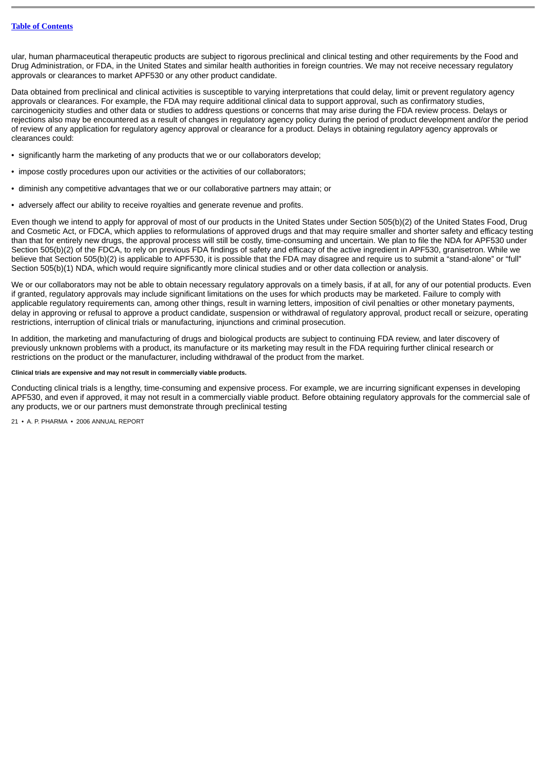ular, human pharmaceutical therapeutic products are subject to rigorous preclinical and clinical testing and other requirements by the Food and Drug Administration, or FDA, in the United States and similar health authorities in foreign countries. We may not receive necessary regulatory approvals or clearances to market APF530 or any other product candidate.

Data obtained from preclinical and clinical activities is susceptible to varying interpretations that could delay, limit or prevent regulatory agency approvals or clearances. For example, the FDA may require additional clinical data to support approval, such as confirmatory studies, carcinogenicity studies and other data or studies to address questions or concerns that may arise during the FDA review process. Delays or rejections also may be encountered as a result of changes in regulatory agency policy during the period of product development and/or the period of review of any application for regulatory agency approval or clearance for a product. Delays in obtaining regulatory agency approvals or clearances could:

- significantly harm the marketing of any products that we or our collaborators develop;
- impose costly procedures upon our activities or the activities of our collaborators:
- diminish any competitive advantages that we or our collaborative partners may attain; or
- adversely affect our ability to receive royalties and generate revenue and profits.

Even though we intend to apply for approval of most of our products in the United States under Section 505(b)(2) of the United States Food, Drug and Cosmetic Act, or FDCA, which applies to reformulations of approved drugs and that may require smaller and shorter safety and efficacy testing than that for entirely new drugs, the approval process will still be costly, time-consuming and uncertain. We plan to file the NDA for APF530 under Section 505(b)(2) of the FDCA, to rely on previous FDA findings of safety and efficacy of the active ingredient in APF530, granisetron. While we believe that Section 505(b)(2) is applicable to APF530, it is possible that the FDA may disagree and require us to submit a "stand-alone" or "full" Section 505(b)(1) NDA, which would require significantly more clinical studies and or other data collection or analysis.

We or our collaborators may not be able to obtain necessary regulatory approvals on a timely basis, if at all, for any of our potential products. Even if granted, regulatory approvals may include significant limitations on the uses for which products may be marketed. Failure to comply with applicable regulatory requirements can, among other things, result in warning letters, imposition of civil penalties or other monetary payments, delay in approving or refusal to approve a product candidate, suspension or withdrawal of regulatory approval, product recall or seizure, operating restrictions, interruption of clinical trials or manufacturing, injunctions and criminal prosecution.

In addition, the marketing and manufacturing of drugs and biological products are subject to continuing FDA review, and later discovery of previously unknown problems with a product, its manufacture or its marketing may result in the FDA requiring further clinical research or restrictions on the product or the manufacturer, including withdrawal of the product from the market.

## **Clinical trials are expensive and may not result in commercially viable products.**

Conducting clinical trials is a lengthy, time-consuming and expensive process. For example, we are incurring significant expenses in developing APF530, and even if approved, it may not result in a commercially viable product. Before obtaining regulatory approvals for the commercial sale of any products, we or our partners must demonstrate through preclinical testing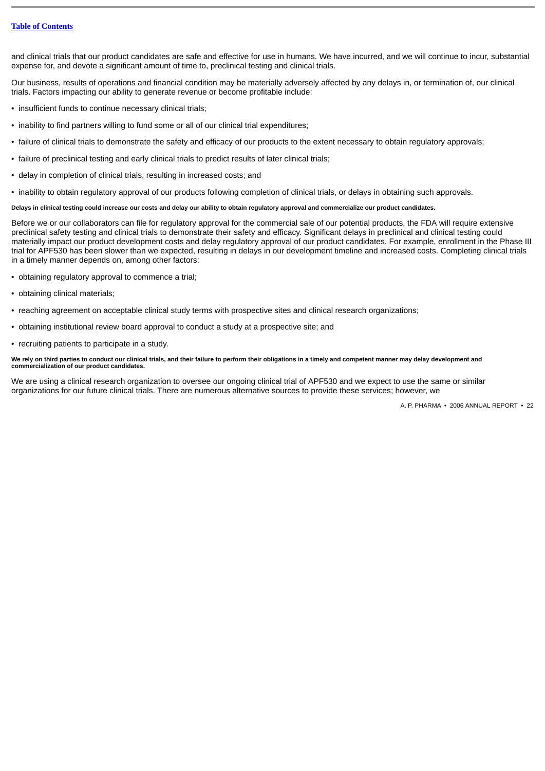and clinical trials that our product candidates are safe and effective for use in humans. We have incurred, and we will continue to incur, substantial expense for, and devote a significant amount of time to, preclinical testing and clinical trials.

Our business, results of operations and financial condition may be materially adversely affected by any delays in, or termination of, our clinical trials. Factors impacting our ability to generate revenue or become profitable include:

- insufficient funds to continue necessary clinical trials;
- inability to find partners willing to fund some or all of our clinical trial expenditures;
- failure of clinical trials to demonstrate the safety and efficacy of our products to the extent necessary to obtain regulatory approvals;
- failure of preclinical testing and early clinical trials to predict results of later clinical trials:
- delay in completion of clinical trials, resulting in increased costs; and
- inability to obtain regulatory approval of our products following completion of clinical trials, or delays in obtaining such approvals.

**Delays in clinical testing could increase our costs and delay our ability to obtain regulatory approval and commercialize our product candidates.**

Before we or our collaborators can file for regulatory approval for the commercial sale of our potential products, the FDA will require extensive preclinical safety testing and clinical trials to demonstrate their safety and efficacy. Significant delays in preclinical and clinical testing could materially impact our product development costs and delay regulatory approval of our product candidates. For example, enrollment in the Phase III trial for APF530 has been slower than we expected, resulting in delays in our development timeline and increased costs. Completing clinical trials in a timely manner depends on, among other factors:

- obtaining regulatory approval to commence a trial;
- obtaining clinical materials;
- reaching agreement on acceptable clinical study terms with prospective sites and clinical research organizations;
- obtaining institutional review board approval to conduct a study at a prospective site; and
- recruiting patients to participate in a study.

**We rely on third parties to conduct our clinical trials, and their failure to perform their obligations in a timely and competent manner may delay development and commercialization of our product candidates.**

We are using a clinical research organization to oversee our ongoing clinical trial of APF530 and we expect to use the same or similar organizations for our future clinical trials. There are numerous alternative sources to provide these services; however, we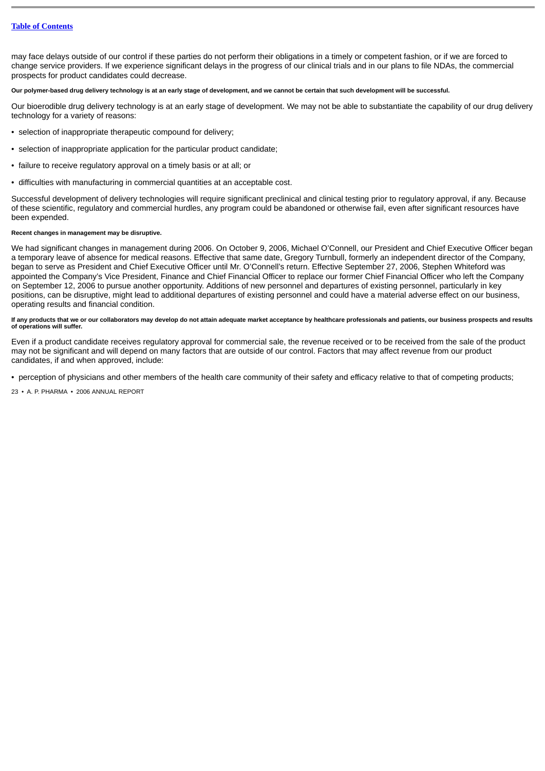may face delays outside of our control if these parties do not perform their obligations in a timely or competent fashion, or if we are forced to change service providers. If we experience significant delays in the progress of our clinical trials and in our plans to file NDAs, the commercial prospects for product candidates could decrease.

#### **Our polymer-based drug delivery technology is at an early stage of development, and we cannot be certain that such development will be successful.**

Our bioerodible drug delivery technology is at an early stage of development. We may not be able to substantiate the capability of our drug delivery technology for a variety of reasons:

- selection of inappropriate therapeutic compound for delivery;
- selection of inappropriate application for the particular product candidate;
- failure to receive regulatory approval on a timely basis or at all; or
- difficulties with manufacturing in commercial quantities at an acceptable cost.

Successful development of delivery technologies will require significant preclinical and clinical testing prior to regulatory approval, if any. Because of these scientific, regulatory and commercial hurdles, any program could be abandoned or otherwise fail, even after significant resources have been expended.

## **Recent changes in management may be disruptive.**

We had significant changes in management during 2006. On October 9, 2006, Michael O'Connell, our President and Chief Executive Officer began a temporary leave of absence for medical reasons. Effective that same date, Gregory Turnbull, formerly an independent director of the Company, began to serve as President and Chief Executive Officer until Mr. O'Connell's return. Effective September 27, 2006, Stephen Whiteford was appointed the Company's Vice President, Finance and Chief Financial Officer to replace our former Chief Financial Officer who left the Company on September 12, 2006 to pursue another opportunity. Additions of new personnel and departures of existing personnel, particularly in key positions, can be disruptive, might lead to additional departures of existing personnel and could have a material adverse effect on our business, operating results and financial condition.

#### **If any products that we or our collaborators may develop do not attain adequate market acceptance by healthcare professionals and patients, our business prospects and results of operations will suffer.**

Even if a product candidate receives regulatory approval for commercial sale, the revenue received or to be received from the sale of the product may not be significant and will depend on many factors that are outside of our control. Factors that may affect revenue from our product candidates, if and when approved, include:

• perception of physicians and other members of the health care community of their safety and efficacy relative to that of competing products;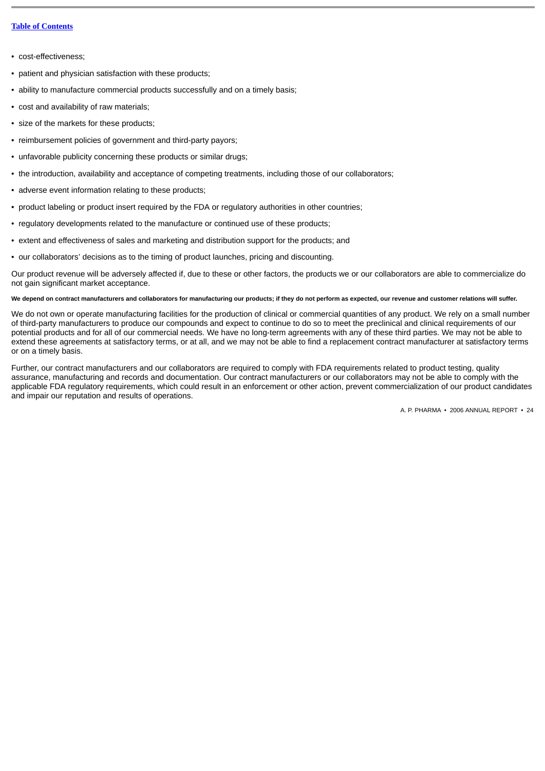- cost-effectiveness;
- patient and physician satisfaction with these products;
- ability to manufacture commercial products successfully and on a timely basis:
- cost and availability of raw materials;
- size of the markets for these products;
- reimbursement policies of government and third-party payors;
- unfavorable publicity concerning these products or similar drugs:
- the introduction, availability and acceptance of competing treatments, including those of our collaborators;
- adverse event information relating to these products;
- product labeling or product insert required by the FDA or regulatory authorities in other countries;
- regulatory developments related to the manufacture or continued use of these products;
- extent and effectiveness of sales and marketing and distribution support for the products; and
- our collaborators' decisions as to the timing of product launches, pricing and discounting.

Our product revenue will be adversely affected if, due to these or other factors, the products we or our collaborators are able to commercialize do not gain significant market acceptance.

## **We depend on contract manufacturers and collaborators for manufacturing our products; if they do not perform as expected, our revenue and customer relations will suffer.**

We do not own or operate manufacturing facilities for the production of clinical or commercial quantities of any product. We rely on a small number of third-party manufacturers to produce our compounds and expect to continue to do so to meet the preclinical and clinical requirements of our potential products and for all of our commercial needs. We have no long-term agreements with any of these third parties. We may not be able to extend these agreements at satisfactory terms, or at all, and we may not be able to find a replacement contract manufacturer at satisfactory terms or on a timely basis.

Further, our contract manufacturers and our collaborators are required to comply with FDA requirements related to product testing, quality assurance, manufacturing and records and documentation. Our contract manufacturers or our collaborators may not be able to comply with the applicable FDA regulatory requirements, which could result in an enforcement or other action, prevent commercialization of our product candidates and impair our reputation and results of operations.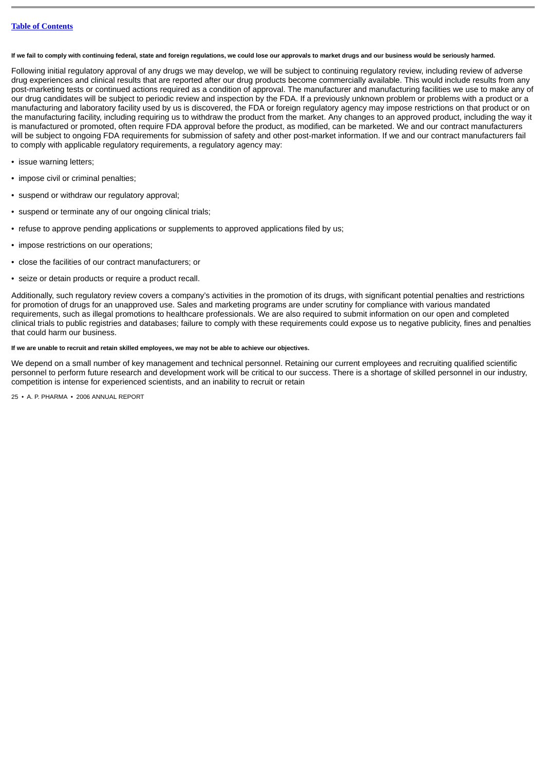#### **If we fail to comply with continuing federal, state and foreign regulations, we could lose our approvals to market drugs and our business would be seriously harmed.**

Following initial regulatory approval of any drugs we may develop, we will be subject to continuing regulatory review, including review of adverse drug experiences and clinical results that are reported after our drug products become commercially available. This would include results from any post-marketing tests or continued actions required as a condition of approval. The manufacturer and manufacturing facilities we use to make any of our drug candidates will be subject to periodic review and inspection by the FDA. If a previously unknown problem or problems with a product or a manufacturing and laboratory facility used by us is discovered, the FDA or foreign regulatory agency may impose restrictions on that product or on the manufacturing facility, including requiring us to withdraw the product from the market. Any changes to an approved product, including the way it is manufactured or promoted, often require FDA approval before the product, as modified, can be marketed. We and our contract manufacturers will be subject to ongoing FDA requirements for submission of safety and other post-market information. If we and our contract manufacturers fail to comply with applicable regulatory requirements, a regulatory agency may:

- issue warning letters;
- impose civil or criminal penalties;
- suspend or withdraw our regulatory approval;
- suspend or terminate any of our ongoing clinical trials;
- refuse to approve pending applications or supplements to approved applications filed by us;
- impose restrictions on our operations;
- close the facilities of our contract manufacturers; or
- seize or detain products or require a product recall.

Additionally, such regulatory review covers a company's activities in the promotion of its drugs, with significant potential penalties and restrictions for promotion of drugs for an unapproved use. Sales and marketing programs are under scrutiny for compliance with various mandated requirements, such as illegal promotions to healthcare professionals. We are also required to submit information on our open and completed clinical trials to public registries and databases; failure to comply with these requirements could expose us to negative publicity, fines and penalties that could harm our business.

## **If we are unable to recruit and retain skilled employees, we may not be able to achieve our objectives.**

We depend on a small number of key management and technical personnel. Retaining our current employees and recruiting qualified scientific personnel to perform future research and development work will be critical to our success. There is a shortage of skilled personnel in our industry, competition is intense for experienced scientists, and an inability to recruit or retain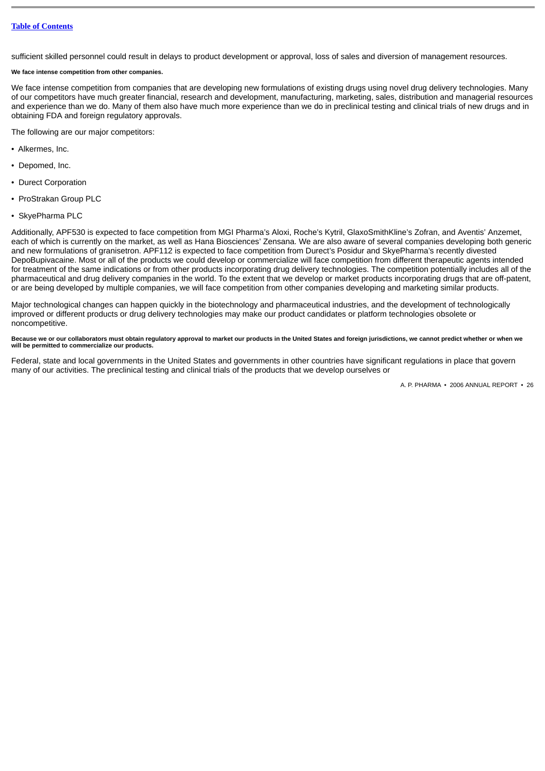sufficient skilled personnel could result in delays to product development or approval, loss of sales and diversion of management resources.

## **We face intense competition from other companies.**

We face intense competition from companies that are developing new formulations of existing drugs using novel drug delivery technologies. Many of our competitors have much greater financial, research and development, manufacturing, marketing, sales, distribution and managerial resources and experience than we do. Many of them also have much more experience than we do in preclinical testing and clinical trials of new drugs and in obtaining FDA and foreign regulatory approvals.

The following are our major competitors:

- Alkermes, Inc.
- Depomed, Inc.
- Durect Corporation
- ProStrakan Group PLC
- SkyePharma PLC

Additionally, APF530 is expected to face competition from MGI Pharma's Aloxi, Roche's Kytril, GlaxoSmithKline's Zofran, and Aventis' Anzemet, each of which is currently on the market, as well as Hana Biosciences' Zensana. We are also aware of several companies developing both generic and new formulations of granisetron. APF112 is expected to face competition from Durect's Posidur and SkyePharma's recently divested DepoBupivacaine. Most or all of the products we could develop or commercialize will face competition from different therapeutic agents intended for treatment of the same indications or from other products incorporating drug delivery technologies. The competition potentially includes all of the pharmaceutical and drug delivery companies in the world. To the extent that we develop or market products incorporating drugs that are off-patent, or are being developed by multiple companies, we will face competition from other companies developing and marketing similar products.

Major technological changes can happen quickly in the biotechnology and pharmaceutical industries, and the development of technologically improved or different products or drug delivery technologies may make our product candidates or platform technologies obsolete or noncompetitive.

**Because we or our collaborators must obtain regulatory approval to market our products in the United States and foreign jurisdictions, we cannot predict whether or when we will be permitted to commercialize our products.**

Federal, state and local governments in the United States and governments in other countries have significant regulations in place that govern many of our activities. The preclinical testing and clinical trials of the products that we develop ourselves or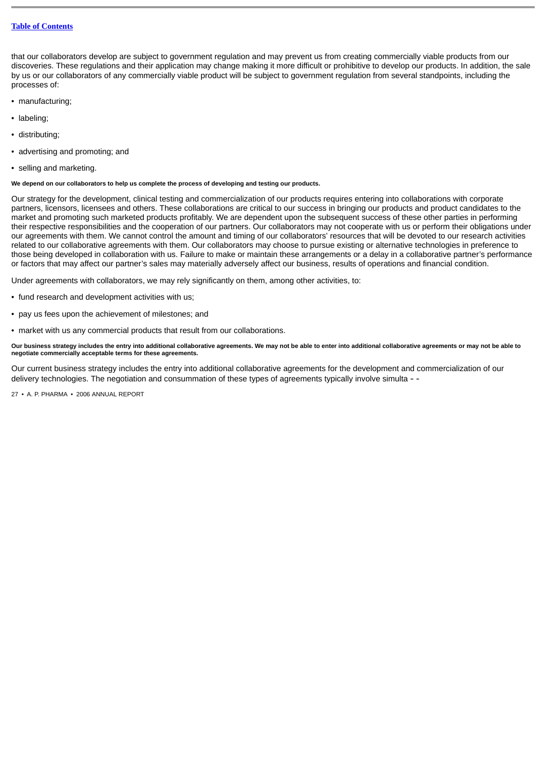that our collaborators develop are subject to government regulation and may prevent us from creating commercially viable products from our discoveries. These regulations and their application may change making it more difficult or prohibitive to develop our products. In addition, the sale by us or our collaborators of any commercially viable product will be subject to government regulation from several standpoints, including the processes of:

- manufacturing;
- labeling;
- distributing;
- advertising and promoting; and
- selling and marketing.

**We depend on our collaborators to help us complete the process of developing and testing our products.**

Our strategy for the development, clinical testing and commercialization of our products requires entering into collaborations with corporate partners, licensors, licensees and others. These collaborations are critical to our success in bringing our products and product candidates to the market and promoting such marketed products profitably. We are dependent upon the subsequent success of these other parties in performing their respective responsibilities and the cooperation of our partners. Our collaborators may not cooperate with us or perform their obligations under our agreements with them. We cannot control the amount and timing of our collaborators' resources that will be devoted to our research activities related to our collaborative agreements with them. Our collaborators may choose to pursue existing or alternative technologies in preference to those being developed in collaboration with us. Failure to make or maintain these arrangements or a delay in a collaborative partner's performance or factors that may affect our partner's sales may materially adversely affect our business, results of operations and financial condition.

Under agreements with collaborators, we may rely significantly on them, among other activities, to:

- fund research and development activities with us;
- pay us fees upon the achievement of milestones; and
- market with us any commercial products that result from our collaborations.

Our business strategy includes the entry into additional collaborative agreements. We may not be able to enter into additional collaborative agreements or may not be able to<br>negotiate commercially acceptable terms for thes

Our current business strategy includes the entry into additional collaborative agreements for the development and commercialization of our delivery technologies. The negotiation and consummation of these types of agreements typically involve simulta - -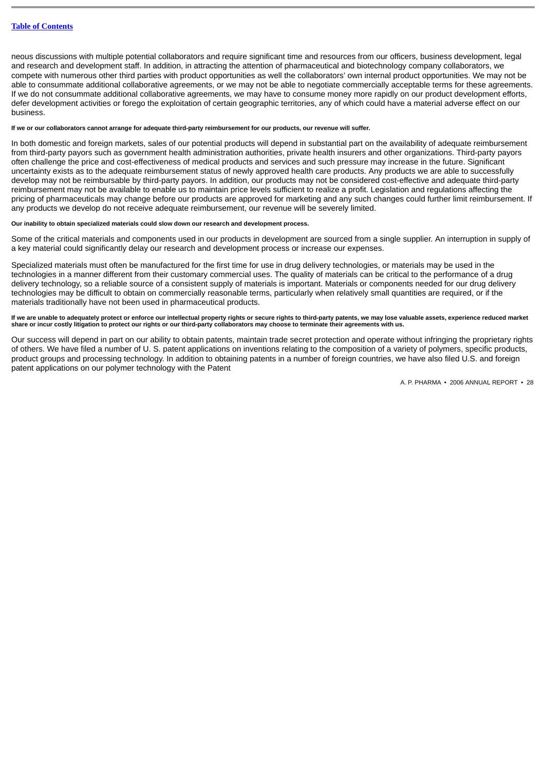neous discussions with multiple potential collaborators and require significant time and resources from our officers, business development, legal and research and development staff. In addition, in attracting the attention of pharmaceutical and biotechnology company collaborators, we compete with numerous other third parties with product opportunities as well the collaborators' own internal product opportunities. We may not be able to consummate additional collaborative agreements, or we may not be able to negotiate commercially acceptable terms for these agreements. If we do not consummate additional collaborative agreements, we may have to consume money more rapidly on our product development efforts, defer development activities or forego the exploitation of certain geographic territories, any of which could have a material adverse effect on our business.

#### **If we or our collaborators cannot arrange for adequate third-party reimbursement for our products, our revenue will suffer.**

In both domestic and foreign markets, sales of our potential products will depend in substantial part on the availability of adequate reimbursement from third-party payors such as government health administration authorities, private health insurers and other organizations. Third-party payors often challenge the price and cost-effectiveness of medical products and services and such pressure may increase in the future. Significant uncertainty exists as to the adequate reimbursement status of newly approved health care products. Any products we are able to successfully develop may not be reimbursable by third-party payors. In addition, our products may not be considered cost-effective and adequate third-party reimbursement may not be available to enable us to maintain price levels sufficient to realize a profit. Legislation and regulations affecting the pricing of pharmaceuticals may change before our products are approved for marketing and any such changes could further limit reimbursement. If any products we develop do not receive adequate reimbursement, our revenue will be severely limited.

#### **Our inability to obtain specialized materials could slow down our research and development process.**

Some of the critical materials and components used in our products in development are sourced from a single supplier. An interruption in supply of a key material could significantly delay our research and development process or increase our expenses.

Specialized materials must often be manufactured for the first time for use in drug delivery technologies, or materials may be used in the technologies in a manner different from their customary commercial uses. The quality of materials can be critical to the performance of a drug delivery technology, so a reliable source of a consistent supply of materials is important. Materials or components needed for our drug delivery technologies may be difficult to obtain on commercially reasonable terms, particularly when relatively small quantities are required, or if the materials traditionally have not been used in pharmaceutical products.

If we are unable to adequately protect or enforce our intellectual property rights or secure rights to third-party patents, we may lose valuable assets, experience reduced market<br>share or incur costly litigation to protect

Our success will depend in part on our ability to obtain patents, maintain trade secret protection and operate without infringing the proprietary rights of others. We have filed a number of U. S. patent applications on inventions relating to the composition of a variety of polymers, specific products, product groups and processing technology. In addition to obtaining patents in a number of foreign countries, we have also filed U.S. and foreign patent applications on our polymer technology with the Patent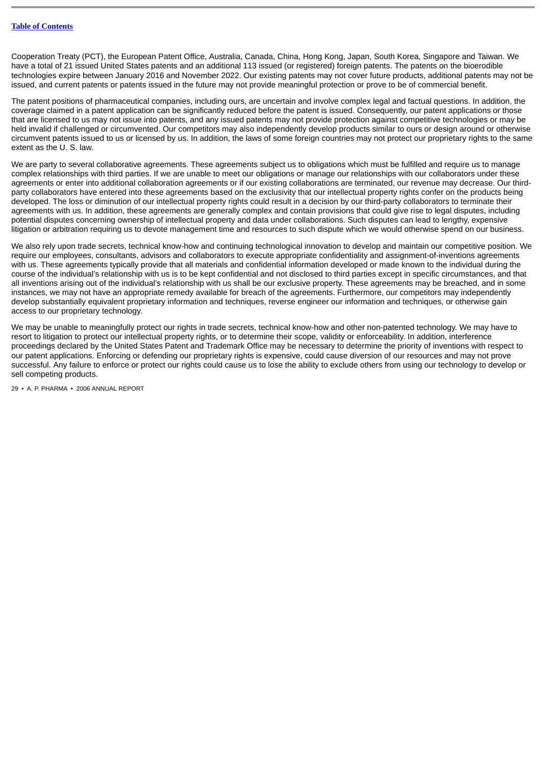Cooperation Treaty (PCT), the European Patent Office, Australia, Canada, China, Hong Kong, Japan, South Korea, Singapore and Taiwan. We have a total of 21 issued United States patents and an additional 113 issued (or registered) foreign patents. The patents on the bioerodible technologies expire between January 2016 and November 2022. Our existing patents may not cover future products, additional patents may not be issued, and current patents or patents issued in the future may not provide meaningful protection or prove to be of commercial benefit.

The patent positions of pharmaceutical companies, including ours, are uncertain and involve complex legal and factual questions. In addition, the coverage claimed in a patent application can be significantly reduced before the patent is issued. Consequently, our patent applications or those that are licensed to us may not issue into patents, and any issued patents may not provide protection against competitive technologies or may be held invalid if challenged or circumvented. Our competitors may also independently develop products similar to ours or design around or otherwise circumvent patents issued to us or licensed by us. In addition, the laws of some foreign countries may not protect our proprietary rights to the same extent as the U. S. law.

We are party to several collaborative agreements. These agreements subject us to obligations which must be fulfilled and require us to manage complex relationships with third parties. If we are unable to meet our obligations or manage our relationships with our collaborators under these agreements or enter into additional collaboration agreements or if our existing collaborations are terminated, our revenue may decrease. Our thirdparty collaborators have entered into these agreements based on the exclusivity that our intellectual property rights confer on the products being developed. The loss or diminution of our intellectual property rights could result in a decision by our third-party collaborators to terminate their agreements with us. In addition, these agreements are generally complex and contain provisions that could give rise to legal disputes, including potential disputes concerning ownership of intellectual property and data under collaborations. Such disputes can lead to lengthy, expensive litigation or arbitration requiring us to devote management time and resources to such dispute which we would otherwise spend on our business.

We also rely upon trade secrets, technical know-how and continuing technological innovation to develop and maintain our competitive position. We require our employees, consultants, advisors and collaborators to execute appropriate confidentiality and assignment-of-inventions agreements with us. These agreements typically provide that all materials and confidential information developed or made known to the individual during the course of the individual's relationship with us is to be kept confidential and not disclosed to third parties except in specific circumstances, and that all inventions arising out of the individual's relationship with us shall be our exclusive property. These agreements may be breached, and in some instances, we may not have an appropriate remedy available for breach of the agreements. Furthermore, our competitors may independently develop substantially equivalent proprietary information and techniques, reverse engineer our information and techniques, or otherwise gain access to our proprietary technology.

We may be unable to meaningfully protect our rights in trade secrets, technical know-how and other non-patented technology. We may have to resort to litigation to protect our intellectual property rights, or to determine their scope, validity or enforceability. In addition, interference proceedings declared by the United States Patent and Trademark Office may be necessary to determine the priority of inventions with respect to our patent applications. Enforcing or defending our proprietary rights is expensive, could cause diversion of our resources and may not prove successful. Any failure to enforce or protect our rights could cause us to lose the ability to exclude others from using our technology to develop or sell competing products.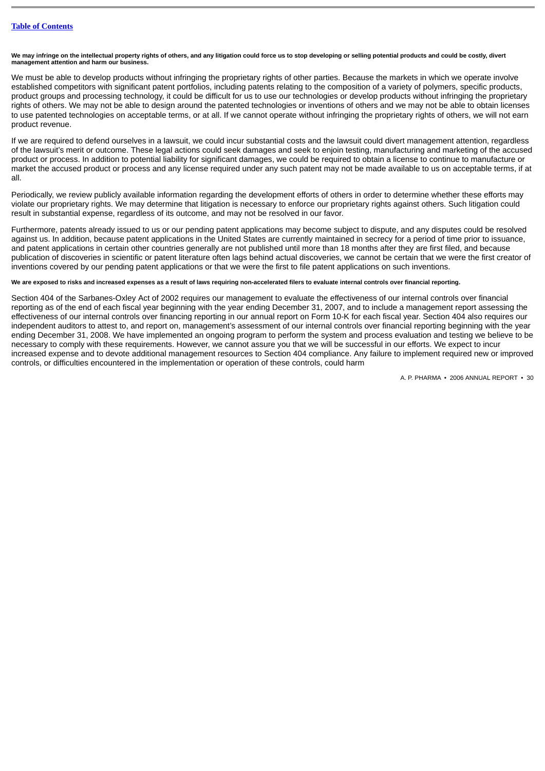We may infringe on the intellectual property rights of others, and any litigation could force us to stop developing or selling potential products and could be costly, divert **management attention and harm our business.**

We must be able to develop products without infringing the proprietary rights of other parties. Because the markets in which we operate involve established competitors with significant patent portfolios, including patents relating to the composition of a variety of polymers, specific products, product groups and processing technology, it could be difficult for us to use our technologies or develop products without infringing the proprietary rights of others. We may not be able to design around the patented technologies or inventions of others and we may not be able to obtain licenses to use patented technologies on acceptable terms, or at all. If we cannot operate without infringing the proprietary rights of others, we will not earn product revenue.

If we are required to defend ourselves in a lawsuit, we could incur substantial costs and the lawsuit could divert management attention, regardless of the lawsuit's merit or outcome. These legal actions could seek damages and seek to enjoin testing, manufacturing and marketing of the accused product or process. In addition to potential liability for significant damages, we could be required to obtain a license to continue to manufacture or market the accused product or process and any license required under any such patent may not be made available to us on acceptable terms, if at all.

Periodically, we review publicly available information regarding the development efforts of others in order to determine whether these efforts may violate our proprietary rights. We may determine that litigation is necessary to enforce our proprietary rights against others. Such litigation could result in substantial expense, regardless of its outcome, and may not be resolved in our favor.

Furthermore, patents already issued to us or our pending patent applications may become subject to dispute, and any disputes could be resolved against us. In addition, because patent applications in the United States are currently maintained in secrecy for a period of time prior to issuance, and patent applications in certain other countries generally are not published until more than 18 months after they are first filed, and because publication of discoveries in scientific or patent literature often lags behind actual discoveries, we cannot be certain that we were the first creator of inventions covered by our pending patent applications or that we were the first to file patent applications on such inventions.

## **We are exposed to risks and increased expenses as a result of laws requiring non-accelerated filers to evaluate internal controls over financial reporting.**

Section 404 of the Sarbanes-Oxley Act of 2002 requires our management to evaluate the effectiveness of our internal controls over financial reporting as of the end of each fiscal year beginning with the year ending December 31, 2007, and to include a management report assessing the effectiveness of our internal controls over financing reporting in our annual report on Form 10-K for each fiscal year. Section 404 also requires our independent auditors to attest to, and report on, management's assessment of our internal controls over financial reporting beginning with the year ending December 31, 2008. We have implemented an ongoing program to perform the system and process evaluation and testing we believe to be necessary to comply with these requirements. However, we cannot assure you that we will be successful in our efforts. We expect to incur increased expense and to devote additional management resources to Section 404 compliance. Any failure to implement required new or improved controls, or difficulties encountered in the implementation or operation of these controls, could harm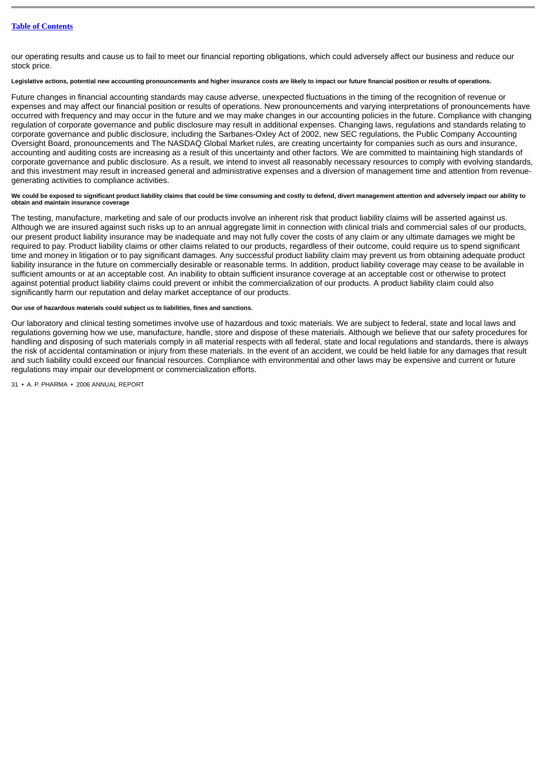our operating results and cause us to fail to meet our financial reporting obligations, which could adversely affect our business and reduce our stock price.

#### **Legislative actions, potential new accounting pronouncements and higher insurance costs are likely to impact our future financial position or results of operations.**

Future changes in financial accounting standards may cause adverse, unexpected fluctuations in the timing of the recognition of revenue or expenses and may affect our financial position or results of operations. New pronouncements and varying interpretations of pronouncements have occurred with frequency and may occur in the future and we may make changes in our accounting policies in the future. Compliance with changing regulation of corporate governance and public disclosure may result in additional expenses. Changing laws, regulations and standards relating to corporate governance and public disclosure, including the Sarbanes-Oxley Act of 2002, new SEC regulations, the Public Company Accounting Oversight Board, pronouncements and The NASDAQ Global Market rules, are creating uncertainty for companies such as ours and insurance, accounting and auditing costs are increasing as a result of this uncertainty and other factors. We are committed to maintaining high standards of corporate governance and public disclosure. As a result, we intend to invest all reasonably necessary resources to comply with evolving standards, and this investment may result in increased general and administrative expenses and a diversion of management time and attention from revenuegenerating activities to compliance activities.

#### **We could be exposed to significant product liability claims that could be time consuming and costly to defend, divert management attention and adversely impact our ability to obtain and maintain insurance coverage**

The testing, manufacture, marketing and sale of our products involve an inherent risk that product liability claims will be asserted against us. Although we are insured against such risks up to an annual aggregate limit in connection with clinical trials and commercial sales of our products, our present product liability insurance may be inadequate and may not fully cover the costs of any claim or any ultimate damages we might be required to pay. Product liability claims or other claims related to our products, regardless of their outcome, could require us to spend significant time and money in litigation or to pay significant damages. Any successful product liability claim may prevent us from obtaining adequate product liability insurance in the future on commercially desirable or reasonable terms. In addition, product liability coverage may cease to be available in sufficient amounts or at an acceptable cost. An inability to obtain sufficient insurance coverage at an acceptable cost or otherwise to protect against potential product liability claims could prevent or inhibit the commercialization of our products. A product liability claim could also significantly harm our reputation and delay market acceptance of our products.

## **Our use of hazardous materials could subject us to liabilities, fines and sanctions.**

Our laboratory and clinical testing sometimes involve use of hazardous and toxic materials. We are subject to federal, state and local laws and regulations governing how we use, manufacture, handle, store and dispose of these materials. Although we believe that our safety procedures for handling and disposing of such materials comply in all material respects with all federal, state and local regulations and standards, there is always the risk of accidental contamination or injury from these materials. In the event of an accident, we could be held liable for any damages that result and such liability could exceed our financial resources. Compliance with environmental and other laws may be expensive and current or future regulations may impair our development or commercialization efforts.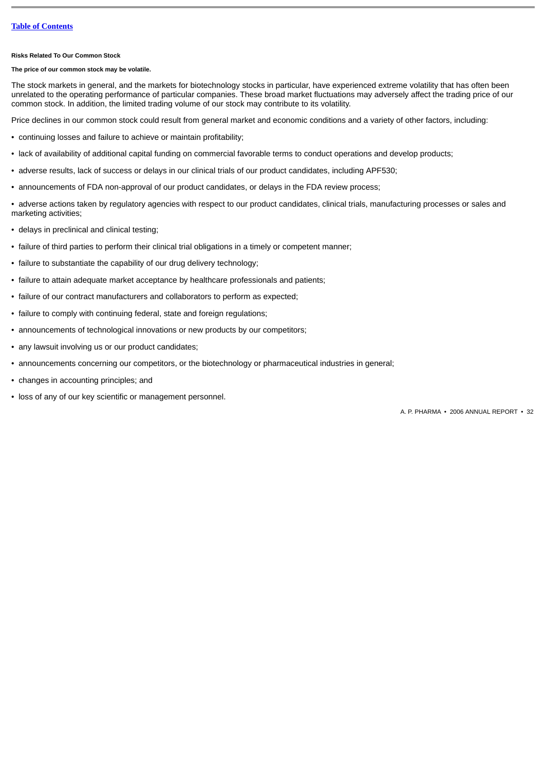#### **Risks Related To Our Common Stock**

**The price of our common stock may be volatile.**

The stock markets in general, and the markets for biotechnology stocks in particular, have experienced extreme volatility that has often been unrelated to the operating performance of particular companies. These broad market fluctuations may adversely affect the trading price of our common stock. In addition, the limited trading volume of our stock may contribute to its volatility.

Price declines in our common stock could result from general market and economic conditions and a variety of other factors, including:

- continuing losses and failure to achieve or maintain profitability;
- lack of availability of additional capital funding on commercial favorable terms to conduct operations and develop products;
- adverse results, lack of success or delays in our clinical trials of our product candidates, including APF530;
- announcements of FDA non-approval of our product candidates, or delays in the FDA review process;

• adverse actions taken by regulatory agencies with respect to our product candidates, clinical trials, manufacturing processes or sales and marketing activities;

- delays in preclinical and clinical testing;
- failure of third parties to perform their clinical trial obligations in a timely or competent manner;
- failure to substantiate the capability of our drug delivery technology;
- failure to attain adequate market acceptance by healthcare professionals and patients;
- failure of our contract manufacturers and collaborators to perform as expected;
- failure to comply with continuing federal, state and foreign regulations;
- announcements of technological innovations or new products by our competitors;
- any lawsuit involving us or our product candidates;
- announcements concerning our competitors, or the biotechnology or pharmaceutical industries in general;
- changes in accounting principles; and
- loss of any of our key scientific or management personnel.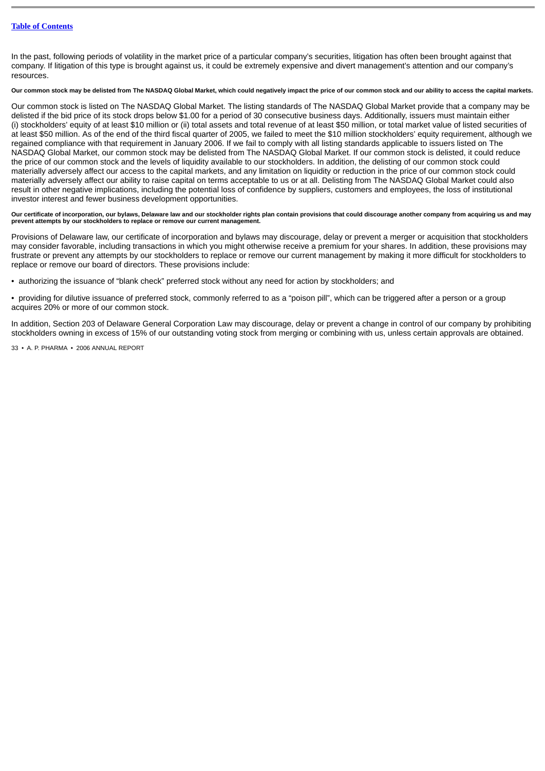In the past, following periods of volatility in the market price of a particular company's securities, litigation has often been brought against that company. If litigation of this type is brought against us, it could be extremely expensive and divert management's attention and our company's resources.

## **Our common stock may be delisted from The NASDAQ Global Market, which could negatively impact the price of our common stock and our ability to access the capital markets.**

Our common stock is listed on The NASDAQ Global Market. The listing standards of The NASDAQ Global Market provide that a company may be delisted if the bid price of its stock drops below \$1.00 for a period of 30 consecutive business days. Additionally, issuers must maintain either (i) stockholders' equity of at least \$10 million or (ii) total assets and total revenue of at least \$50 million, or total market value of listed securities of at least \$50 million. As of the end of the third fiscal quarter of 2005, we failed to meet the \$10 million stockholders' equity requirement, although we regained compliance with that requirement in January 2006. If we fail to comply with all listing standards applicable to issuers listed on The NASDAQ Global Market, our common stock may be delisted from The NASDAQ Global Market. If our common stock is delisted, it could reduce the price of our common stock and the levels of liquidity available to our stockholders. In addition, the delisting of our common stock could materially adversely affect our access to the capital markets, and any limitation on liquidity or reduction in the price of our common stock could materially adversely affect our ability to raise capital on terms acceptable to us or at all. Delisting from The NASDAQ Global Market could also result in other negative implications, including the potential loss of confidence by suppliers, customers and employees, the loss of institutional investor interest and fewer business development opportunities.

# Our certificate of incorporation, our bylaws, Delaware law and our stockholder rights plan contain provisions that could discourage another company from acquiring us and may<br>prevent attempts by our stockholders to replace

Provisions of Delaware law, our certificate of incorporation and bylaws may discourage, delay or prevent a merger or acquisition that stockholders may consider favorable, including transactions in which you might otherwise receive a premium for your shares. In addition, these provisions may frustrate or prevent any attempts by our stockholders to replace or remove our current management by making it more difficult for stockholders to replace or remove our board of directors. These provisions include:

• authorizing the issuance of "blank check" preferred stock without any need for action by stockholders; and

• providing for dilutive issuance of preferred stock, commonly referred to as a "poison pill", which can be triggered after a person or a group acquires 20% or more of our common stock.

In addition, Section 203 of Delaware General Corporation Law may discourage, delay or prevent a change in control of our company by prohibiting stockholders owning in excess of 15% of our outstanding voting stock from merging or combining with us, unless certain approvals are obtained.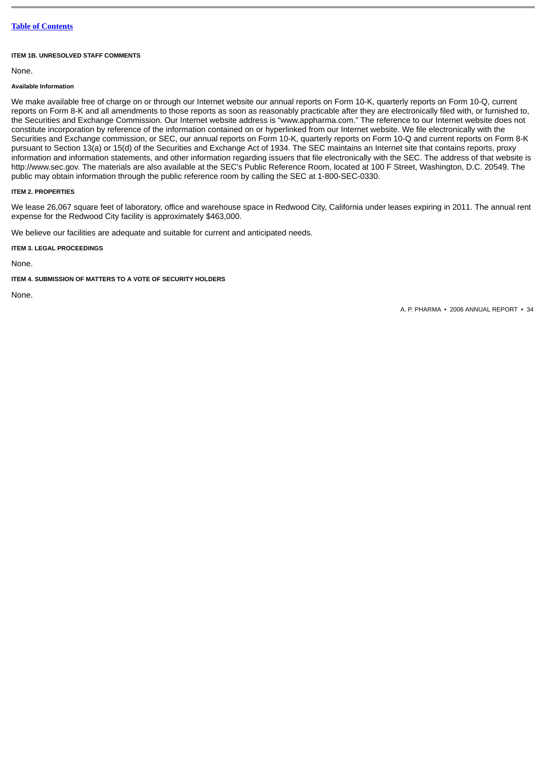#### <span id="page-33-0"></span>**ITEM 1B. UNRESOLVED STAFF COMMENTS**

None.

#### **Available Information**

We make available free of charge on or through our Internet website our annual reports on Form 10-K, quarterly reports on Form 10-Q, current reports on Form 8-K and all amendments to those reports as soon as reasonably practicable after they are electronically filed with, or furnished to, the Securities and Exchange Commission. Our Internet website address is "www.appharma.com." The reference to our Internet website does not constitute incorporation by reference of the information contained on or hyperlinked from our Internet website. We file electronically with the Securities and Exchange commission, or SEC, our annual reports on Form 10-K, quarterly reports on Form 10-Q and current reports on Form 8-K pursuant to Section 13(a) or 15(d) of the Securities and Exchange Act of 1934. The SEC maintains an Internet site that contains reports, proxy information and information statements, and other information regarding issuers that file electronically with the SEC. The address of that website is http://www.sec.gov. The materials are also available at the SEC's Public Reference Room, located at 100 F Street, Washington, D.C. 20549. The public may obtain information through the public reference room by calling the SEC at 1-800-SEC-0330.

## <span id="page-33-1"></span>**ITEM 2. PROPERTIES**

We lease 26,067 square feet of laboratory, office and warehouse space in Redwood City, California under leases expiring in 2011. The annual rent expense for the Redwood City facility is approximately \$463,000.

We believe our facilities are adequate and suitable for current and anticipated needs.

<span id="page-33-2"></span>**ITEM 3. LEGAL PROCEEDINGS**

None.

<span id="page-33-3"></span>**ITEM 4. SUBMISSION OF MATTERS TO A VOTE OF SECURITY HOLDERS**

None.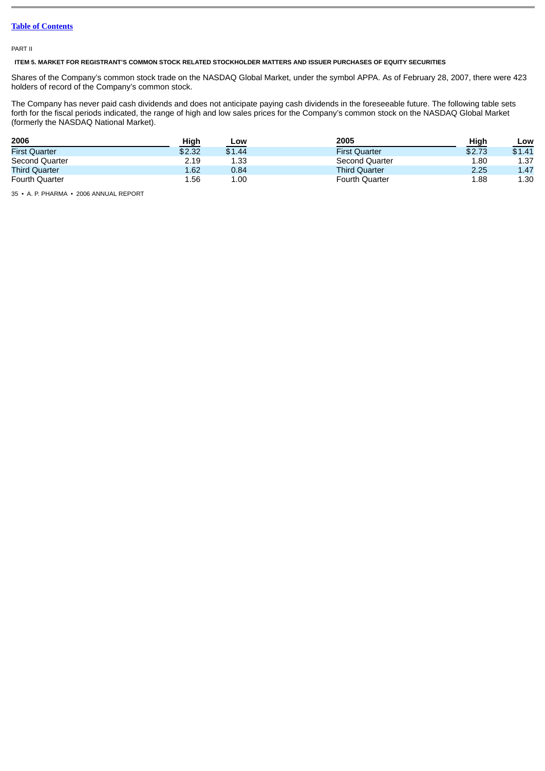<span id="page-34-0"></span>PART II

<span id="page-34-1"></span>**ITEM 5. MARKET FOR REGISTRANT'S COMMON STOCK RELATED STOCKHOLDER MATTERS AND ISSUER PURCHASES OF EQUITY SECURITIES**

Shares of the Company's common stock trade on the NASDAQ Global Market, under the symbol APPA. As of February 28, 2007, there were 423 holders of record of the Company's common stock.

The Company has never paid cash dividends and does not anticipate paying cash dividends in the foreseeable future. The following table sets forth for the fiscal periods indicated, the range of high and low sales prices for the Company's common stock on the NASDAQ Global Market (formerly the NASDAQ National Market).

| 2006                  | High<br>Low |        | 2005                  | High   | LOW    |
|-----------------------|-------------|--------|-----------------------|--------|--------|
| <b>First Ouarter</b>  | \$2.32      | \$1.44 | <b>First Quarter</b>  | \$2.73 | \$1.41 |
| Second Quarter        | 2.19        | 1.33   | Second Quarter        | 1.80   | 1.37   |
| <b>Third Ouarter</b>  | 1.62        | 0.84   | <b>Third Quarter</b>  | 2.25   | 1.47   |
| <b>Fourth Quarter</b> | 1.56        | 1.00   | <b>Fourth Quarter</b> | 1.88   | 1.30   |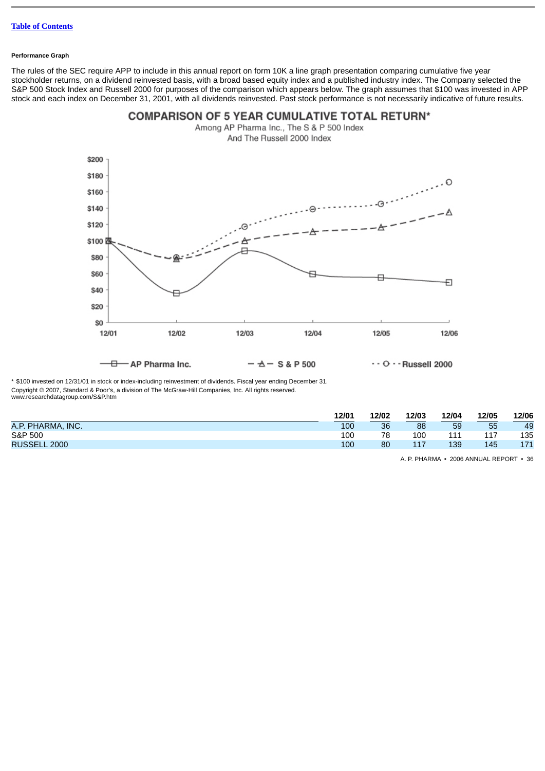#### **Performance Graph**

The rules of the SEC require APP to include in this annual report on form 10K a line graph presentation comparing cumulative five year stockholder returns, on a dividend reinvested basis, with a broad based equity index and a published industry index. The Company selected the S&P 500 Stock Index and Russell 2000 for purposes of the comparison which appears below. The graph assumes that \$100 was invested in APP stock and each index on December 31, 2001, with all dividends reinvested. Past stock performance is not necessarily indicative of future results.



**COMPARISON OF 5 YEAR CUMULATIVE TOTAL RETURN\*** 

Among AP Pharma Inc., The S & P 500 Index And The Russell 2000 Index

\* \$100 invested on 12/31/01 in stock or index-including reinvestment of dividends. Fiscal year ending December 31. Copyright © 2007, Standard & Poor's, a division of The McGraw-Hill Companies, Inc. All rights reserved. www.researchdatagroup.com/S&P.htm

|                         | 12/01 | 12/02 | 12/03 | 12/04 | 12/05 | 12/06 |
|-------------------------|-------|-------|-------|-------|-------|-------|
| A.P. PHARMA, INC.       | 100   | 36    | 88    | 59    | 55    | 49    |
| S&P 500                 | 100   | 78    | 100   | 111   | 117   | 135   |
| .2000<br><b>RUSSELL</b> | 100   | 80    | 117   | 139   | 145   | 171   |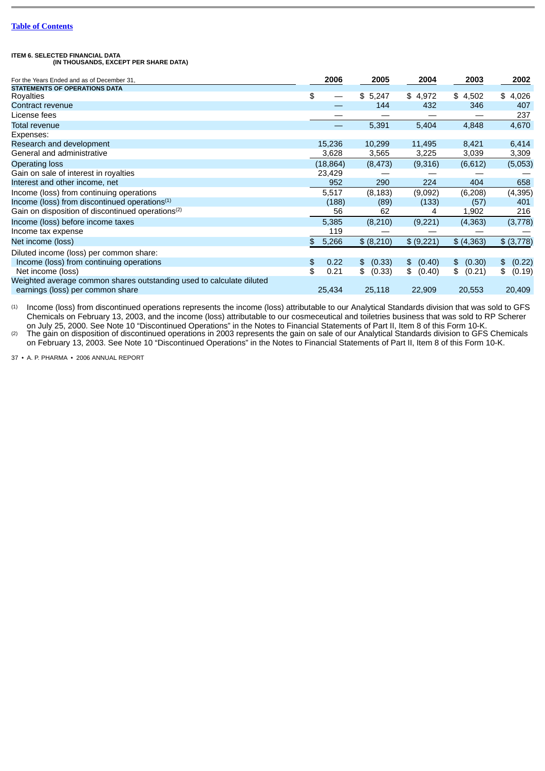# **ITEM 6. SELECTED FINANCIAL DATA (IN THOUSANDS, EXCEPT PER SHARE DATA)**

| For the Years Ended and as of December 31.                           | 2006        | 2005         | 2004         | 2003         | 2002         |
|----------------------------------------------------------------------|-------------|--------------|--------------|--------------|--------------|
| <b>STATEMENTS OF OPERATIONS DATA</b>                                 |             |              |              |              |              |
| Royalties                                                            | \$<br>—     | 5,247<br>\$  | \$4,972      | \$4,502      | \$4,026      |
| Contract revenue                                                     |             | 144          | 432          | 346          | 407          |
| License fees                                                         |             |              |              |              | 237          |
| <b>Total revenue</b>                                                 |             | 5,391        | 5,404        | 4,848        | 4,670        |
| Expenses:                                                            |             |              |              |              |              |
| Research and development                                             | 15,236      | 10,299       | 11,495       | 8,421        | 6,414        |
| General and administrative                                           | 3,628       | 3,565        | 3,225        | 3,039        | 3,309        |
| <b>Operating loss</b>                                                | (18, 864)   | (8, 473)     | (9,316)      | (6,612)      | (5,053)      |
| Gain on sale of interest in royalties                                | 23,429      |              |              |              |              |
| Interest and other income, net                                       | 952         | 290          | 224          | 404          | 658          |
| Income (loss) from continuing operations                             | 5,517       | (8, 183)     | (9,092)      | (6, 208)     | (4, 395)     |
| Income (loss) from discontinued operations <sup>(1)</sup>            | (188)       | (89)         | (133)        | (57)         | 401          |
| Gain on disposition of discontinued operations <sup>(2)</sup>        | 56          | 62           | 4            | 1,902        | 216          |
| Income (loss) before income taxes                                    | 5,385       | (8,210)      | (9, 221)     | (4, 363)     | (3,778)      |
| Income tax expense                                                   | 119         |              |              |              |              |
| Net income (loss)                                                    | \$<br>5,266 | \$ (8,210)   | \$ (9,221)   | \$(4,363)    | \$ (3,778)   |
| Diluted income (loss) per common share:                              |             |              |              |              |              |
| Income (loss) from continuing operations                             | \$<br>0.22  | (0.33)<br>\$ | (0.40)<br>\$ | (0.30)<br>\$ | (0.22)<br>\$ |
| Net income (loss)                                                    | \$<br>0.21  | \$<br>(0.33) | \$<br>(0.40) | \$<br>(0.21) | \$<br>(0.19) |
| Weighted average common shares outstanding used to calculate diluted |             |              |              |              |              |
| earnings (loss) per common share                                     | 25,434      | 25,118       | 22,909       | 20,553       | 20,409       |

(1) Income (loss) from discontinued operations represents the income (loss) attributable to our Analytical Standards division that was sold to GFS Chemicals on February 13, 2003, and the income (loss) attributable to our cosmeceutical and toiletries business that was sold to RP Scherer on July 25, 2000. See Note 10 "Discontinued Operations" in the Notes to Financial Statements of Part II, Item 8 of this Form 10-K.

(2) The gain on disposition of discontinued operations in 2003 represents the gain on sale of our Analytical Standards division to GFS Chemicals on February 13, 2003. See Note 10 "Discontinued Operations" in the Notes to Financial Statements of Part II, Item 8 of this Form 10-K.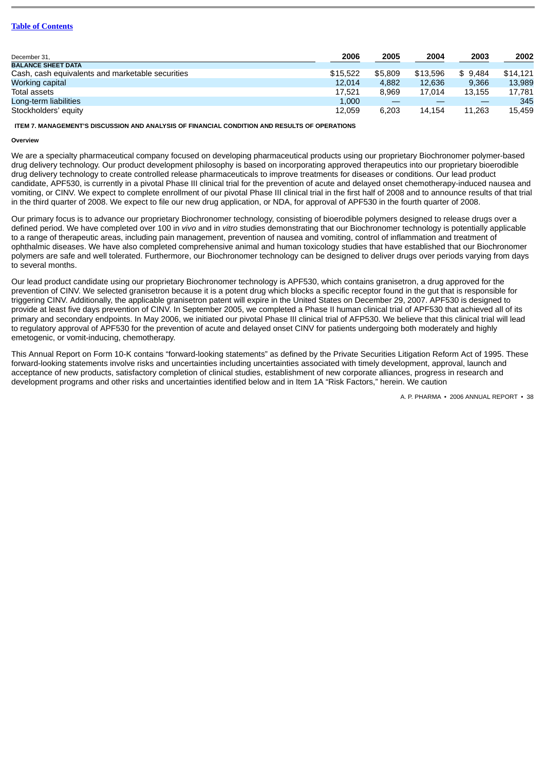| 2006     | 2005    | 2004     | 2003    | 2002     |
|----------|---------|----------|---------|----------|
|          |         |          |         |          |
| \$15.522 | \$5,809 | \$13.596 | \$9.484 | \$14,121 |
| 12.014   | 4,882   | 12,636   | 9.366   | 13,989   |
| 17,521   | 8.969   | 17.014   | 13.155  | 17,781   |
| 1,000    |         |          |         | 345      |
| 12,059   | 6.203   | 14.154   | 11.263  | 15,459   |
|          |         |          |         |          |

#### **ITEM 7. MANAGEMENT'S DISCUSSION AND ANALYSIS OF FINANCIAL CONDITION AND RESULTS OF OPERATIONS**

#### **Overview**

We are a specialty pharmaceutical company focused on developing pharmaceutical products using our proprietary Biochronomer polymer-based drug delivery technology. Our product development philosophy is based on incorporating approved therapeutics into our proprietary bioerodible drug delivery technology to create controlled release pharmaceuticals to improve treatments for diseases or conditions. Our lead product candidate, APF530, is currently in a pivotal Phase III clinical trial for the prevention of acute and delayed onset chemotherapy-induced nausea and vomiting, or CINV. We expect to complete enrollment of our pivotal Phase III clinical trial in the first half of 2008 and to announce results of that trial in the third quarter of 2008. We expect to file our new drug application, or NDA, for approval of APF530 in the fourth quarter of 2008.

Our primary focus is to advance our proprietary Biochronomer technology, consisting of bioerodible polymers designed to release drugs over a defined period. We have completed over 100 in *vivo* and in *vitro* studies demonstrating that our Biochronomer technology is potentially applicable to a range of therapeutic areas, including pain management, prevention of nausea and vomiting, control of inflammation and treatment of ophthalmic diseases. We have also completed comprehensive animal and human toxicology studies that have established that our Biochronomer polymers are safe and well tolerated. Furthermore, our Biochronomer technology can be designed to deliver drugs over periods varying from days to several months.

Our lead product candidate using our proprietary Biochronomer technology is APF530, which contains granisetron, a drug approved for the prevention of CINV. We selected granisetron because it is a potent drug which blocks a specific receptor found in the gut that is responsible for triggering CINV. Additionally, the applicable granisetron patent will expire in the United States on December 29, 2007. APF530 is designed to provide at least five days prevention of CINV. In September 2005, we completed a Phase II human clinical trial of APF530 that achieved all of its primary and secondary endpoints. In May 2006, we initiated our pivotal Phase III clinical trial of AFP530. We believe that this clinical trial will lead to regulatory approval of APF530 for the prevention of acute and delayed onset CINV for patients undergoing both moderately and highly emetogenic, or vomit-inducing, chemotherapy.

This Annual Report on Form 10-K contains "forward-looking statements" as defined by the Private Securities Litigation Reform Act of 1995. These forward-looking statements involve risks and uncertainties including uncertainties associated with timely development, approval, launch and acceptance of new products, satisfactory completion of clinical studies, establishment of new corporate alliances, progress in research and development programs and other risks and uncertainties identified below and in Item 1A "Risk Factors," herein. We caution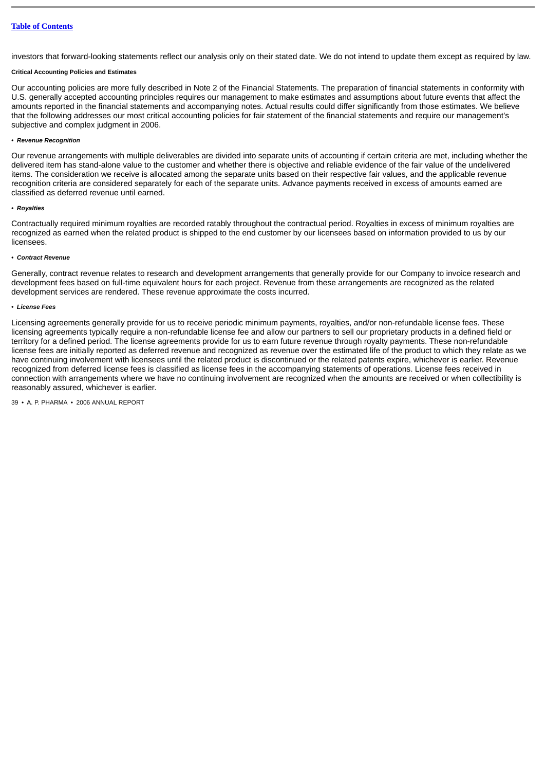investors that forward-looking statements reflect our analysis only on their stated date. We do not intend to update them except as required by law.

# **Critical Accounting Policies and Estimates**

Our accounting policies are more fully described in Note 2 of the Financial Statements. The preparation of financial statements in conformity with U.S. generally accepted accounting principles requires our management to make estimates and assumptions about future events that affect the amounts reported in the financial statements and accompanying notes. Actual results could differ significantly from those estimates. We believe that the following addresses our most critical accounting policies for fair statement of the financial statements and require our management's subjective and complex judgment in 2006.

## *• Revenue Recognition*

Our revenue arrangements with multiple deliverables are divided into separate units of accounting if certain criteria are met, including whether the delivered item has stand-alone value to the customer and whether there is objective and reliable evidence of the fair value of the undelivered items. The consideration we receive is allocated among the separate units based on their respective fair values, and the applicable revenue recognition criteria are considered separately for each of the separate units. Advance payments received in excess of amounts earned are classified as deferred revenue until earned.

#### *• Royalties*

Contractually required minimum royalties are recorded ratably throughout the contractual period. Royalties in excess of minimum royalties are recognized as earned when the related product is shipped to the end customer by our licensees based on information provided to us by our **licensees** 

#### *• Contract Revenue*

Generally, contract revenue relates to research and development arrangements that generally provide for our Company to invoice research and development fees based on full-time equivalent hours for each project. Revenue from these arrangements are recognized as the related development services are rendered. These revenue approximate the costs incurred.

#### *• License Fees*

Licensing agreements generally provide for us to receive periodic minimum payments, royalties, and/or non-refundable license fees. These licensing agreements typically require a non-refundable license fee and allow our partners to sell our proprietary products in a defined field or territory for a defined period. The license agreements provide for us to earn future revenue through royalty payments. These non-refundable license fees are initially reported as deferred revenue and recognized as revenue over the estimated life of the product to which they relate as we have continuing involvement with licensees until the related product is discontinued or the related patents expire, whichever is earlier. Revenue recognized from deferred license fees is classified as license fees in the accompanying statements of operations. License fees received in connection with arrangements where we have no continuing involvement are recognized when the amounts are received or when collectibility is reasonably assured, whichever is earlier.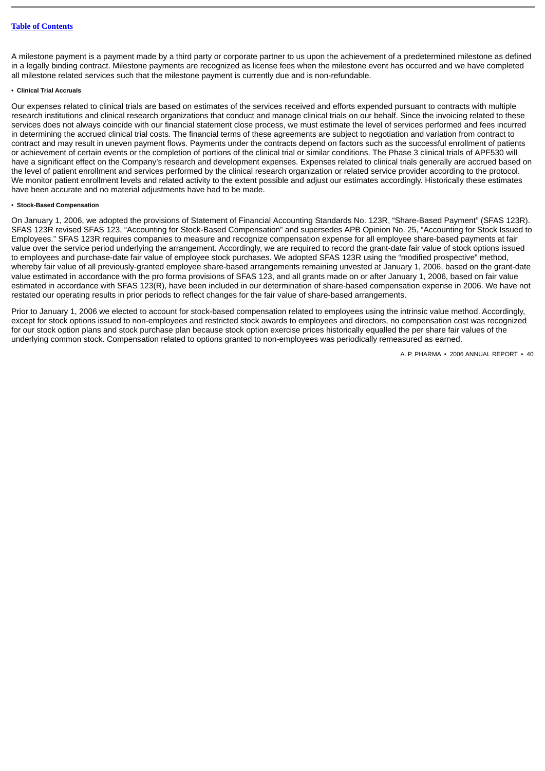A milestone payment is a payment made by a third party or corporate partner to us upon the achievement of a predetermined milestone as defined in a legally binding contract. Milestone payments are recognized as license fees when the milestone event has occurred and we have completed all milestone related services such that the milestone payment is currently due and is non-refundable.

## **• Clinical Trial Accruals**

Our expenses related to clinical trials are based on estimates of the services received and efforts expended pursuant to contracts with multiple research institutions and clinical research organizations that conduct and manage clinical trials on our behalf. Since the invoicing related to these services does not always coincide with our financial statement close process, we must estimate the level of services performed and fees incurred in determining the accrued clinical trial costs. The financial terms of these agreements are subject to negotiation and variation from contract to contract and may result in uneven payment flows. Payments under the contracts depend on factors such as the successful enrollment of patients or achievement of certain events or the completion of portions of the clinical trial or similar conditions. The Phase 3 clinical trials of APF530 will have a significant effect on the Company's research and development expenses. Expenses related to clinical trials generally are accrued based on the level of patient enrollment and services performed by the clinical research organization or related service provider according to the protocol. We monitor patient enrollment levels and related activity to the extent possible and adjust our estimates accordingly. Historically these estimates have been accurate and no material adjustments have had to be made.

#### **• Stock-Based Compensation**

On January 1, 2006, we adopted the provisions of Statement of Financial Accounting Standards No. 123R, "Share-Based Payment" (SFAS 123R). SFAS 123R revised SFAS 123, "Accounting for Stock-Based Compensation" and supersedes APB Opinion No. 25, "Accounting for Stock Issued to Employees." SFAS 123R requires companies to measure and recognize compensation expense for all employee share-based payments at fair value over the service period underlying the arrangement. Accordingly, we are required to record the grant-date fair value of stock options issued to employees and purchase-date fair value of employee stock purchases. We adopted SFAS 123R using the "modified prospective" method, whereby fair value of all previously-granted employee share-based arrangements remaining unvested at January 1, 2006, based on the grant-date value estimated in accordance with the pro forma provisions of SFAS 123, and all grants made on or after January 1, 2006, based on fair value estimated in accordance with SFAS 123(R), have been included in our determination of share-based compensation expense in 2006. We have not restated our operating results in prior periods to reflect changes for the fair value of share-based arrangements.

Prior to January 1, 2006 we elected to account for stock-based compensation related to employees using the intrinsic value method. Accordingly, except for stock options issued to non-employees and restricted stock awards to employees and directors, no compensation cost was recognized for our stock option plans and stock purchase plan because stock option exercise prices historically equalled the per share fair values of the underlying common stock. Compensation related to options granted to non-employees was periodically remeasured as earned.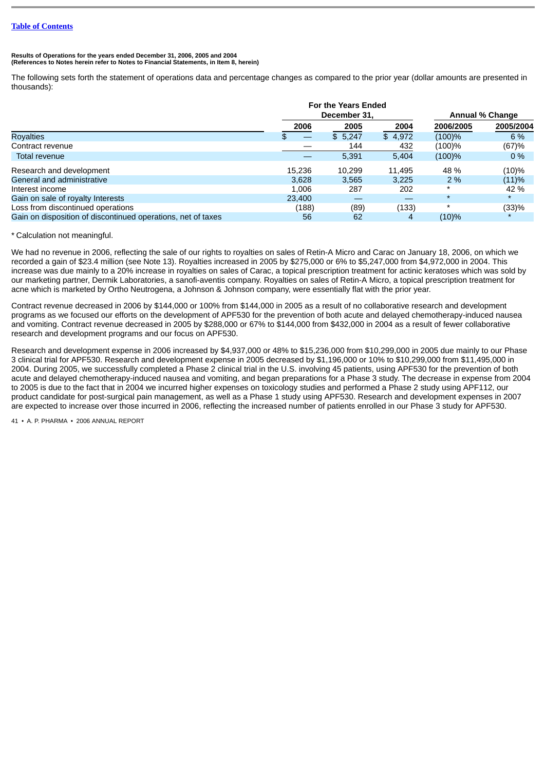**Results of Operations for the years ended December 31, 2006, 2005 and 2004 (References to Notes herein refer to Notes to Financial Statements, in Item 8, herein)**

The following sets forth the statement of operations data and percentage changes as compared to the prior year (dollar amounts are presented in thousands):

|                                                              |                                 | <b>For the Years Ended</b><br>December 31. |         | <b>Annual % Change</b> |           |
|--------------------------------------------------------------|---------------------------------|--------------------------------------------|---------|------------------------|-----------|
|                                                              | 2006                            | 2005                                       | 2004    | 2006/2005              | 2005/2004 |
| <b>Rovalties</b>                                             | \$.<br>$\overline{\phantom{m}}$ | \$5,247                                    | \$4,972 | $(100)\%$              | 6 %       |
| Contract revenue                                             |                                 | 144                                        | 432     | (100)%                 | (67)%     |
| Total revenue                                                |                                 | 5,391                                      | 5.404   | $(100)\%$              | $0\%$     |
| Research and development                                     | 15,236                          | 10.299                                     | 11,495  | 48 %                   | $(10)\%$  |
| General and administrative                                   | 3.628                           | 3.565                                      | 3.225   | 2%                     | (11)%     |
| Interest income                                              | 1.006                           | 287                                        | 202     | $\star$                | 42 %      |
| Gain on sale of royalty Interests                            | 23,400                          |                                            |         | $\star$                | $\star$   |
| Loss from discontinued operations                            | (188)                           | (89)                                       | (133)   | $\star$                | (33)%     |
| Gain on disposition of discontinued operations, net of taxes | 56                              | 62                                         | 4       | $(10)\%$               |           |

\* Calculation not meaningful.

We had no revenue in 2006, reflecting the sale of our rights to royalties on sales of Retin-A Micro and Carac on January 18, 2006, on which we recorded a gain of \$23.4 million (see Note 13). Royalties increased in 2005 by \$275,000 or 6% to \$5,247,000 from \$4,972,000 in 2004. This increase was due mainly to a 20% increase in royalties on sales of Carac, a topical prescription treatment for actinic keratoses which was sold by our marketing partner, Dermik Laboratories, a sanofi-aventis company. Royalties on sales of Retin-A Micro, a topical prescription treatment for acne which is marketed by Ortho Neutrogena, a Johnson & Johnson company, were essentially flat with the prior year.

Contract revenue decreased in 2006 by \$144,000 or 100% from \$144,000 in 2005 as a result of no collaborative research and development programs as we focused our efforts on the development of APF530 for the prevention of both acute and delayed chemotherapy-induced nausea and vomiting. Contract revenue decreased in 2005 by \$288,000 or 67% to \$144,000 from \$432,000 in 2004 as a result of fewer collaborative research and development programs and our focus on APF530.

Research and development expense in 2006 increased by \$4,937,000 or 48% to \$15,236,000 from \$10,299,000 in 2005 due mainly to our Phase 3 clinical trial for APF530. Research and development expense in 2005 decreased by \$1,196,000 or 10% to \$10,299,000 from \$11,495,000 in 2004. During 2005, we successfully completed a Phase 2 clinical trial in the U.S. involving 45 patients, using APF530 for the prevention of both acute and delayed chemotherapy-induced nausea and vomiting, and began preparations for a Phase 3 study. The decrease in expense from 2004 to 2005 is due to the fact that in 2004 we incurred higher expenses on toxicology studies and performed a Phase 2 study using APF112, our product candidate for post-surgical pain management, as well as a Phase 1 study using APF530. Research and development expenses in 2007 are expected to increase over those incurred in 2006, reflecting the increased number of patients enrolled in our Phase 3 study for APF530.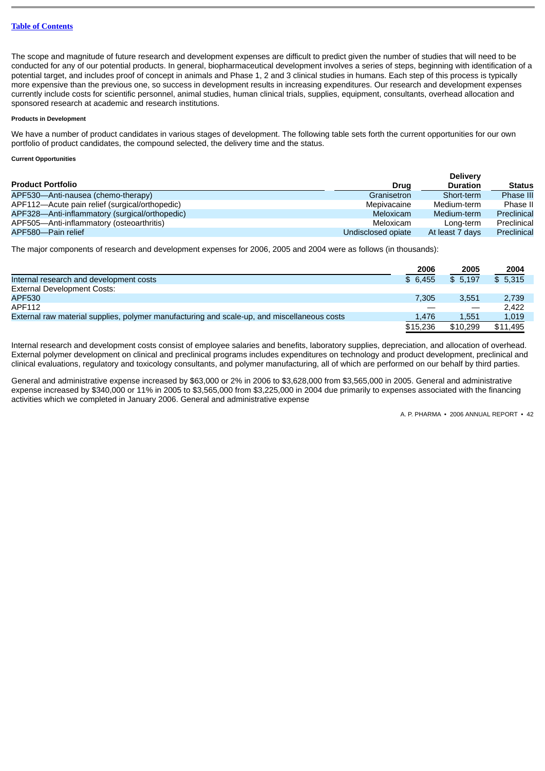The scope and magnitude of future research and development expenses are difficult to predict given the number of studies that will need to be conducted for any of our potential products. In general, biopharmaceutical development involves a series of steps, beginning with identification of a potential target, and includes proof of concept in animals and Phase 1, 2 and 3 clinical studies in humans. Each step of this process is typically more expensive than the previous one, so success in development results in increasing expenditures. Our research and development expenses currently include costs for scientific personnel, animal studies, human clinical trials, supplies, equipment, consultants, overhead allocation and sponsored research at academic and research institutions.

#### **Products in Development**

We have a number of product candidates in various stages of development. The following table sets forth the current opportunities for our own portfolio of product candidates, the compound selected, the delivery time and the status.

#### **Current Opportunities**

|                                                |                    | <b>Delivery</b> |               |
|------------------------------------------------|--------------------|-----------------|---------------|
| <b>Product Portfolio</b>                       | Drug               | <b>Duration</b> | <b>Status</b> |
| APF530-Anti-nausea (chemo-therapy)             | Granisetron        | Short-term      | Phase III     |
| APF112—Acute pain relief (surgical/orthopedic) | Mepivacaine        | Medium-term     | Phase II      |
| APF328-Anti-inflammatory (surgical/orthopedic) | Meloxicam          | Medium-term     | Preclinical   |
| APF505-Anti-inflammatory (osteoarthritis)      | Meloxicam          | Long-term       | Preclinical   |
| APF580-Pain relief                             | Undisclosed opiate | At least 7 days | Preclinical   |

The major components of research and development expenses for 2006, 2005 and 2004 were as follows (in thousands):

|                                                                                             | 2006     | 2005     | 2004     |
|---------------------------------------------------------------------------------------------|----------|----------|----------|
| Internal research and development costs                                                     | \$6.455  | \$5.197  | \$5.315  |
| External Development Costs:                                                                 |          |          |          |
| APF530                                                                                      | 7.305    | 3.551    | 2,739    |
| APF112                                                                                      |          |          | 2.422    |
| External raw material supplies, polymer manufacturing and scale-up, and miscellaneous costs | 1.476    | 1.551    | 1,019    |
|                                                                                             | \$15,236 | \$10.299 | \$11.495 |

Internal research and development costs consist of employee salaries and benefits, laboratory supplies, depreciation, and allocation of overhead. External polymer development on clinical and preclinical programs includes expenditures on technology and product development, preclinical and clinical evaluations, regulatory and toxicology consultants, and polymer manufacturing, all of which are performed on our behalf by third parties.

General and administrative expense increased by \$63,000 or 2% in 2006 to \$3,628,000 from \$3,565,000 in 2005. General and administrative expense increased by \$340,000 or 11% in 2005 to \$3,565,000 from \$3,225,000 in 2004 due primarily to expenses associated with the financing activities which we completed in January 2006. General and administrative expense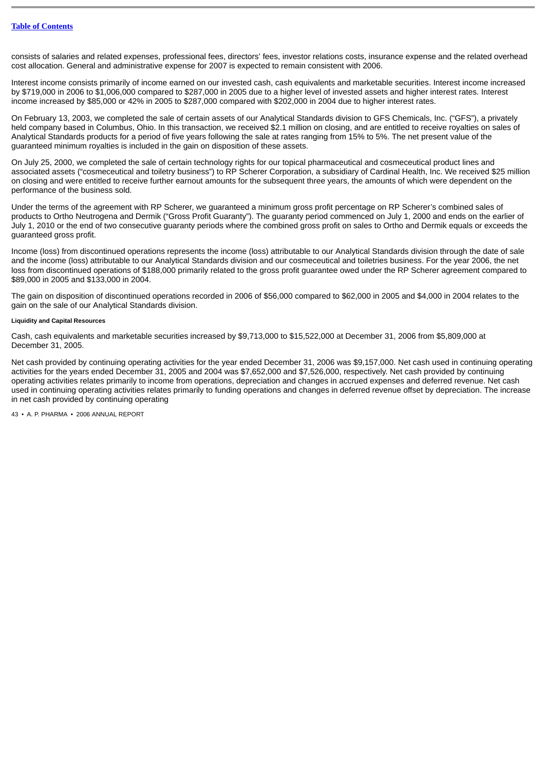consists of salaries and related expenses, professional fees, directors' fees, investor relations costs, insurance expense and the related overhead cost allocation. General and administrative expense for 2007 is expected to remain consistent with 2006.

Interest income consists primarily of income earned on our invested cash, cash equivalents and marketable securities. Interest income increased by \$719,000 in 2006 to \$1,006,000 compared to \$287,000 in 2005 due to a higher level of invested assets and higher interest rates. Interest income increased by \$85,000 or 42% in 2005 to \$287,000 compared with \$202,000 in 2004 due to higher interest rates.

On February 13, 2003, we completed the sale of certain assets of our Analytical Standards division to GFS Chemicals, Inc. ("GFS"), a privately held company based in Columbus, Ohio. In this transaction, we received \$2.1 million on closing, and are entitled to receive royalties on sales of Analytical Standards products for a period of five years following the sale at rates ranging from 15% to 5%. The net present value of the guaranteed minimum royalties is included in the gain on disposition of these assets.

On July 25, 2000, we completed the sale of certain technology rights for our topical pharmaceutical and cosmeceutical product lines and associated assets ("cosmeceutical and toiletry business") to RP Scherer Corporation, a subsidiary of Cardinal Health, Inc. We received \$25 million on closing and were entitled to receive further earnout amounts for the subsequent three years, the amounts of which were dependent on the performance of the business sold.

Under the terms of the agreement with RP Scherer, we guaranteed a minimum gross profit percentage on RP Scherer's combined sales of products to Ortho Neutrogena and Dermik ("Gross Profit Guaranty"). The guaranty period commenced on July 1, 2000 and ends on the earlier of July 1, 2010 or the end of two consecutive guaranty periods where the combined gross profit on sales to Ortho and Dermik equals or exceeds the guaranteed gross profit.

Income (loss) from discontinued operations represents the income (loss) attributable to our Analytical Standards division through the date of sale and the income (loss) attributable to our Analytical Standards division and our cosmeceutical and toiletries business. For the year 2006, the net loss from discontinued operations of \$188,000 primarily related to the gross profit guarantee owed under the RP Scherer agreement compared to \$89,000 in 2005 and \$133,000 in 2004.

The gain on disposition of discontinued operations recorded in 2006 of \$56,000 compared to \$62,000 in 2005 and \$4,000 in 2004 relates to the gain on the sale of our Analytical Standards division.

## **Liquidity and Capital Resources**

Cash, cash equivalents and marketable securities increased by \$9,713,000 to \$15,522,000 at December 31, 2006 from \$5,809,000 at December 31, 2005.

Net cash provided by continuing operating activities for the year ended December 31, 2006 was \$9,157,000. Net cash used in continuing operating activities for the years ended December 31, 2005 and 2004 was \$7,652,000 and \$7,526,000, respectively. Net cash provided by continuing operating activities relates primarily to income from operations, depreciation and changes in accrued expenses and deferred revenue. Net cash used in continuing operating activities relates primarily to funding operations and changes in deferred revenue offset by depreciation. The increase in net cash provided by continuing operating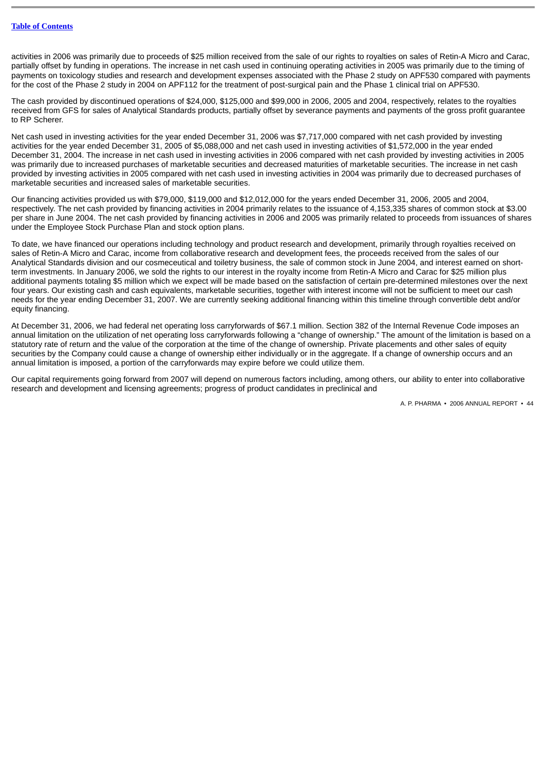activities in 2006 was primarily due to proceeds of \$25 million received from the sale of our rights to royalties on sales of Retin-A Micro and Carac, partially offset by funding in operations. The increase in net cash used in continuing operating activities in 2005 was primarily due to the timing of payments on toxicology studies and research and development expenses associated with the Phase 2 study on APF530 compared with payments for the cost of the Phase 2 study in 2004 on APF112 for the treatment of post-surgical pain and the Phase 1 clinical trial on APF530.

The cash provided by discontinued operations of \$24,000, \$125,000 and \$99,000 in 2006, 2005 and 2004, respectively, relates to the royalties received from GFS for sales of Analytical Standards products, partially offset by severance payments and payments of the gross profit guarantee to RP Scherer.

Net cash used in investing activities for the year ended December 31, 2006 was \$7,717,000 compared with net cash provided by investing activities for the year ended December 31, 2005 of \$5,088,000 and net cash used in investing activities of \$1,572,000 in the year ended December 31, 2004. The increase in net cash used in investing activities in 2006 compared with net cash provided by investing activities in 2005 was primarily due to increased purchases of marketable securities and decreased maturities of marketable securities. The increase in net cash provided by investing activities in 2005 compared with net cash used in investing activities in 2004 was primarily due to decreased purchases of marketable securities and increased sales of marketable securities.

Our financing activities provided us with \$79,000, \$119,000 and \$12,012,000 for the years ended December 31, 2006, 2005 and 2004, respectively. The net cash provided by financing activities in 2004 primarily relates to the issuance of 4,153,335 shares of common stock at \$3.00 per share in June 2004. The net cash provided by financing activities in 2006 and 2005 was primarily related to proceeds from issuances of shares under the Employee Stock Purchase Plan and stock option plans.

To date, we have financed our operations including technology and product research and development, primarily through royalties received on sales of Retin-A Micro and Carac, income from collaborative research and development fees, the proceeds received from the sales of our Analytical Standards division and our cosmeceutical and toiletry business, the sale of common stock in June 2004, and interest earned on shortterm investments. In January 2006, we sold the rights to our interest in the royalty income from Retin-A Micro and Carac for \$25 million plus additional payments totaling \$5 million which we expect will be made based on the satisfaction of certain pre-determined milestones over the next four years. Our existing cash and cash equivalents, marketable securities, together with interest income will not be sufficient to meet our cash needs for the year ending December 31, 2007. We are currently seeking additional financing within this timeline through convertible debt and/or equity financing.

At December 31, 2006, we had federal net operating loss carryforwards of \$67.1 million. Section 382 of the Internal Revenue Code imposes an annual limitation on the utilization of net operating loss carryforwards following a "change of ownership." The amount of the limitation is based on a statutory rate of return and the value of the corporation at the time of the change of ownership. Private placements and other sales of equity securities by the Company could cause a change of ownership either individually or in the aggregate. If a change of ownership occurs and an annual limitation is imposed, a portion of the carryforwards may expire before we could utilize them.

Our capital requirements going forward from 2007 will depend on numerous factors including, among others, our ability to enter into collaborative research and development and licensing agreements; progress of product candidates in preclinical and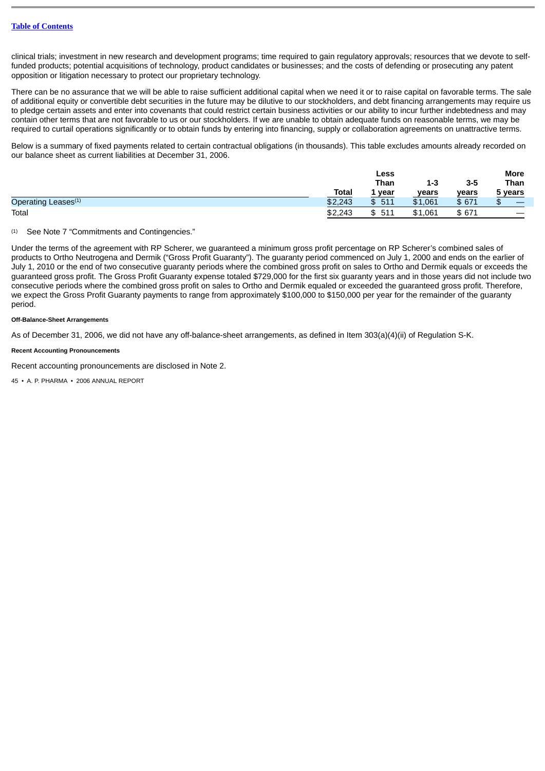clinical trials; investment in new research and development programs; time required to gain regulatory approvals; resources that we devote to selffunded products; potential acquisitions of technology, product candidates or businesses; and the costs of defending or prosecuting any patent opposition or litigation necessary to protect our proprietary technology.

There can be no assurance that we will be able to raise sufficient additional capital when we need it or to raise capital on favorable terms. The sale of additional equity or convertible debt securities in the future may be dilutive to our stockholders, and debt financing arrangements may require us to pledge certain assets and enter into covenants that could restrict certain business activities or our ability to incur further indebtedness and may contain other terms that are not favorable to us or our stockholders. If we are unable to obtain adequate funds on reasonable terms, we may be required to curtail operations significantly or to obtain funds by entering into financing, supply or collaboration agreements on unattractive terms.

Below is a summary of fixed payments related to certain contractual obligations (in thousands). This table excludes amounts already recorded on our balance sheet as current liabilities at December 31, 2006.

|                                 |              | Less      |         |         | More    |
|---------------------------------|--------------|-----------|---------|---------|---------|
|                                 |              | Than      | 1-3     | $3 - 5$ | Than    |
|                                 | <b>Total</b> | year      | years   | years   | 5 years |
| Operating Leases <sup>(1)</sup> | \$2,243      | 511<br>\$ | \$1.061 | \$671   |         |
| Total                           | \$2,243      | 511<br>\$ | \$1.061 | \$671   |         |

(1) See Note 7 "Commitments and Contingencies."

Under the terms of the agreement with RP Scherer, we guaranteed a minimum gross profit percentage on RP Scherer's combined sales of products to Ortho Neutrogena and Dermik ("Gross Profit Guaranty"). The guaranty period commenced on July 1, 2000 and ends on the earlier of July 1, 2010 or the end of two consecutive guaranty periods where the combined gross profit on sales to Ortho and Dermik equals or exceeds the guaranteed gross profit. The Gross Profit Guaranty expense totaled \$729,000 for the first six guaranty years and in those years did not include two consecutive periods where the combined gross profit on sales to Ortho and Dermik equaled or exceeded the guaranteed gross profit. Therefore, we expect the Gross Profit Guaranty payments to range from approximately \$100,000 to \$150,000 per year for the remainder of the guaranty period.

# **Off-Balance-Sheet Arrangements**

As of December 31, 2006, we did not have any off-balance-sheet arrangements, as defined in Item 303(a)(4)(ii) of Regulation S-K.

## **Recent Accounting Pronouncements**

Recent accounting pronouncements are disclosed in Note 2.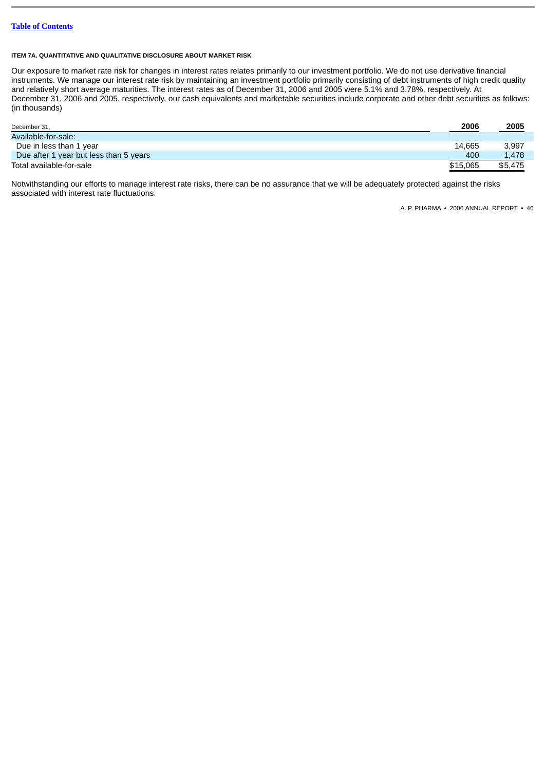# **ITEM 7A. QUANTITATIVE AND QUALITATIVE DISCLOSURE ABOUT MARKET RISK**

Our exposure to market rate risk for changes in interest rates relates primarily to our investment portfolio. We do not use derivative financial instruments. We manage our interest rate risk by maintaining an investment portfolio primarily consisting of debt instruments of high credit quality and relatively short average maturities. The interest rates as of December 31, 2006 and 2005 were 5.1% and 3.78%, respectively. At December 31, 2006 and 2005, respectively, our cash equivalents and marketable securities include corporate and other debt securities as follows: (in thousands)

| December 31,                           | 2006     | 2005    |
|----------------------------------------|----------|---------|
| Available-for-sale:                    |          |         |
| Due in less than 1 year                | 14.665   | 3,997   |
| Due after 1 year but less than 5 years | 400      | 1.478   |
| Total available-for-sale               | \$15,065 | \$5.475 |

Notwithstanding our efforts to manage interest rate risks, there can be no assurance that we will be adequately protected against the risks associated with interest rate fluctuations.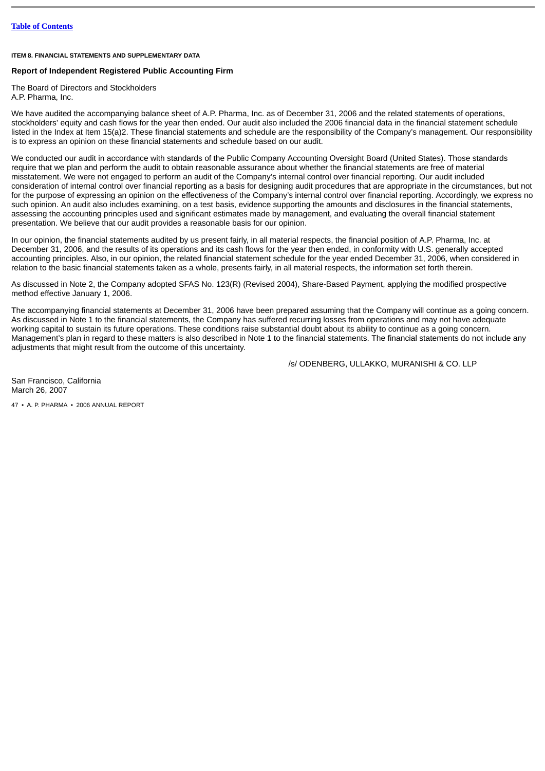# **ITEM 8. FINANCIAL STATEMENTS AND SUPPLEMENTARY DATA**

# **Report of Independent Registered Public Accounting Firm**

The Board of Directors and Stockholders A.P. Pharma, Inc.

We have audited the accompanying balance sheet of A.P. Pharma, Inc. as of December 31, 2006 and the related statements of operations, stockholders' equity and cash flows for the year then ended. Our audit also included the 2006 financial data in the financial statement schedule listed in the Index at Item 15(a)2. These financial statements and schedule are the responsibility of the Company's management. Our responsibility is to express an opinion on these financial statements and schedule based on our audit.

We conducted our audit in accordance with standards of the Public Company Accounting Oversight Board (United States). Those standards require that we plan and perform the audit to obtain reasonable assurance about whether the financial statements are free of material misstatement. We were not engaged to perform an audit of the Company's internal control over financial reporting. Our audit included consideration of internal control over financial reporting as a basis for designing audit procedures that are appropriate in the circumstances, but not for the purpose of expressing an opinion on the effectiveness of the Company's internal control over financial reporting. Accordingly, we express no such opinion. An audit also includes examining, on a test basis, evidence supporting the amounts and disclosures in the financial statements, assessing the accounting principles used and significant estimates made by management, and evaluating the overall financial statement presentation. We believe that our audit provides a reasonable basis for our opinion.

In our opinion, the financial statements audited by us present fairly, in all material respects, the financial position of A.P. Pharma, Inc. at December 31, 2006, and the results of its operations and its cash flows for the year then ended, in conformity with U.S. generally accepted accounting principles. Also, in our opinion, the related financial statement schedule for the year ended December 31, 2006, when considered in relation to the basic financial statements taken as a whole, presents fairly, in all material respects, the information set forth therein.

As discussed in Note 2, the Company adopted SFAS No. 123(R) (Revised 2004), Share-Based Payment, applying the modified prospective method effective January 1, 2006.

The accompanying financial statements at December 31, 2006 have been prepared assuming that the Company will continue as a going concern. As discussed in Note 1 to the financial statements, the Company has suffered recurring losses from operations and may not have adequate working capital to sustain its future operations. These conditions raise substantial doubt about its ability to continue as a going concern. Management's plan in regard to these matters is also described in Note 1 to the financial statements. The financial statements do not include any adjustments that might result from the outcome of this uncertainty.

/s/ ODENBERG, ULLAKKO, MURANISHI & CO. LLP

San Francisco, California March 26, 2007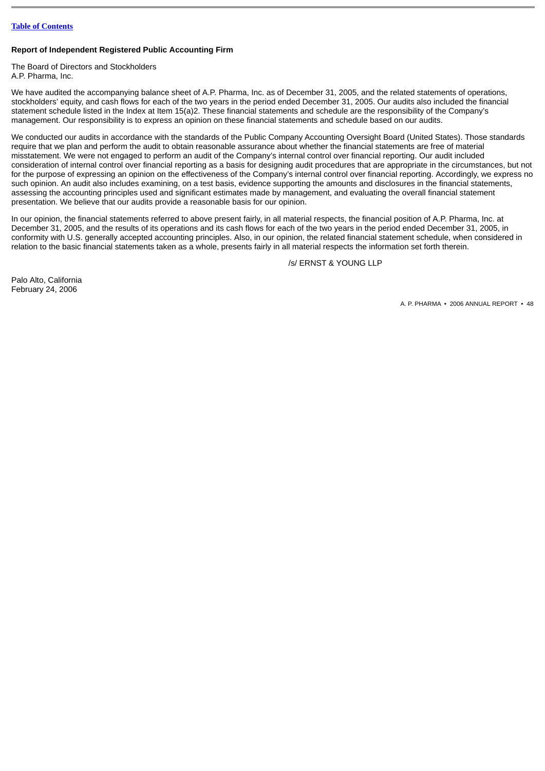# **Report of Independent Registered Public Accounting Firm**

The Board of Directors and Stockholders A.P. Pharma, Inc.

We have audited the accompanying balance sheet of A.P. Pharma, Inc. as of December 31, 2005, and the related statements of operations, stockholders' equity, and cash flows for each of the two years in the period ended December 31, 2005. Our audits also included the financial statement schedule listed in the Index at Item 15(a)2. These financial statements and schedule are the responsibility of the Company's management. Our responsibility is to express an opinion on these financial statements and schedule based on our audits.

We conducted our audits in accordance with the standards of the Public Company Accounting Oversight Board (United States). Those standards require that we plan and perform the audit to obtain reasonable assurance about whether the financial statements are free of material misstatement. We were not engaged to perform an audit of the Company's internal control over financial reporting. Our audit included consideration of internal control over financial reporting as a basis for designing audit procedures that are appropriate in the circumstances, but not for the purpose of expressing an opinion on the effectiveness of the Company's internal control over financial reporting. Accordingly, we express no such opinion. An audit also includes examining, on a test basis, evidence supporting the amounts and disclosures in the financial statements, assessing the accounting principles used and significant estimates made by management, and evaluating the overall financial statement presentation. We believe that our audits provide a reasonable basis for our opinion.

In our opinion, the financial statements referred to above present fairly, in all material respects, the financial position of A.P. Pharma, Inc. at December 31, 2005, and the results of its operations and its cash flows for each of the two years in the period ended December 31, 2005, in conformity with U.S. generally accepted accounting principles. Also, in our opinion, the related financial statement schedule, when considered in relation to the basic financial statements taken as a whole, presents fairly in all material respects the information set forth therein.

/s/ ERNST & YOUNG LLP

Palo Alto, California February 24, 2006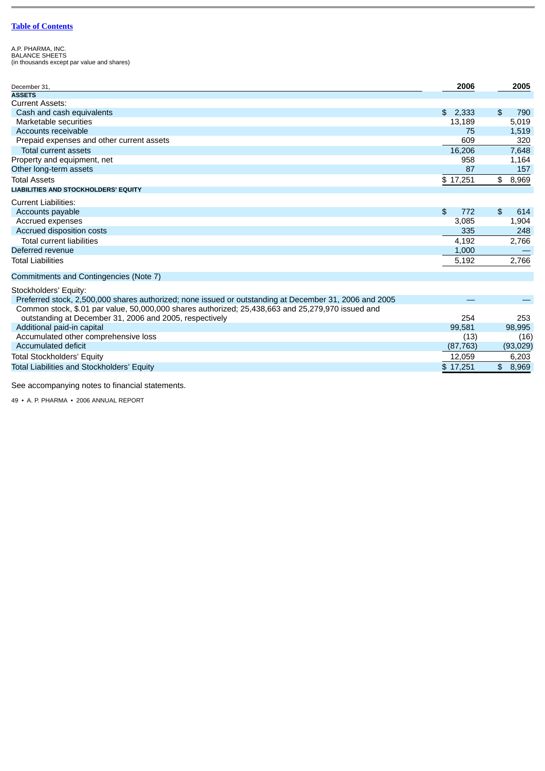A.P. PHARMA, INC. BALANCE SHEETS (in thousands except par value and shares)

| December 31,                                                                                           | 2006                  | 2005      |
|--------------------------------------------------------------------------------------------------------|-----------------------|-----------|
| <b>ASSETS</b>                                                                                          |                       |           |
| <b>Current Assets:</b>                                                                                 |                       |           |
| Cash and cash equivalents                                                                              | \$2,333               | \$<br>790 |
| Marketable securities                                                                                  | 13,189                | 5,019     |
| Accounts receivable                                                                                    | 75                    | 1,519     |
| Prepaid expenses and other current assets                                                              | 609                   | 320       |
| <b>Total current assets</b>                                                                            | 16,206                | 7,648     |
| Property and equipment, net                                                                            | 958                   | 1,164     |
| Other long-term assets                                                                                 | 87                    | 157       |
| <b>Total Assets</b>                                                                                    | \$17,251              | \$8,969   |
| <b>LIABILITIES AND STOCKHOLDERS' EQUITY</b>                                                            |                       |           |
| <b>Current Liabilities:</b>                                                                            |                       |           |
| Accounts payable                                                                                       | $\mathfrak{L}$<br>772 | \$<br>614 |
| Accrued expenses                                                                                       | 3,085                 | 1,904     |
| Accrued disposition costs                                                                              | 335                   | 248       |
| <b>Total current liabilities</b>                                                                       | 4,192                 | 2,766     |
| Deferred revenue                                                                                       | 1,000                 |           |
| <b>Total Liabilities</b>                                                                               | 5,192                 | 2,766     |
| Commitments and Contingencies (Note 7)                                                                 |                       |           |
| Stockholders' Equity:                                                                                  |                       |           |
| Preferred stock, 2,500,000 shares authorized; none issued or outstanding at December 31, 2006 and 2005 |                       |           |
| Common stock, \$.01 par value, 50,000,000 shares authorized; 25,438,663 and 25,279,970 issued and      |                       |           |
| outstanding at December 31, 2006 and 2005, respectively                                                | 254                   | 253       |
| Additional paid-in capital                                                                             | 99,581                | 98,995    |
| Accumulated other comprehensive loss                                                                   | (13)                  | (16)      |
| Accumulated deficit                                                                                    | (87, 763)             | (93,029)  |
| <b>Total Stockholders' Equity</b>                                                                      | 12.059                | 6.203     |

Total Liabilities and Stockholders' Equity **3.17,251** \$ 8,969

See accompanying notes to financial statements.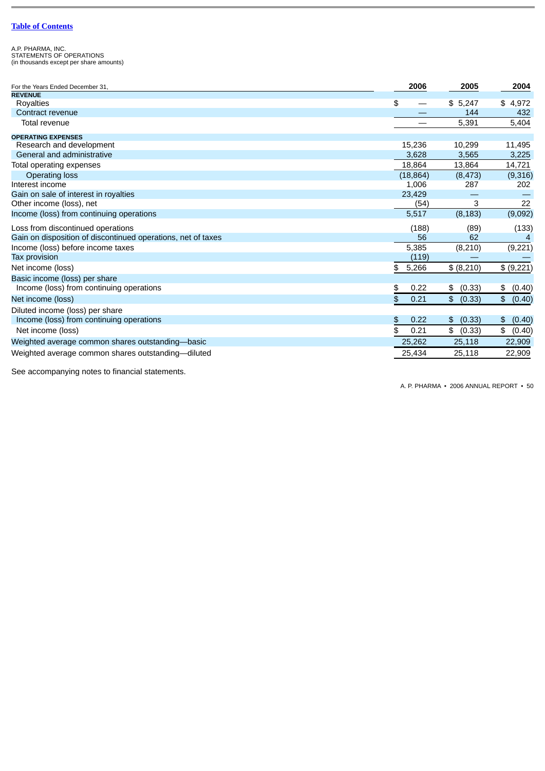A.P. PHARMA, INC. STATEMENTS OF OPERATIONS (in thousands except per share amounts)

| For the Years Ended December 31.                             | 2006        | 2005                     | 2004                    |
|--------------------------------------------------------------|-------------|--------------------------|-------------------------|
| <b>REVENUE</b>                                               |             |                          |                         |
| Royalties                                                    | \$          | \$5,247                  | \$4,972                 |
| Contract revenue                                             |             | 144                      | 432                     |
| <b>Total revenue</b>                                         |             | 5,391                    | 5,404                   |
| <b>OPERATING EXPENSES</b>                                    |             |                          |                         |
| Research and development                                     | 15,236      | 10,299                   | 11,495                  |
| General and administrative                                   | 3,628       | 3,565                    | 3,225                   |
| Total operating expenses                                     | 18,864      | 13,864                   | 14,721                  |
| <b>Operating loss</b>                                        | (18, 864)   | (8, 473)                 | (9,316)                 |
| Interest income                                              | 1,006       | 287                      | 202                     |
| Gain on sale of interest in royalties                        | 23.429      |                          |                         |
| Other income (loss), net                                     | (54)        | 3                        | 22                      |
| Income (loss) from continuing operations                     | 5,517       | (8, 183)                 | (9,092)                 |
| Loss from discontinued operations                            | (188)       | (89)                     | (133)                   |
| Gain on disposition of discontinued operations, net of taxes | 56          | 62                       |                         |
| Income (loss) before income taxes                            | 5,385       | (8, 210)                 | (9, 221)                |
| Tax provision                                                | (119)       |                          |                         |
| Net income (loss)                                            | \$<br>5,266 | \$ (8,210)               | \$ (9,221)              |
| Basic income (loss) per share                                |             |                          |                         |
| Income (loss) from continuing operations                     | 0.22<br>\$  | (0.33)<br>\$             | \$<br>(0.40)            |
| Net income (loss)                                            | \$<br>0.21  | $\mathfrak{S}$<br>(0.33) | \$ (0.40)               |
| Diluted income (loss) per share                              |             |                          |                         |
| Income (loss) from continuing operations                     | \$<br>0.22  | \$ (0.33)                | (0.40)<br>$\frac{1}{2}$ |
| Net income (loss)                                            | \$<br>0.21  | \$ (0.33)                | \$ (0.40)               |
| Weighted average common shares outstanding-basic             | 25,262      | 25,118                   | 22,909                  |
| Weighted average common shares outstanding-diluted           | 25,434      | 25,118                   | 22,909                  |

See accompanying notes to financial statements.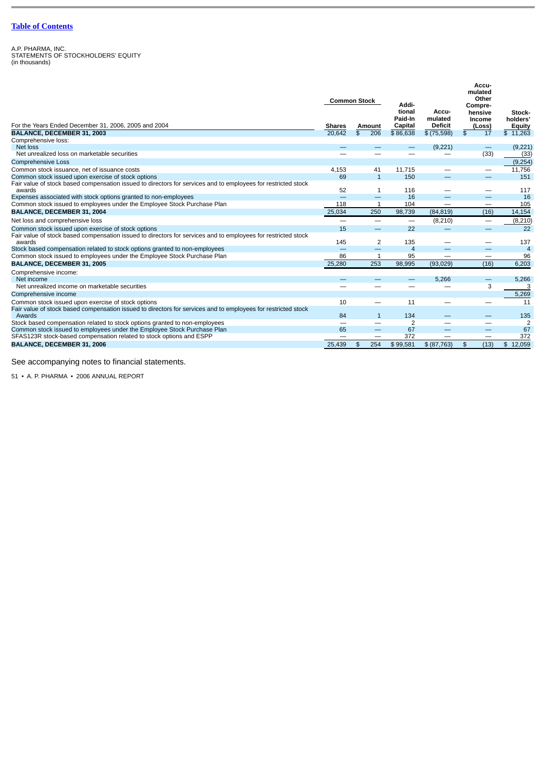A.P. PHARMA, INC. STATEMENTS OF STOCKHOLDERS' EQUITY (in thousands)

| For the Years Ended December 31, 2006, 2005 and 2004                                                                    |                   | <b>Common Stock</b>      | Addi-<br>tional<br>Paid-In<br>Capital | Accu-<br>mulated<br><b>Deficit</b> | Accu-<br>mulated<br>Other<br>Compre-<br>hensive<br>Income | Stock-<br>holders' |
|-------------------------------------------------------------------------------------------------------------------------|-------------------|--------------------------|---------------------------------------|------------------------------------|-----------------------------------------------------------|--------------------|
|                                                                                                                         | <b>Shares</b>     | Amount                   |                                       |                                    | (Loss)                                                    | <b>Equity</b>      |
| BALANCE, DECEMBER 31, 2003                                                                                              | 20.642            | \$<br>206                | \$86,638                              | \$(75,598)                         | 17<br>\$                                                  | \$11.263           |
| Comprehensive loss:<br>Net loss                                                                                         |                   |                          |                                       | (9,221)                            |                                                           | (9,221)            |
| Net unrealized loss on marketable securities                                                                            |                   |                          |                                       |                                    | $\overline{\phantom{0}}$<br>(33)                          | (33)               |
| <b>Comprehensive Loss</b>                                                                                               |                   |                          |                                       |                                    |                                                           | (9, 254)           |
| Common stock issuance, net of issuance costs                                                                            |                   |                          |                                       |                                    |                                                           |                    |
| Common stock issued upon exercise of stock options                                                                      | 4,153<br>69       | 41<br>$\mathbf{1}$       | 11,715<br>150                         |                                    | $\overline{\phantom{0}}$                                  | 11,756<br>151      |
| Fair value of stock based compensation issued to directors for services and to employees for restricted stock           |                   |                          |                                       |                                    | —                                                         |                    |
| awards                                                                                                                  | 52                | 1                        | 116                                   |                                    | —                                                         | 117                |
| Expenses associated with stock options granted to non-employees                                                         |                   | $\overline{\phantom{0}}$ | 16                                    |                                    |                                                           | 16                 |
| Common stock issued to employees under the Employee Stock Purchase Plan                                                 | 118               | $\mathbf{1}$             | 104                                   |                                    | —                                                         | 105                |
| BALANCE, DECEMBER 31, 2004                                                                                              | 25,034            | 250                      | 98,739                                | (84, 819)                          | (16)                                                      | 14,154             |
| Net loss and comprehensive loss                                                                                         |                   |                          |                                       | (8, 210)                           | $\overline{\phantom{0}}$                                  | (8,210)            |
| Common stock issued upon exercise of stock options                                                                      | 15                |                          | 22                                    |                                    |                                                           | 22                 |
| Fair value of stock based compensation issued to directors for services and to employees for restricted stock<br>awards | 145               | 2                        | 135                                   |                                    |                                                           | 137                |
| Stock based compensation related to stock options granted to non-employees                                              | $\qquad \qquad -$ | $\qquad \qquad -$        | $\overline{4}$                        |                                    | --                                                        | $\overline{4}$     |
| Common stock issued to employees under the Employee Stock Purchase Plan                                                 | 86                | 1                        | 95                                    | ÷.                                 | $\overline{\phantom{0}}$                                  | 96                 |
| BALANCE, DECEMBER 31, 2005                                                                                              | 25,280            | 253                      | 98,995                                | (93,029)                           | (16)                                                      | 6,203              |
| Comprehensive income:                                                                                                   |                   |                          |                                       |                                    |                                                           |                    |
| Net income                                                                                                              |                   |                          |                                       | 5,266                              |                                                           | 5,266              |
| Net unrealized income on marketable securities                                                                          |                   |                          |                                       |                                    | 3                                                         | 3                  |
| Comprehensive income                                                                                                    |                   |                          |                                       |                                    |                                                           | 5,269              |
| Common stock issued upon exercise of stock options                                                                      | 10                |                          | 11                                    |                                    |                                                           | 11                 |
| Fair value of stock based compensation issued to directors for services and to employees for restricted stock<br>Awards | 84                | $\mathbf{1}$             | 134                                   |                                    |                                                           | 135                |
| Stock based compensation related to stock options granted to non-employees                                              |                   |                          | $\overline{2}$                        |                                    |                                                           | 2                  |
| Common stock issued to employees under the Employee Stock Purchase Plan                                                 | 65                | --                       | 67                                    |                                    |                                                           | 67                 |
| SFAS123R stock-based compensation related to stock options and ESPP                                                     |                   |                          | 372                                   |                                    | —                                                         | 372                |
| <b>BALANCE, DECEMBER 31, 2006</b>                                                                                       | 25,439            | 254<br>\$                | \$99,581                              | \$ (87.763)                        | (13)<br>\$                                                | \$12.059           |

See accompanying notes to financial statements.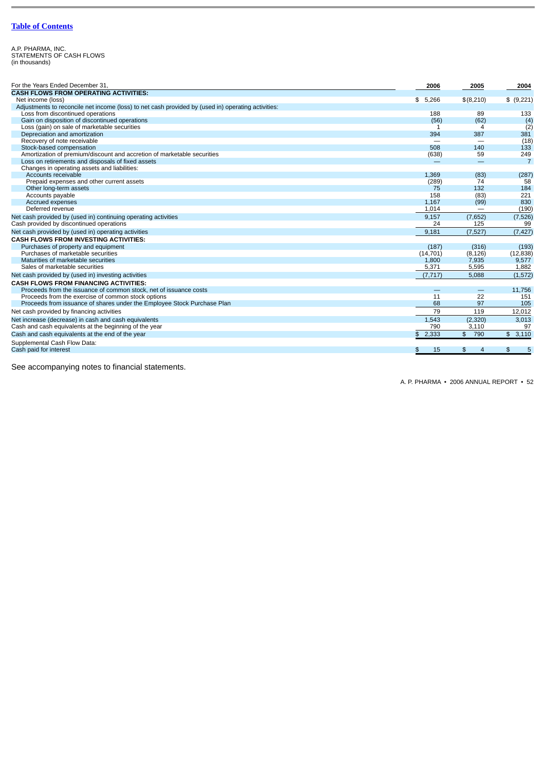A.P. PHARMA, INC. STATEMENTS OF CASH FLOWS (in thousands)

| For the Years Ended December 31.                                                                   | 2006              | 2005                  | 2004           |
|----------------------------------------------------------------------------------------------------|-------------------|-----------------------|----------------|
| <b>CASH FLOWS FROM OPERATING ACTIVITIES:</b>                                                       |                   |                       |                |
| Net income (loss)                                                                                  | 5,266<br>\$       | \$(8,210)             | \$ (9,221)     |
| Adjustments to reconcile net income (loss) to net cash provided by (used in) operating activities: |                   |                       |                |
| Loss from discontinued operations                                                                  | 188               | 89                    | 133            |
| Gain on disposition of discontinued operations                                                     | (56)              | (62)                  | (4)            |
| Loss (gain) on sale of marketable securities                                                       | 1                 | $\boldsymbol{\Delta}$ | (2)            |
| Depreciation and amortization                                                                      | 394               | 387                   | 381            |
| Recovery of note receivable                                                                        |                   |                       | (18)           |
| Stock-based compensation                                                                           | 508               | 140                   | 133            |
| Amortization of premium/discount and accretion of marketable securities                            | (638)             | 59                    | 249            |
| Loss on retirements and disposals of fixed assets                                                  |                   |                       | $\overline{7}$ |
| Changes in operating assets and liabilities:                                                       |                   |                       |                |
| Accounts receivable                                                                                | 1,369             | (83)                  | (287)          |
| Prepaid expenses and other current assets                                                          | (289)             | 74                    | 58             |
| Other long-term assets                                                                             | 75                | 132                   | 184            |
| Accounts payable                                                                                   | 158               | (83)                  | 221            |
| Accrued expenses                                                                                   | 1,167             | (99)                  | 830            |
| Deferred revenue                                                                                   | 1,014             |                       | (190)          |
| Net cash provided by (used in) continuing operating activities                                     | 9,157             | (7,652)               | (7, 526)       |
| Cash provided by discontinued operations                                                           | 24                | 125                   | 99             |
| Net cash provided by (used in) operating activities                                                | 9,181             | (7, 527)              | (7, 427)       |
| <b>CASH FLOWS FROM INVESTING ACTIVITIES:</b>                                                       |                   |                       |                |
| Purchases of property and equipment                                                                | (187)             | (316)                 | (193)          |
| Purchases of marketable securities                                                                 | (14, 701)         | (8, 126)              | (12, 838)      |
| Maturities of marketable securities                                                                | 1,800             | 7,935                 | 9,577          |
| Sales of marketable securities                                                                     | 5,371             | 5,595                 | 1,882          |
| Net cash provided by (used in) investing activities                                                | (7, 717)          | 5,088                 | (1,572)        |
| <b>CASH FLOWS FROM FINANCING ACTIVITIES:</b>                                                       |                   |                       |                |
| Proceeds from the issuance of common stock, net of issuance costs                                  | $\qquad \qquad -$ | $\qquad \qquad -$     | 11,756         |
| Proceeds from the exercise of common stock options                                                 | 11                | 22                    | 151            |
| Proceeds from issuance of shares under the Employee Stock Purchase Plan                            | 68                | 97                    | 105            |
| Net cash provided by financing activities                                                          | 79                | 119                   | 12,012         |
| Net increase (decrease) in cash and cash equivalents                                               | 1.543             | (2,320)               | 3,013          |
| Cash and cash equivalents at the beginning of the year                                             | 790               | 3,110                 | 97             |
| Cash and cash equivalents at the end of the year                                                   | 2,333             | \$<br>790             | \$3,110        |
| Supplemental Cash Flow Data:                                                                       |                   |                       |                |
| Cash paid for interest                                                                             | \$<br>15          | \$<br>4               | 5<br>\$        |

See accompanying notes to financial statements.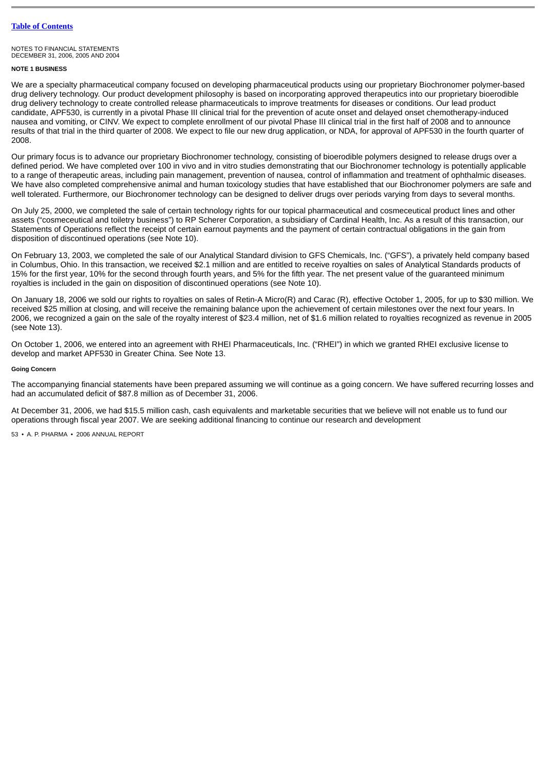NOTES TO FINANCIAL STATEMENTS DECEMBER 31, 2006, 2005 AND 2004

#### **NOTE 1 BUSINESS**

We are a specialty pharmaceutical company focused on developing pharmaceutical products using our proprietary Biochronomer polymer-based drug delivery technology. Our product development philosophy is based on incorporating approved therapeutics into our proprietary bioerodible drug delivery technology to create controlled release pharmaceuticals to improve treatments for diseases or conditions. Our lead product candidate, APF530, is currently in a pivotal Phase III clinical trial for the prevention of acute onset and delayed onset chemotherapy-induced nausea and vomiting, or CINV. We expect to complete enrollment of our pivotal Phase III clinical trial in the first half of 2008 and to announce results of that trial in the third quarter of 2008. We expect to file our new drug application, or NDA, for approval of APF530 in the fourth quarter of 2008.

Our primary focus is to advance our proprietary Biochronomer technology, consisting of bioerodible polymers designed to release drugs over a defined period. We have completed over 100 in vivo and in vitro studies demonstrating that our Biochronomer technology is potentially applicable to a range of therapeutic areas, including pain management, prevention of nausea, control of inflammation and treatment of ophthalmic diseases. We have also completed comprehensive animal and human toxicology studies that have established that our Biochronomer polymers are safe and well tolerated. Furthermore, our Biochronomer technology can be designed to deliver drugs over periods varying from days to several months.

On July 25, 2000, we completed the sale of certain technology rights for our topical pharmaceutical and cosmeceutical product lines and other assets ("cosmeceutical and toiletry business") to RP Scherer Corporation, a subsidiary of Cardinal Health, Inc. As a result of this transaction, our Statements of Operations reflect the receipt of certain earnout payments and the payment of certain contractual obligations in the gain from disposition of discontinued operations (see Note 10).

On February 13, 2003, we completed the sale of our Analytical Standard division to GFS Chemicals, Inc. ("GFS"), a privately held company based in Columbus, Ohio. In this transaction, we received \$2.1 million and are entitled to receive royalties on sales of Analytical Standards products of 15% for the first year, 10% for the second through fourth years, and 5% for the fifth year. The net present value of the guaranteed minimum royalties is included in the gain on disposition of discontinued operations (see Note 10).

On January 18, 2006 we sold our rights to royalties on sales of Retin-A Micro(R) and Carac (R), effective October 1, 2005, for up to \$30 million. We received \$25 million at closing, and will receive the remaining balance upon the achievement of certain milestones over the next four years. In 2006, we recognized a gain on the sale of the royalty interest of \$23.4 million, net of \$1.6 million related to royalties recognized as revenue in 2005 (see Note 13).

On October 1, 2006, we entered into an agreement with RHEI Pharmaceuticals, Inc. ("RHEI") in which we granted RHEI exclusive license to develop and market APF530 in Greater China. See Note 13.

#### **Going Concern**

The accompanying financial statements have been prepared assuming we will continue as a going concern. We have suffered recurring losses and had an accumulated deficit of \$87.8 million as of December 31, 2006.

At December 31, 2006, we had \$15.5 million cash, cash equivalents and marketable securities that we believe will not enable us to fund our operations through fiscal year 2007. We are seeking additional financing to continue our research and development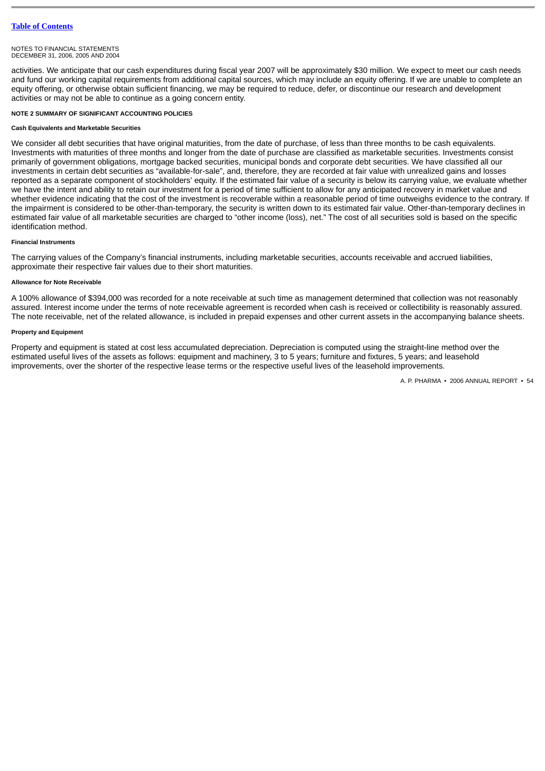activities. We anticipate that our cash expenditures during fiscal year 2007 will be approximately \$30 million. We expect to meet our cash needs and fund our working capital requirements from additional capital sources, which may include an equity offering. If we are unable to complete an equity offering, or otherwise obtain sufficient financing, we may be required to reduce, defer, or discontinue our research and development activities or may not be able to continue as a going concern entity.

## **NOTE 2 SUMMARY OF SIGNIFICANT ACCOUNTING POLICIES**

## **Cash Equivalents and Marketable Securities**

We consider all debt securities that have original maturities, from the date of purchase, of less than three months to be cash equivalents. Investments with maturities of three months and longer from the date of purchase are classified as marketable securities. Investments consist primarily of government obligations, mortgage backed securities, municipal bonds and corporate debt securities. We have classified all our investments in certain debt securities as "available-for-sale", and, therefore, they are recorded at fair value with unrealized gains and losses reported as a separate component of stockholders' equity. If the estimated fair value of a security is below its carrying value, we evaluate whether we have the intent and ability to retain our investment for a period of time sufficient to allow for any anticipated recovery in market value and whether evidence indicating that the cost of the investment is recoverable within a reasonable period of time outweighs evidence to the contrary. If the impairment is considered to be other-than-temporary, the security is written down to its estimated fair value. Other-than-temporary declines in estimated fair value of all marketable securities are charged to "other income (loss), net." The cost of all securities sold is based on the specific identification method.

#### **Financial Instruments**

The carrying values of the Company's financial instruments, including marketable securities, accounts receivable and accrued liabilities, approximate their respective fair values due to their short maturities.

#### **Allowance for Note Receivable**

A 100% allowance of \$394,000 was recorded for a note receivable at such time as management determined that collection was not reasonably assured. Interest income under the terms of note receivable agreement is recorded when cash is received or collectibility is reasonably assured. The note receivable, net of the related allowance, is included in prepaid expenses and other current assets in the accompanying balance sheets.

#### **Property and Equipment**

Property and equipment is stated at cost less accumulated depreciation. Depreciation is computed using the straight-line method over the estimated useful lives of the assets as follows: equipment and machinery, 3 to 5 years; furniture and fixtures, 5 years; and leasehold improvements, over the shorter of the respective lease terms or the respective useful lives of the leasehold improvements.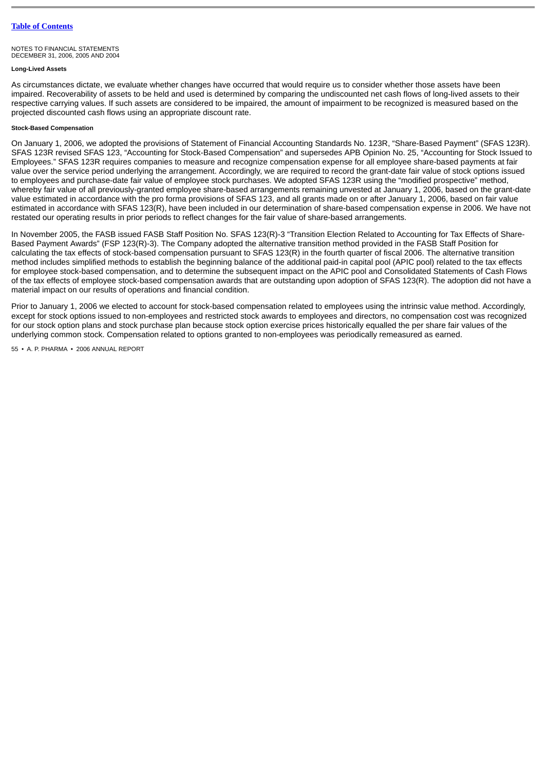#### NOTES TO FINANCIAL STATEMENTS DECEMBER 31, 2006, 2005 AND 2004

#### **Long-Lived Assets**

As circumstances dictate, we evaluate whether changes have occurred that would require us to consider whether those assets have been impaired. Recoverability of assets to be held and used is determined by comparing the undiscounted net cash flows of long-lived assets to their respective carrying values. If such assets are considered to be impaired, the amount of impairment to be recognized is measured based on the projected discounted cash flows using an appropriate discount rate.

#### **Stock-Based Compensation**

On January 1, 2006, we adopted the provisions of Statement of Financial Accounting Standards No. 123R, "Share-Based Payment" (SFAS 123R). SFAS 123R revised SFAS 123, "Accounting for Stock-Based Compensation" and supersedes APB Opinion No. 25, "Accounting for Stock Issued to Employees." SFAS 123R requires companies to measure and recognize compensation expense for all employee share-based payments at fair value over the service period underlying the arrangement. Accordingly, we are required to record the grant-date fair value of stock options issued to employees and purchase-date fair value of employee stock purchases. We adopted SFAS 123R using the "modified prospective" method, whereby fair value of all previously-granted employee share-based arrangements remaining unvested at January 1, 2006, based on the grant-date value estimated in accordance with the pro forma provisions of SFAS 123, and all grants made on or after January 1, 2006, based on fair value estimated in accordance with SFAS 123(R), have been included in our determination of share-based compensation expense in 2006. We have not restated our operating results in prior periods to reflect changes for the fair value of share-based arrangements.

In November 2005, the FASB issued FASB Staff Position No. SFAS 123(R)-3 "Transition Election Related to Accounting for Tax Effects of Share-Based Payment Awards" (FSP 123(R)-3). The Company adopted the alternative transition method provided in the FASB Staff Position for calculating the tax effects of stock-based compensation pursuant to SFAS 123(R) in the fourth quarter of fiscal 2006. The alternative transition method includes simplified methods to establish the beginning balance of the additional paid-in capital pool (APIC pool) related to the tax effects for employee stock-based compensation, and to determine the subsequent impact on the APIC pool and Consolidated Statements of Cash Flows of the tax effects of employee stock-based compensation awards that are outstanding upon adoption of SFAS 123(R). The adoption did not have a material impact on our results of operations and financial condition.

Prior to January 1, 2006 we elected to account for stock-based compensation related to employees using the intrinsic value method. Accordingly, except for stock options issued to non-employees and restricted stock awards to employees and directors, no compensation cost was recognized for our stock option plans and stock purchase plan because stock option exercise prices historically equalled the per share fair values of the underlying common stock. Compensation related to options granted to non-employees was periodically remeasured as earned.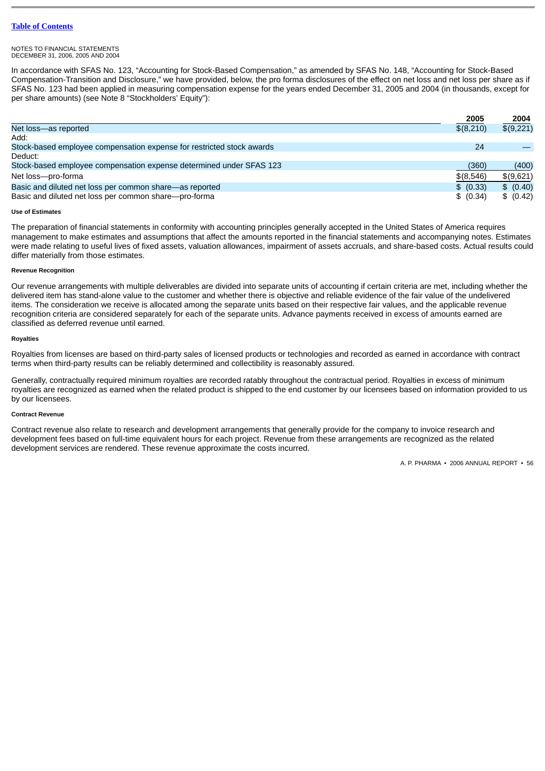#### NOTES TO FINANCIAL STATEMENTS DECEMBER 31, 2006, 2005 AND 2004

In accordance with SFAS No. 123, "Accounting for Stock-Based Compensation," as amended by SFAS No. 148, "Accounting for Stock-Based Compensation-Transition and Disclosure," we have provided, below, the pro forma disclosures of the effect on net loss and net loss per share as if SFAS No. 123 had been applied in measuring compensation expense for the years ended December 31, 2005 and 2004 (in thousands, except for per share amounts) (see Note 8 "Stockholders' Equity"):

|                                                                       | 2005      | 2004      |
|-----------------------------------------------------------------------|-----------|-----------|
| Net loss-as reported                                                  | \$(8,210) | \$(9,221) |
| Add:                                                                  |           |           |
| Stock-based employee compensation expense for restricted stock awards | 24        |           |
| Deduct:                                                               |           |           |
| Stock-based employee compensation expense determined under SFAS 123   | (360)     | (400)     |
| Net loss-pro-forma                                                    | \$(8,546) | \$(9,621) |
| Basic and diluted net loss per common share—as reported               | \$ (0.33) | \$ (0.40) |
| Basic and diluted net loss per common share-pro-forma                 | \$ (0.34) | \$ (0.42) |

#### **Use of Estimates**

The preparation of financial statements in conformity with accounting principles generally accepted in the United States of America requires management to make estimates and assumptions that affect the amounts reported in the financial statements and accompanying notes. Estimates were made relating to useful lives of fixed assets, valuation allowances, impairment of assets accruals, and share-based costs. Actual results could differ materially from those estimates.

#### **Revenue Recognition**

Our revenue arrangements with multiple deliverables are divided into separate units of accounting if certain criteria are met, including whether the delivered item has stand-alone value to the customer and whether there is objective and reliable evidence of the fair value of the undelivered items. The consideration we receive is allocated among the separate units based on their respective fair values, and the applicable revenue recognition criteria are considered separately for each of the separate units. Advance payments received in excess of amounts earned are classified as deferred revenue until earned.

#### **Royalties**

Royalties from licenses are based on third-party sales of licensed products or technologies and recorded as earned in accordance with contract terms when third-party results can be reliably determined and collectibility is reasonably assured.

Generally, contractually required minimum royalties are recorded ratably throughout the contractual period. Royalties in excess of minimum royalties are recognized as earned when the related product is shipped to the end customer by our licensees based on information provided to us by our licensees.

# **Contract Revenue**

Contract revenue also relate to research and development arrangements that generally provide for the company to invoice research and development fees based on full-time equivalent hours for each project. Revenue from these arrangements are recognized as the related development services are rendered. These revenue approximate the costs incurred.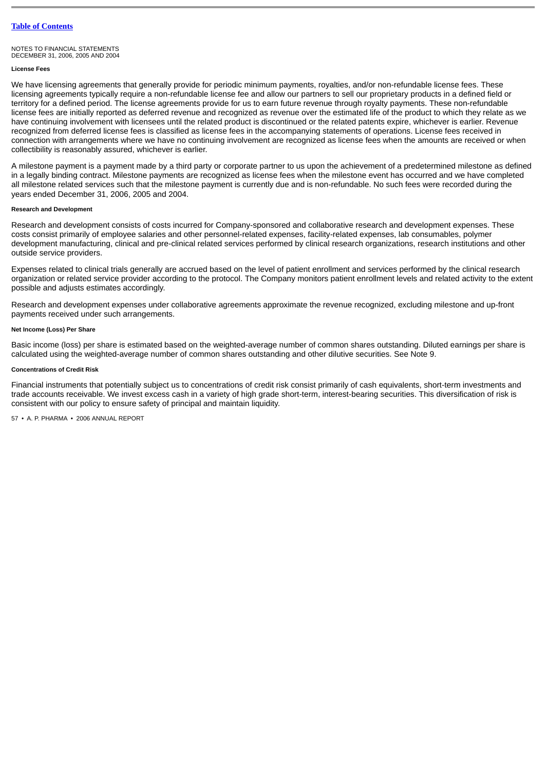#### **License Fees**

We have licensing agreements that generally provide for periodic minimum payments, royalties, and/or non-refundable license fees. These licensing agreements typically require a non-refundable license fee and allow our partners to sell our proprietary products in a defined field or territory for a defined period. The license agreements provide for us to earn future revenue through royalty payments. These non-refundable license fees are initially reported as deferred revenue and recognized as revenue over the estimated life of the product to which they relate as we have continuing involvement with licensees until the related product is discontinued or the related patents expire, whichever is earlier. Revenue recognized from deferred license fees is classified as license fees in the accompanying statements of operations. License fees received in connection with arrangements where we have no continuing involvement are recognized as license fees when the amounts are received or when collectibility is reasonably assured, whichever is earlier.

A milestone payment is a payment made by a third party or corporate partner to us upon the achievement of a predetermined milestone as defined in a legally binding contract. Milestone payments are recognized as license fees when the milestone event has occurred and we have completed all milestone related services such that the milestone payment is currently due and is non-refundable. No such fees were recorded during the years ended December 31, 2006, 2005 and 2004.

#### **Research and Development**

Research and development consists of costs incurred for Company-sponsored and collaborative research and development expenses. These costs consist primarily of employee salaries and other personnel-related expenses, facility-related expenses, lab consumables, polymer development manufacturing, clinical and pre-clinical related services performed by clinical research organizations, research institutions and other outside service providers.

Expenses related to clinical trials generally are accrued based on the level of patient enrollment and services performed by the clinical research organization or related service provider according to the protocol. The Company monitors patient enrollment levels and related activity to the extent possible and adjusts estimates accordingly.

Research and development expenses under collaborative agreements approximate the revenue recognized, excluding milestone and up-front payments received under such arrangements.

#### **Net Income (Loss) Per Share**

Basic income (loss) per share is estimated based on the weighted-average number of common shares outstanding. Diluted earnings per share is calculated using the weighted-average number of common shares outstanding and other dilutive securities. See Note 9.

#### **Concentrations of Credit Risk**

Financial instruments that potentially subject us to concentrations of credit risk consist primarily of cash equivalents, short-term investments and trade accounts receivable. We invest excess cash in a variety of high grade short-term, interest-bearing securities. This diversification of risk is consistent with our policy to ensure safety of principal and maintain liquidity.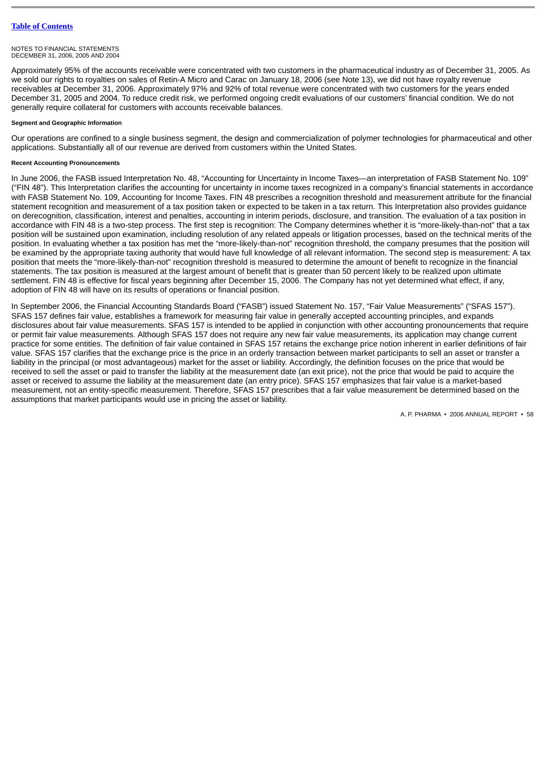Approximately 95% of the accounts receivable were concentrated with two customers in the pharmaceutical industry as of December 31, 2005. As we sold our rights to royalties on sales of Retin-A Micro and Carac on January 18, 2006 (see Note 13), we did not have royalty revenue receivables at December 31, 2006. Approximately 97% and 92% of total revenue were concentrated with two customers for the years ended December 31, 2005 and 2004. To reduce credit risk, we performed ongoing credit evaluations of our customers' financial condition. We do not generally require collateral for customers with accounts receivable balances.

## **Segment and Geographic Information**

Our operations are confined to a single business segment, the design and commercialization of polymer technologies for pharmaceutical and other applications. Substantially all of our revenue are derived from customers within the United States.

#### **Recent Accounting Pronouncements**

In June 2006, the FASB issued Interpretation No. 48, "Accounting for Uncertainty in Income Taxes—an interpretation of FASB Statement No. 109" ("FIN 48"). This Interpretation clarifies the accounting for uncertainty in income taxes recognized in a company's financial statements in accordance with FASB Statement No. 109, Accounting for Income Taxes. FIN 48 prescribes a recognition threshold and measurement attribute for the financial statement recognition and measurement of a tax position taken or expected to be taken in a tax return. This Interpretation also provides guidance on derecognition, classification, interest and penalties, accounting in interim periods, disclosure, and transition. The evaluation of a tax position in accordance with FIN 48 is a two-step process. The first step is recognition: The Company determines whether it is "more-likely-than-not" that a tax position will be sustained upon examination, including resolution of any related appeals or litigation processes, based on the technical merits of the position. In evaluating whether a tax position has met the "more-likely-than-not" recognition threshold, the company presumes that the position will be examined by the appropriate taxing authority that would have full knowledge of all relevant information. The second step is measurement: A tax position that meets the "more-likely-than-not" recognition threshold is measured to determine the amount of benefit to recognize in the financial statements. The tax position is measured at the largest amount of benefit that is greater than 50 percent likely to be realized upon ultimate settlement. FIN 48 is effective for fiscal years beginning after December 15, 2006. The Company has not yet determined what effect, if any, adoption of FIN 48 will have on its results of operations or financial position.

In September 2006, the Financial Accounting Standards Board ("FASB") issued Statement No. 157, "Fair Value Measurements" ("SFAS 157"). SFAS 157 defines fair value, establishes a framework for measuring fair value in generally accepted accounting principles, and expands disclosures about fair value measurements. SFAS 157 is intended to be applied in conjunction with other accounting pronouncements that require or permit fair value measurements. Although SFAS 157 does not require any new fair value measurements, its application may change current practice for some entities. The definition of fair value contained in SFAS 157 retains the exchange price notion inherent in earlier definitions of fair value. SFAS 157 clarifies that the exchange price is the price in an orderly transaction between market participants to sell an asset or transfer a liability in the principal (or most advantageous) market for the asset or liability. Accordingly, the definition focuses on the price that would be received to sell the asset or paid to transfer the liability at the measurement date (an exit price), not the price that would be paid to acquire the asset or received to assume the liability at the measurement date (an entry price). SFAS 157 emphasizes that fair value is a market-based measurement, not an entity-specific measurement. Therefore, SFAS 157 prescribes that a fair value measurement be determined based on the assumptions that market participants would use in pricing the asset or liability.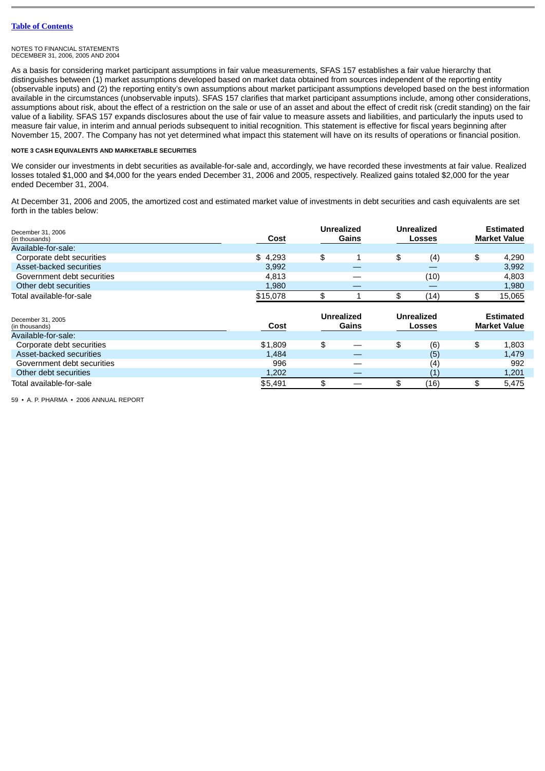As a basis for considering market participant assumptions in fair value measurements, SFAS 157 establishes a fair value hierarchy that distinguishes between (1) market assumptions developed based on market data obtained from sources independent of the reporting entity (observable inputs) and (2) the reporting entity's own assumptions about market participant assumptions developed based on the best information available in the circumstances (unobservable inputs). SFAS 157 clarifies that market participant assumptions include, among other considerations, assumptions about risk, about the effect of a restriction on the sale or use of an asset and about the effect of credit risk (credit standing) on the fair value of a liability. SFAS 157 expands disclosures about the use of fair value to measure assets and liabilities, and particularly the inputs used to measure fair value, in interim and annual periods subsequent to initial recognition. This statement is effective for fiscal years beginning after November 15, 2007. The Company has not yet determined what impact this statement will have on its results of operations or financial position.

## **NOTE 3 CASH EQUIVALENTS AND MARKETABLE SECURITIES**

We consider our investments in debt securities as available-for-sale and, accordingly, we have recorded these investments at fair value. Realized losses totaled \$1,000 and \$4,000 for the years ended December 31, 2006 and 2005, respectively. Realized gains totaled \$2,000 for the year ended December 31, 2004.

At December 31, 2006 and 2005, the amortized cost and estimated market value of investments in debt securities and cash equivalents are set forth in the tables below:

| December 31, 2006<br>(in thousands) | Cost     | <b>Unrealized</b><br>Gains | <b>Unrealized</b><br><b>Losses</b> |   | <b>Estimated</b><br><b>Market Value</b> |
|-------------------------------------|----------|----------------------------|------------------------------------|---|-----------------------------------------|
| Available-for-sale:                 |          |                            |                                    |   |                                         |
| Corporate debt securities           | \$4.293  | \$                         | (4)                                | ◡ | 4,290                                   |
| Asset-backed securities             | 3,992    |                            |                                    |   | 3,992                                   |
| Government debt securities          | 4.813    |                            | (10)                               |   | 4,803                                   |
| Other debt securities               | 1,980    |                            |                                    |   | 1,980                                   |
| Total available-for-sale            | \$15,078 |                            | (14)                               |   | 15,065                                  |

| December 31, 2005<br>(in thousands) | Cost    | <b>Unrealized</b><br>Gains | <b>Unrealized</b><br><b>Losses</b> | <b>Estimated</b><br><b>Market Value</b> |
|-------------------------------------|---------|----------------------------|------------------------------------|-----------------------------------------|
| Available-for-sale:                 |         |                            |                                    |                                         |
| Corporate debt securities           | \$1,809 |                            | \$<br>(6)                          | 1,803                                   |
| Asset-backed securities             | 1,484   |                            | (5)                                | 1,479                                   |
| Government debt securities          | 996     |                            | (4)                                | 992                                     |
| Other debt securities               | 1,202   |                            |                                    | 1,201                                   |
| Total available-for-sale            | \$5,491 |                            | (16)                               | 5,475                                   |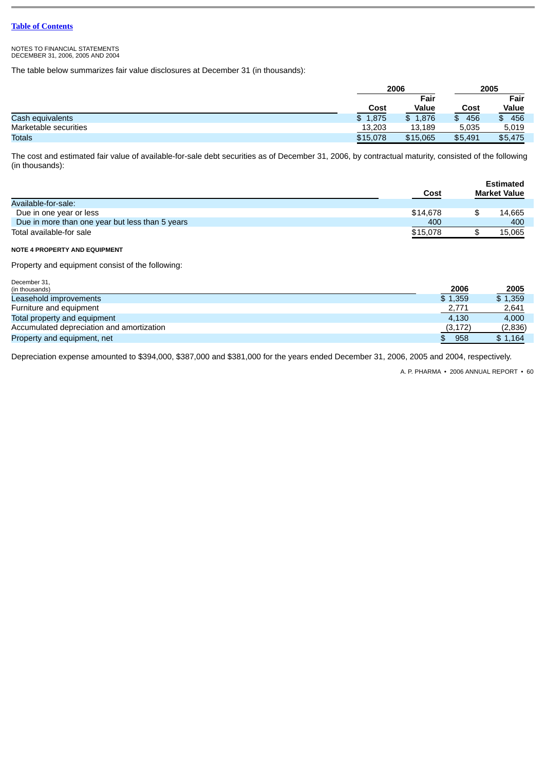NOTES TO FINANCIAL STATEMENTS DECEMBER 31, 2006, 2005 AND 2004

The table below summarizes fair value disclosures at December 31 (in thousands):

|                       |          | 2006                    | 2005      |            |
|-----------------------|----------|-------------------------|-----------|------------|
|                       |          | Fair                    |           | Fair       |
|                       | Cost     | Value                   | Cost      | Value      |
| Cash equivalents      | \$1,875  | 1.876<br>$\mathfrak{L}$ | 456<br>\$ | 456<br>\$. |
| Marketable securities | 13,203   | 13.189                  | 5,035     | 5,019      |
| <b>Totals</b>         | \$15,078 | \$15,065                | \$5.491   | \$5,475    |

The cost and estimated fair value of available-for-sale debt securities as of December 31, 2006, by contractual maturity, consisted of the following (in thousands):

|                                                 | Cost     | <b>Estimated</b><br><b>Market Value</b> |
|-------------------------------------------------|----------|-----------------------------------------|
| Available-for-sale:                             |          |                                         |
| Due in one year or less                         | \$14,678 | 14,665                                  |
| Due in more than one year but less than 5 years | 400      | 400                                     |
| Total available-for sale                        | \$15,078 | 15.065                                  |

## **NOTE 4 PROPERTY AND EQUIPMENT**

Property and equipment consist of the following:

| December 31,<br>(in thousands)            | 2006     | 2005    |
|-------------------------------------------|----------|---------|
| Leasehold improvements                    | \$1.359  | \$1,359 |
| Furniture and equipment                   | 2,771    | 2,641   |
| Total property and equipment              | 4.130    | 4.000   |
| Accumulated depreciation and amortization | (3, 172) | (2,836) |
| Property and equipment, net               | 958      | \$1.164 |

Depreciation expense amounted to \$394,000, \$387,000 and \$381,000 for the years ended December 31, 2006, 2005 and 2004, respectively.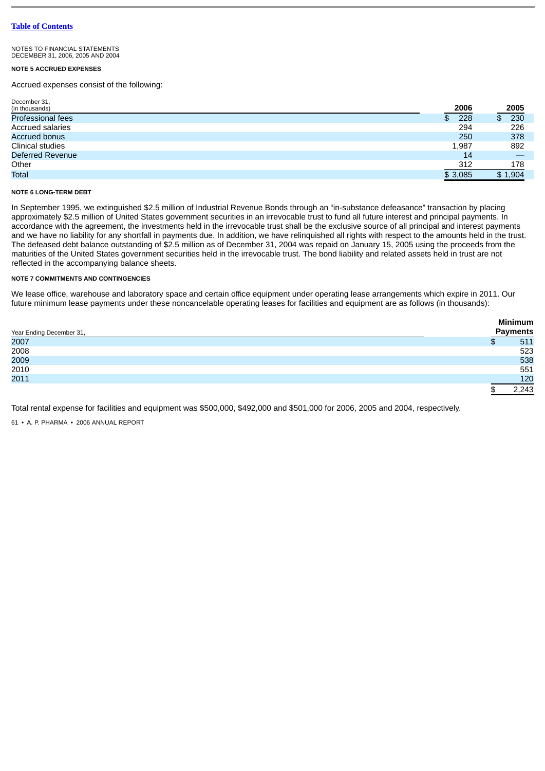#### **NOTE 5 ACCRUED EXPENSES**

Accrued expenses consist of the following:

| December 31,<br>(in thousands) | 2006      | 2005      |
|--------------------------------|-----------|-----------|
| <b>Professional fees</b>       | 228<br>\$ | 230<br>\$ |
| Accrued salaries               | 294       | 226       |
| <b>Accrued bonus</b>           | 250       | 378       |
| Clinical studies               | 1,987     | 892       |
| Deferred Revenue               | 14        |           |
| Other                          | 312       | 178       |
| <b>Total</b>                   | \$3,085   | \$1.904   |

#### **NOTE 6 LONG-TERM DEBT**

In September 1995, we extinguished \$2.5 million of Industrial Revenue Bonds through an "in-substance defeasance" transaction by placing approximately \$2.5 million of United States government securities in an irrevocable trust to fund all future interest and principal payments. In accordance with the agreement, the investments held in the irrevocable trust shall be the exclusive source of all principal and interest payments and we have no liability for any shortfall in payments due. In addition, we have relinquished all rights with respect to the amounts held in the trust. The defeased debt balance outstanding of \$2.5 million as of December 31, 2004 was repaid on January 15, 2005 using the proceeds from the maturities of the United States government securities held in the irrevocable trust. The bond liability and related assets held in trust are not reflected in the accompanying balance sheets.

## **NOTE 7 COMMITMENTS AND CONTINGENCIES**

We lease office, warehouse and laboratory space and certain office equipment under operating lease arrangements which expire in 2011. Our future minimum lease payments under these noncancelable operating leases for facilities and equipment are as follows (in thousands):

| Year Ending December 31, | Minimum<br><b>Payments</b> |
|--------------------------|----------------------------|
| 2007                     | 511<br>╺                   |
| 2008                     | 523                        |
| 2009                     | 538                        |
| 2010                     | 551                        |
| 2011                     | 120                        |
|                          | 2,243                      |

Total rental expense for facilities and equipment was \$500,000, \$492,000 and \$501,000 for 2006, 2005 and 2004, respectively.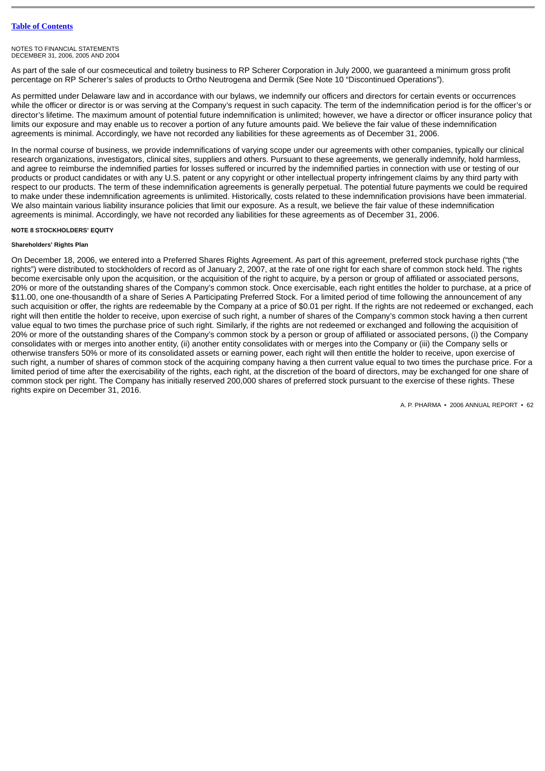As part of the sale of our cosmeceutical and toiletry business to RP Scherer Corporation in July 2000, we guaranteed a minimum gross profit percentage on RP Scherer's sales of products to Ortho Neutrogena and Dermik (See Note 10 "Discontinued Operations").

As permitted under Delaware law and in accordance with our bylaws, we indemnify our officers and directors for certain events or occurrences while the officer or director is or was serving at the Company's request in such capacity. The term of the indemnification period is for the officer's or director's lifetime. The maximum amount of potential future indemnification is unlimited; however, we have a director or officer insurance policy that limits our exposure and may enable us to recover a portion of any future amounts paid. We believe the fair value of these indemnification agreements is minimal. Accordingly, we have not recorded any liabilities for these agreements as of December 31, 2006.

In the normal course of business, we provide indemnifications of varying scope under our agreements with other companies, typically our clinical research organizations, investigators, clinical sites, suppliers and others. Pursuant to these agreements, we generally indemnify, hold harmless, and agree to reimburse the indemnified parties for losses suffered or incurred by the indemnified parties in connection with use or testing of our products or product candidates or with any U.S. patent or any copyright or other intellectual property infringement claims by any third party with respect to our products. The term of these indemnification agreements is generally perpetual. The potential future payments we could be required to make under these indemnification agreements is unlimited. Historically, costs related to these indemnification provisions have been immaterial. We also maintain various liability insurance policies that limit our exposure. As a result, we believe the fair value of these indemnification agreements is minimal. Accordingly, we have not recorded any liabilities for these agreements as of December 31, 2006.

#### **NOTE 8 STOCKHOLDERS' EQUITY**

## **Shareholders' Rights Plan**

On December 18, 2006, we entered into a Preferred Shares Rights Agreement. As part of this agreement, preferred stock purchase rights ("the rights") were distributed to stockholders of record as of January 2, 2007, at the rate of one right for each share of common stock held. The rights become exercisable only upon the acquisition, or the acquisition of the right to acquire, by a person or group of affiliated or associated persons, 20% or more of the outstanding shares of the Company's common stock. Once exercisable, each right entitles the holder to purchase, at a price of \$11.00, one one-thousandth of a share of Series A Participating Preferred Stock. For a limited period of time following the announcement of any such acquisition or offer, the rights are redeemable by the Company at a price of \$0.01 per right. If the rights are not redeemed or exchanged, each right will then entitle the holder to receive, upon exercise of such right, a number of shares of the Company's common stock having a then current value equal to two times the purchase price of such right. Similarly, if the rights are not redeemed or exchanged and following the acquisition of 20% or more of the outstanding shares of the Company's common stock by a person or group of affiliated or associated persons, (i) the Company consolidates with or merges into another entity, (ii) another entity consolidates with or merges into the Company or (iii) the Company sells or otherwise transfers 50% or more of its consolidated assets or earning power, each right will then entitle the holder to receive, upon exercise of such right, a number of shares of common stock of the acquiring company having a then current value equal to two times the purchase price. For a limited period of time after the exercisability of the rights, each right, at the discretion of the board of directors, may be exchanged for one share of common stock per right. The Company has initially reserved 200,000 shares of preferred stock pursuant to the exercise of these rights. These rights expire on December 31, 2016.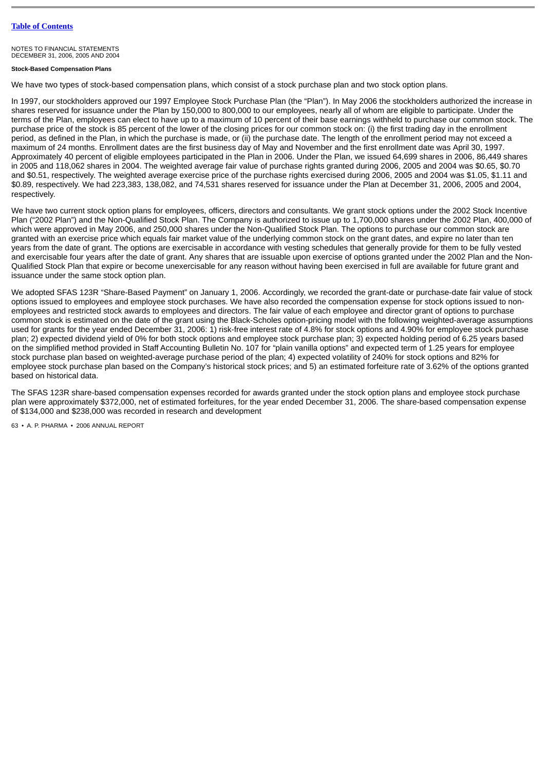#### **Stock-Based Compensation Plans**

We have two types of stock-based compensation plans, which consist of a stock purchase plan and two stock option plans.

In 1997, our stockholders approved our 1997 Employee Stock Purchase Plan (the "Plan"). In May 2006 the stockholders authorized the increase in shares reserved for issuance under the Plan by 150,000 to 800,000 to our employees, nearly all of whom are eligible to participate. Under the terms of the Plan, employees can elect to have up to a maximum of 10 percent of their base earnings withheld to purchase our common stock. The purchase price of the stock is 85 percent of the lower of the closing prices for our common stock on: (i) the first trading day in the enrollment period, as defined in the Plan, in which the purchase is made, or (ii) the purchase date. The length of the enrollment period may not exceed a maximum of 24 months. Enrollment dates are the first business day of May and November and the first enrollment date was April 30, 1997. Approximately 40 percent of eligible employees participated in the Plan in 2006. Under the Plan, we issued 64,699 shares in 2006, 86,449 shares in 2005 and 118,062 shares in 2004. The weighted average fair value of purchase rights granted during 2006, 2005 and 2004 was \$0.65, \$0.70 and \$0.51, respectively. The weighted average exercise price of the purchase rights exercised during 2006, 2005 and 2004 was \$1.05, \$1.11 and \$0.89, respectively. We had 223,383, 138,082, and 74,531 shares reserved for issuance under the Plan at December 31, 2006, 2005 and 2004, respectively.

We have two current stock option plans for employees, officers, directors and consultants. We grant stock options under the 2002 Stock Incentive Plan ("2002 Plan") and the Non-Qualified Stock Plan. The Company is authorized to issue up to 1,700,000 shares under the 2002 Plan, 400,000 of which were approved in May 2006, and 250,000 shares under the Non-Qualified Stock Plan. The options to purchase our common stock are granted with an exercise price which equals fair market value of the underlying common stock on the grant dates, and expire no later than ten years from the date of grant. The options are exercisable in accordance with vesting schedules that generally provide for them to be fully vested and exercisable four years after the date of grant. Any shares that are issuable upon exercise of options granted under the 2002 Plan and the Non-Qualified Stock Plan that expire or become unexercisable for any reason without having been exercised in full are available for future grant and issuance under the same stock option plan.

We adopted SFAS 123R "Share-Based Payment" on January 1, 2006. Accordingly, we recorded the grant-date or purchase-date fair value of stock options issued to employees and employee stock purchases. We have also recorded the compensation expense for stock options issued to nonemployees and restricted stock awards to employees and directors. The fair value of each employee and director grant of options to purchase common stock is estimated on the date of the grant using the Black-Scholes option-pricing model with the following weighted-average assumptions used for grants for the year ended December 31, 2006: 1) risk-free interest rate of 4.8% for stock options and 4.90% for employee stock purchase plan; 2) expected dividend yield of 0% for both stock options and employee stock purchase plan; 3) expected holding period of 6.25 years based on the simplified method provided in Staff Accounting Bulletin No. 107 for "plain vanilla options" and expected term of 1.25 years for employee stock purchase plan based on weighted-average purchase period of the plan; 4) expected volatility of 240% for stock options and 82% for employee stock purchase plan based on the Company's historical stock prices; and 5) an estimated forfeiture rate of 3.62% of the options granted based on historical data.

The SFAS 123R share-based compensation expenses recorded for awards granted under the stock option plans and employee stock purchase plan were approximately \$372,000, net of estimated forfeitures, for the year ended December 31, 2006. The share-based compensation expense of \$134,000 and \$238,000 was recorded in research and development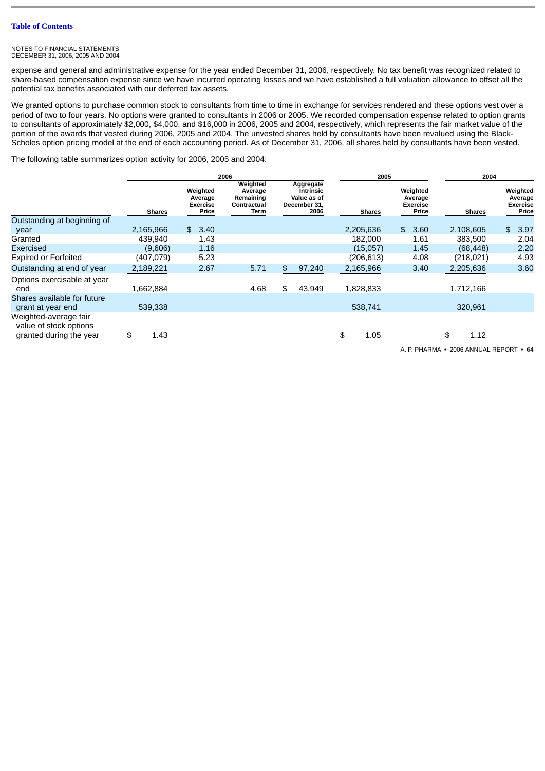expense and general and administrative expense for the year ended December 31, 2006, respectively. No tax benefit was recognized related to share-based compensation expense since we have incurred operating losses and we have established a full valuation allowance to offset all the potential tax benefits associated with our deferred tax assets.

We granted options to purchase common stock to consultants from time to time in exchange for services rendered and these options vest over a period of two to four years. No options were granted to consultants in 2006 or 2005. We recorded compensation expense related to option grants to consultants of approximately \$2,000, \$4,000, and \$16,000 in 2006, 2005 and 2004, respectively, which represents the fair market value of the portion of the awards that vested during 2006, 2005 and 2004. The unvested shares held by consultants have been revalued using the Black-Scholes option pricing model at the end of each accounting period. As of December 31, 2006, all shares held by consultants have been vested.

The following table summarizes option activity for 2006, 2005 and 2004:

|                                                                            |               |                                          | 2006                                                    |                                                              |      | 2005          |                                          | 2004          |                                          |
|----------------------------------------------------------------------------|---------------|------------------------------------------|---------------------------------------------------------|--------------------------------------------------------------|------|---------------|------------------------------------------|---------------|------------------------------------------|
|                                                                            | <b>Shares</b> | Weighted<br>Average<br>Exercise<br>Price | Weighted<br>Average<br>Remaining<br>Contractual<br>Term | Aggregate<br>Intrinsic<br><b>Value as of</b><br>December 31, | 2006 | <b>Shares</b> | Weighted<br>Average<br>Exercise<br>Price | <b>Shares</b> | Weighted<br>Average<br>Exercise<br>Price |
| Outstanding at beginning of                                                |               |                                          |                                                         |                                                              |      |               |                                          |               |                                          |
| year                                                                       | 2,165,966     | \$<br>3.40                               |                                                         |                                                              |      | 2,205,636     | \$<br>3.60                               | 2,108,605     | 3.97<br>\$                               |
| Granted                                                                    | 439.940       | 1.43                                     |                                                         |                                                              |      | 182.000       | 1.61                                     | 383,500       | 2.04                                     |
| Exercised                                                                  | (9,606)       | 1.16                                     |                                                         |                                                              |      | (15,057)      | 1.45                                     | (68, 448)     | 2.20                                     |
| <b>Expired or Forfeited</b>                                                | (407, 079)    | 5.23                                     |                                                         |                                                              |      | (206, 613)    | 4.08                                     | (218, 021)    | 4.93                                     |
| Outstanding at end of year                                                 | 2,189,221     | 2.67                                     | 5.71                                                    | 97,240                                                       |      | 2,165,966     | 3.40                                     | 2,205,636     | 3.60                                     |
| Options exercisable at year<br>end                                         | 1,662,884     |                                          | 4.68                                                    | 43,949<br>\$                                                 |      | 1,828,833     |                                          | 1,712,166     |                                          |
| Shares available for future<br>grant at year end                           | 539,338       |                                          |                                                         |                                                              |      | 538.741       |                                          | 320.961       |                                          |
| Weighted-average fair<br>value of stock options<br>granted during the year | 1.43<br>\$    |                                          |                                                         |                                                              |      | 1.05<br>\$    |                                          | \$<br>1.12    |                                          |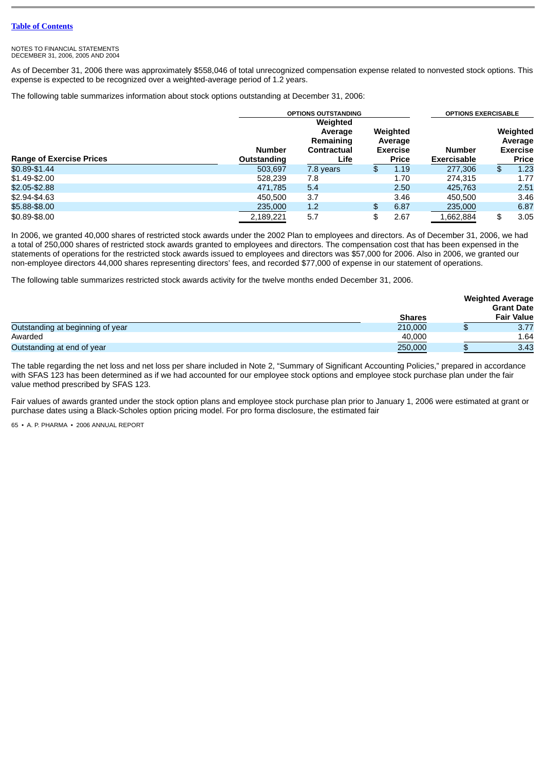As of December 31, 2006 there was approximately \$558,046 of total unrecognized compensation expense related to nonvested stock options. This expense is expected to be recognized over a weighted-average period of 1.2 years.

The following table summarizes information about stock options outstanding at December 31, 2006:

|                                 |                              | <b>OPTIONS OUTSTANDING</b>                                     |                |                                                        |                                     |     | <b>OPTIONS EXERCISABLE</b>                             |  |  |  |
|---------------------------------|------------------------------|----------------------------------------------------------------|----------------|--------------------------------------------------------|-------------------------------------|-----|--------------------------------------------------------|--|--|--|
| <b>Range of Exercise Prices</b> | <b>Number</b><br>Outstanding | Weighted<br>Average<br>Remaining<br><b>Contractual</b><br>Life |                | Weighted<br>Average<br><b>Exercise</b><br><b>Price</b> | <b>Number</b><br><b>Exercisable</b> |     | Weighted<br>Average<br><b>Exercise</b><br><b>Price</b> |  |  |  |
| \$0.89-\$1.44                   | 503.697                      | 7.8 years                                                      | $\mathfrak{p}$ | 1.19                                                   | 277,306                             | \$. | 1.23                                                   |  |  |  |
| \$1.49-\$2.00                   | 528,239                      | 7.8                                                            |                | 1.70                                                   | 274.315                             |     | 1.77                                                   |  |  |  |
| \$2.05-\$2.88                   | 471.785                      | 5.4                                                            |                | 2.50                                                   | 425.763                             |     | 2.51                                                   |  |  |  |
| \$2.94-\$4.63                   | 450.500                      | 3.7                                                            |                | 3.46                                                   | 450.500                             |     | 3.46                                                   |  |  |  |
| \$5.88-\$8.00                   | 235,000                      | 1.2                                                            | $\mathfrak{p}$ | 6.87                                                   | 235,000                             |     | 6.87                                                   |  |  |  |
| \$0.89-\$8.00                   | 2,189,221                    | 5.7                                                            | \$             | 2.67                                                   | 1.662.884                           | \$  | 3.05                                                   |  |  |  |

In 2006, we granted 40,000 shares of restricted stock awards under the 2002 Plan to employees and directors. As of December 31, 2006, we had a total of 250,000 shares of restricted stock awards granted to employees and directors. The compensation cost that has been expensed in the statements of operations for the restricted stock awards issued to employees and directors was \$57,000 for 2006. Also in 2006, we granted our non-employee directors 44,000 shares representing directors' fees, and recorded \$77,000 of expense in our statement of operations.

The following table summarizes restricted stock awards activity for the twelve months ended December 31, 2006.

|                                  |               | <b>Weighted Average</b><br><b>Grant Date</b> |
|----------------------------------|---------------|----------------------------------------------|
|                                  | <b>Shares</b> | <b>Fair Value</b>                            |
| Outstanding at beginning of year | 210,000       | 3.77                                         |
| Awarded                          | 40,000        | 1.64                                         |
| Outstanding at end of year       | 250,000       | 3.43                                         |

The table regarding the net loss and net loss per share included in Note 2, "Summary of Significant Accounting Policies," prepared in accordance with SFAS 123 has been determined as if we had accounted for our employee stock options and employee stock purchase plan under the fair value method prescribed by SFAS 123.

Fair values of awards granted under the stock option plans and employee stock purchase plan prior to January 1, 2006 were estimated at grant or purchase dates using a Black-Scholes option pricing model. For pro forma disclosure, the estimated fair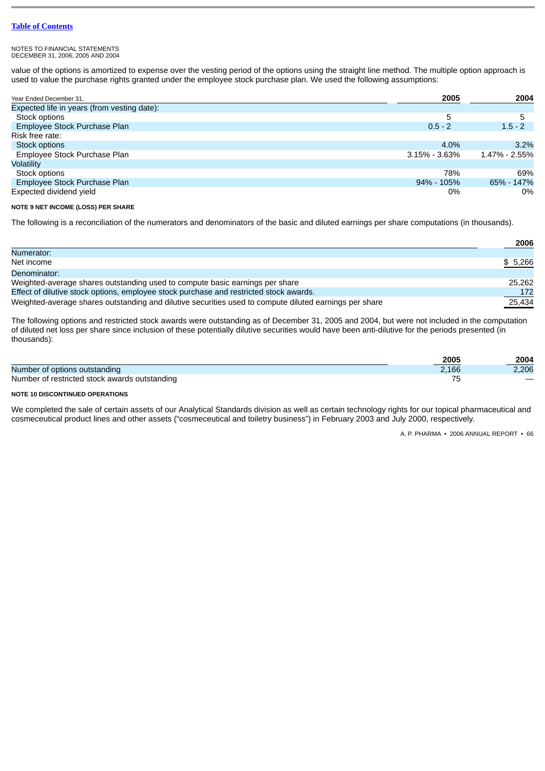#### NOTES TO FINANCIAL STATEMENTS DECEMBER 31, 2006, 2005 AND 2004

value of the options is amortized to expense over the vesting period of the options using the straight line method. The multiple option approach is used to value the purchase rights granted under the employee stock purchase plan. We used the following assumptions:

| Year Ended December 31,                     | 2005              | 2004          |
|---------------------------------------------|-------------------|---------------|
| Expected life in years (from vesting date): |                   |               |
| Stock options                               | 5                 | 5             |
| Employee Stock Purchase Plan                | $0.5 - 2$         | $1.5 - 2$     |
| Risk free rate:                             |                   |               |
| Stock options                               | 4.0%              | 3.2%          |
| Employee Stock Purchase Plan                | $3.15\% - 3.63\%$ | 1.47% - 2.55% |
| Volatility                                  |                   |               |
| Stock options                               | 78%               | 69%           |
| Employee Stock Purchase Plan                | 94% - 105%        | 65% - 147%    |
| Expected dividend yield                     | $0\%$             | $0\%$         |

## **NOTE 9 NET INCOME (LOSS) PER SHARE**

The following is a reconciliation of the numerators and denominators of the basic and diluted earnings per share computations (in thousands).

|                                                                                                        | 2006    |
|--------------------------------------------------------------------------------------------------------|---------|
| Numerator:                                                                                             |         |
| Net income                                                                                             | \$5,266 |
| Denominator:                                                                                           |         |
| Weighted-average shares outstanding used to compute basic earnings per share                           | 25.262  |
| Effect of dilutive stock options, employee stock purchase and restricted stock awards.                 | 172     |
| Weighted-average shares outstanding and dilutive securities used to compute diluted earnings per share | 25,434  |

The following options and restricted stock awards were outstanding as of December 31, 2005 and 2004, but were not included in the computation of diluted net loss per share since inclusion of these potentially dilutive securities would have been anti-dilutive for the periods presented (in thousands):

|                                               | 2005  | 2004  |
|-----------------------------------------------|-------|-------|
| Number of options outstanding                 | 2.166 | 2,206 |
| Number of restricted stock awards outstanding |       |       |

## **NOTE 10 DISCONTINUED OPERATIONS**

We completed the sale of certain assets of our Analytical Standards division as well as certain technology rights for our topical pharmaceutical and cosmeceutical product lines and other assets ("cosmeceutical and toiletry business") in February 2003 and July 2000, respectively.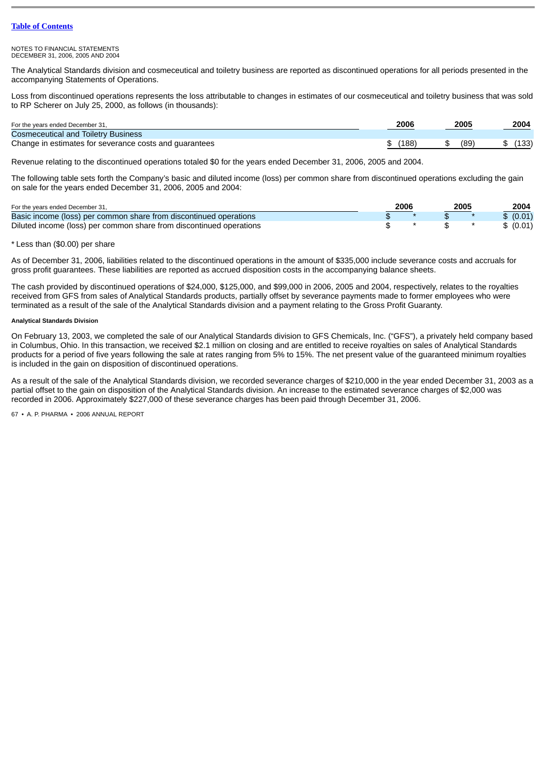#### NOTES TO FINANCIAL STATEMENTS DECEMBER 31, 2006, 2005 AND 2004

The Analytical Standards division and cosmeceutical and toiletry business are reported as discontinued operations for all periods presented in the accompanying Statements of Operations.

Loss from discontinued operations represents the loss attributable to changes in estimates of our cosmeceutical and toiletry business that was sold to RP Scherer on July 25, 2000, as follows (in thousands):

| For the years ended December 31,                       | 2006  | 2005 | 2004  |
|--------------------------------------------------------|-------|------|-------|
| <b>Cosmeceutical and Toiletry Business</b>             |       |      |       |
| Change in estimates for severance costs and quarantees | (188) | (89) | (133) |

Revenue relating to the discontinued operations totaled \$0 for the years ended December 31, 2006, 2005 and 2004.

The following table sets forth the Company's basic and diluted income (loss) per common share from discontinued operations excluding the gain on sale for the years ended December 31, 2006, 2005 and 2004:

| For the years ended December 31,                                    | 2006 | 2005 | 2004      |
|---------------------------------------------------------------------|------|------|-----------|
| Basic income (loss) per common share from discontinued operations   |      |      | \$ (0.01) |
| Diluted income (loss) per common share from discontinued operations |      |      | \$ (0.01) |

\* Less than (\$0.00) per share

As of December 31, 2006, liabilities related to the discontinued operations in the amount of \$335,000 include severance costs and accruals for gross profit guarantees. These liabilities are reported as accrued disposition costs in the accompanying balance sheets.

The cash provided by discontinued operations of \$24,000, \$125,000, and \$99,000 in 2006, 2005 and 2004, respectively, relates to the royalties received from GFS from sales of Analytical Standards products, partially offset by severance payments made to former employees who were terminated as a result of the sale of the Analytical Standards division and a payment relating to the Gross Profit Guaranty.

## **Analytical Standards Division**

On February 13, 2003, we completed the sale of our Analytical Standards division to GFS Chemicals, Inc. ("GFS"), a privately held company based in Columbus, Ohio. In this transaction, we received \$2.1 million on closing and are entitled to receive royalties on sales of Analytical Standards products for a period of five years following the sale at rates ranging from 5% to 15%. The net present value of the guaranteed minimum royalties is included in the gain on disposition of discontinued operations.

As a result of the sale of the Analytical Standards division, we recorded severance charges of \$210,000 in the year ended December 31, 2003 as a partial offset to the gain on disposition of the Analytical Standards division. An increase to the estimated severance charges of \$2,000 was recorded in 2006. Approximately \$227,000 of these severance charges has been paid through December 31, 2006.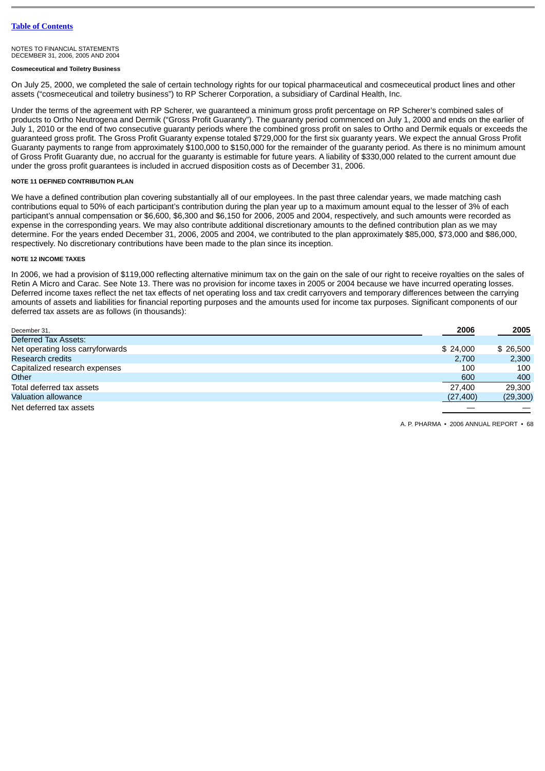## **Cosmeceutical and Toiletry Business**

On July 25, 2000, we completed the sale of certain technology rights for our topical pharmaceutical and cosmeceutical product lines and other assets ("cosmeceutical and toiletry business") to RP Scherer Corporation, a subsidiary of Cardinal Health, Inc.

Under the terms of the agreement with RP Scherer, we guaranteed a minimum gross profit percentage on RP Scherer's combined sales of products to Ortho Neutrogena and Dermik ("Gross Profit Guaranty"). The guaranty period commenced on July 1, 2000 and ends on the earlier of July 1, 2010 or the end of two consecutive guaranty periods where the combined gross profit on sales to Ortho and Dermik equals or exceeds the guaranteed gross profit. The Gross Profit Guaranty expense totaled \$729,000 for the first six guaranty years. We expect the annual Gross Profit Guaranty payments to range from approximately \$100,000 to \$150,000 for the remainder of the guaranty period. As there is no minimum amount of Gross Profit Guaranty due, no accrual for the guaranty is estimable for future years. A liability of \$330,000 related to the current amount due under the gross profit guarantees is included in accrued disposition costs as of December 31, 2006.

#### **NOTE 11 DEFINED CONTRIBUTION PLAN**

We have a defined contribution plan covering substantially all of our employees. In the past three calendar years, we made matching cash contributions equal to 50% of each participant's contribution during the plan year up to a maximum amount equal to the lesser of 3% of each participant's annual compensation or \$6,600, \$6,300 and \$6,150 for 2006, 2005 and 2004, respectively, and such amounts were recorded as expense in the corresponding years. We may also contribute additional discretionary amounts to the defined contribution plan as we may determine. For the years ended December 31, 2006, 2005 and 2004, we contributed to the plan approximately \$85,000, \$73,000 and \$86,000, respectively. No discretionary contributions have been made to the plan since its inception.

# **NOTE 12 INCOME TAXES**

In 2006, we had a provision of \$119,000 reflecting alternative minimum tax on the gain on the sale of our right to receive royalties on the sales of Retin A Micro and Carac. See Note 13. There was no provision for income taxes in 2005 or 2004 because we have incurred operating losses. Deferred income taxes reflect the net tax effects of net operating loss and tax credit carryovers and temporary differences between the carrying amounts of assets and liabilities for financial reporting purposes and the amounts used for income tax purposes. Significant components of our deferred tax assets are as follows (in thousands):

| December 31,                     | 2006      | 2005      |
|----------------------------------|-----------|-----------|
| Deferred Tax Assets:             |           |           |
| Net operating loss carryforwards | \$24.000  | \$26.500  |
| <b>Research credits</b>          | 2.700     | 2,300     |
| Capitalized research expenses    | 100       | 100       |
| Other                            | 600       | 400       |
| Total deferred tax assets        | 27.400    | 29,300    |
| <b>Valuation allowance</b>       | (27, 400) | (29, 300) |
| Net deferred tax assets          |           |           |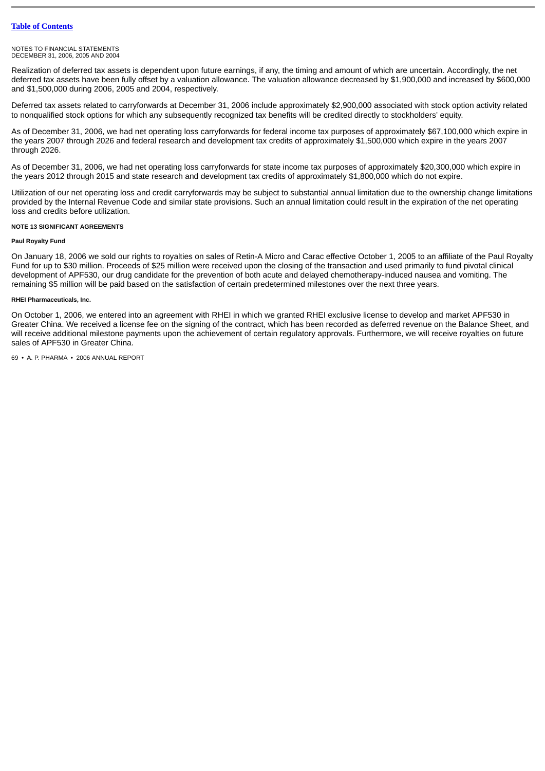Realization of deferred tax assets is dependent upon future earnings, if any, the timing and amount of which are uncertain. Accordingly, the net deferred tax assets have been fully offset by a valuation allowance. The valuation allowance decreased by \$1,900,000 and increased by \$600,000 and \$1,500,000 during 2006, 2005 and 2004, respectively.

Deferred tax assets related to carryforwards at December 31, 2006 include approximately \$2,900,000 associated with stock option activity related to nonqualified stock options for which any subsequently recognized tax benefits will be credited directly to stockholders' equity.

As of December 31, 2006, we had net operating loss carryforwards for federal income tax purposes of approximately \$67,100,000 which expire in the years 2007 through 2026 and federal research and development tax credits of approximately \$1,500,000 which expire in the years 2007 through 2026.

As of December 31, 2006, we had net operating loss carryforwards for state income tax purposes of approximately \$20,300,000 which expire in the years 2012 through 2015 and state research and development tax credits of approximately \$1,800,000 which do not expire.

Utilization of our net operating loss and credit carryforwards may be subject to substantial annual limitation due to the ownership change limitations provided by the Internal Revenue Code and similar state provisions. Such an annual limitation could result in the expiration of the net operating loss and credits before utilization.

# **NOTE 13 SIGNIFICANT AGREEMENTS**

#### **Paul Royalty Fund**

On January 18, 2006 we sold our rights to royalties on sales of Retin-A Micro and Carac effective October 1, 2005 to an affiliate of the Paul Royalty Fund for up to \$30 million. Proceeds of \$25 million were received upon the closing of the transaction and used primarily to fund pivotal clinical development of APF530, our drug candidate for the prevention of both acute and delayed chemotherapy-induced nausea and vomiting. The remaining \$5 million will be paid based on the satisfaction of certain predetermined milestones over the next three years.

#### **RHEI Pharmaceuticals, Inc.**

On October 1, 2006, we entered into an agreement with RHEI in which we granted RHEI exclusive license to develop and market APF530 in Greater China. We received a license fee on the signing of the contract, which has been recorded as deferred revenue on the Balance Sheet, and will receive additional milestone payments upon the achievement of certain regulatory approvals. Furthermore, we will receive royalties on future sales of APF530 in Greater China.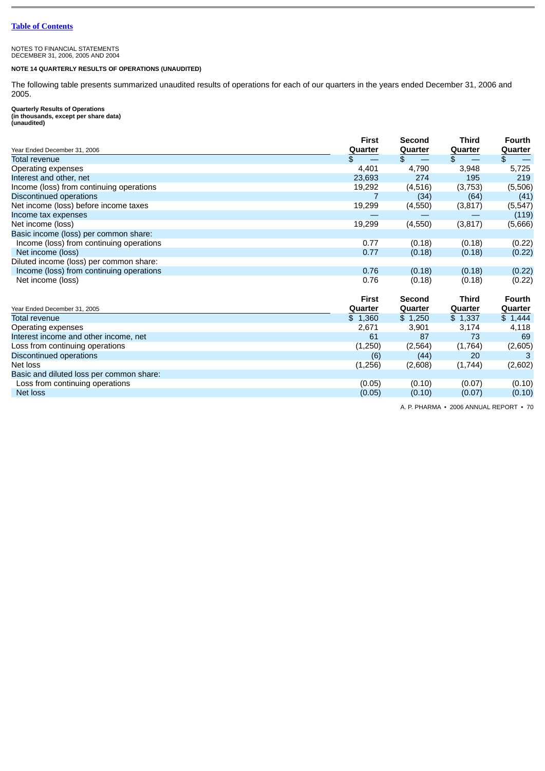# **NOTE 14 QUARTERLY RESULTS OF OPERATIONS (UNAUDITED)**

The following table presents summarized unaudited results of operations for each of our quarters in the years ended December 31, 2006 and 2005.

**Quarterly Results of Operations (in thousands, except per share data) (unaudited)**

|                                          | First   | <b>Second</b> | Third        | <b>Fourth</b> |
|------------------------------------------|---------|---------------|--------------|---------------|
| Year Ended December 31, 2006             | Quarter | Quarter       | Quarter      | Quarter       |
| <b>Total revenue</b>                     | \$      | \$            | \$           | \$            |
| Operating expenses                       | 4,401   | 4,790         | 3,948        | 5,725         |
| Interest and other, net                  | 23,693  | 274           | 195          | 219           |
| Income (loss) from continuing operations | 19,292  | (4, 516)      | (3,753)      | (5,506)       |
| Discontinued operations                  |         | (34)          | (64)         | (41)          |
| Net income (loss) before income taxes    | 19,299  | (4,550)       | (3, 817)     | (5, 547)      |
| Income tax expenses                      |         |               |              | (119)         |
| Net income (loss)                        | 19,299  | (4,550)       | (3, 817)     | (5,666)       |
| Basic income (loss) per common share:    |         |               |              |               |
| Income (loss) from continuing operations | 0.77    | (0.18)        | (0.18)       | (0.22)        |
| Net income (loss)                        | 0.77    | (0.18)        | (0.18)       | (0.22)        |
| Diluted income (loss) per common share:  |         |               |              |               |
| Income (loss) from continuing operations | 0.76    | (0.18)        | (0.18)       | (0.22)        |
| Net income (loss)                        | 0.76    | (0.18)        | (0.18)       | (0.22)        |
|                                          |         |               |              |               |
|                                          | First   | Second        | <b>Third</b> | <b>Fourth</b> |
| Year Ended December 31, 2005             | Quarter | Quarter       | Quarter      | Quarter       |
| Total revenue                            | \$1,360 | \$1,250       | \$1,337      | \$1,444       |
| Operating expenses                       | 2,671   | 3,901         | 3,174        | 4,118         |
| Interest income and other income, net    | 61      | 87            | 73           | 69            |
| Loss from continuing operations          | (1,250) | (2, 564)      | (1,764)      | (2,605)       |
| Discontinued operations                  | (6)     | (44)          | 20           |               |
| Net loss                                 | (1,256) | (2,608)       | (1,744)      | (2,602)       |
| Basic and diluted loss per common share: |         |               |              |               |
| Loss from continuing operations          | (0.05)  | (0.10)        | (0.07)       | (0.10)        |
| Net loss                                 | (0.05)  | (0.10)        | (0.07)       | (0.10)        |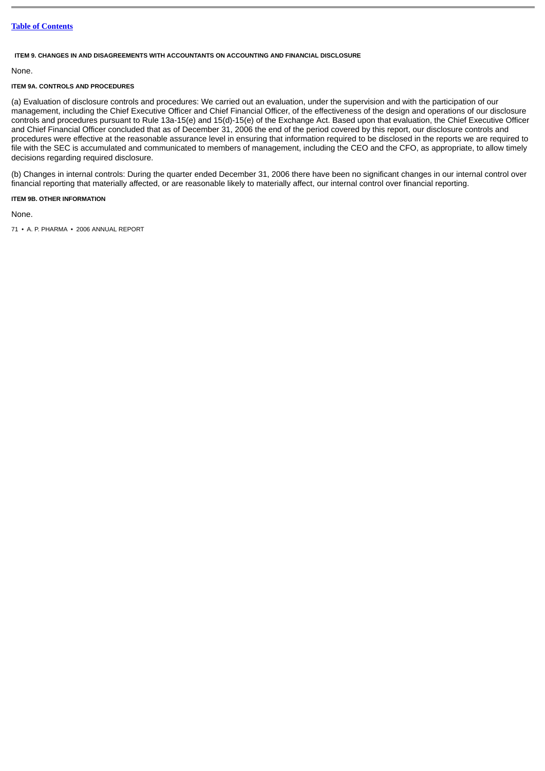## **ITEM 9. CHANGES IN AND DISAGREEMENTS WITH ACCOUNTANTS ON ACCOUNTING AND FINANCIAL DISCLOSURE**

None.

## **ITEM 9A. CONTROLS AND PROCEDURES**

(a) Evaluation of disclosure controls and procedures: We carried out an evaluation, under the supervision and with the participation of our management, including the Chief Executive Officer and Chief Financial Officer, of the effectiveness of the design and operations of our disclosure controls and procedures pursuant to Rule 13a-15(e) and 15(d)-15(e) of the Exchange Act. Based upon that evaluation, the Chief Executive Officer and Chief Financial Officer concluded that as of December 31, 2006 the end of the period covered by this report, our disclosure controls and procedures were effective at the reasonable assurance level in ensuring that information required to be disclosed in the reports we are required to file with the SEC is accumulated and communicated to members of management, including the CEO and the CFO, as appropriate, to allow timely decisions regarding required disclosure.

(b) Changes in internal controls: During the quarter ended December 31, 2006 there have been no significant changes in our internal control over financial reporting that materially affected, or are reasonable likely to materially affect, our internal control over financial reporting.

#### **ITEM 9B. OTHER INFORMATION**

None.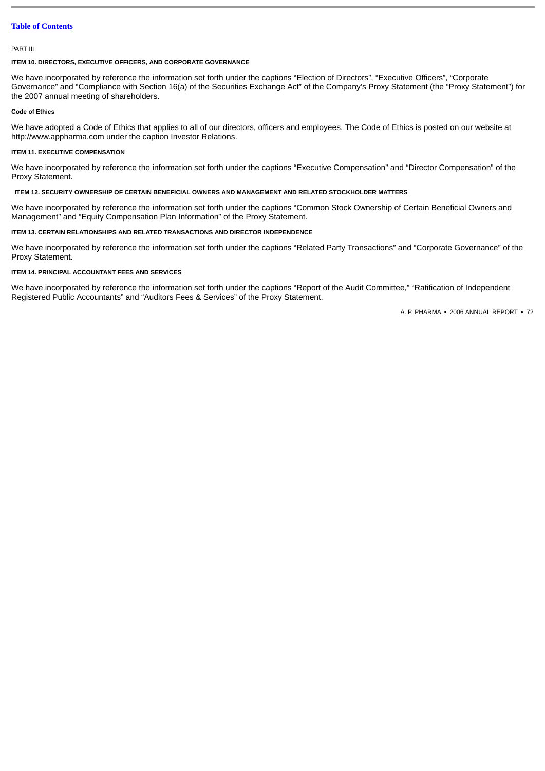#### PART III

#### **ITEM 10. DIRECTORS, EXECUTIVE OFFICERS, AND CORPORATE GOVERNANCE**

We have incorporated by reference the information set forth under the captions "Election of Directors", "Executive Officers", "Corporate Governance" and "Compliance with Section 16(a) of the Securities Exchange Act" of the Company's Proxy Statement (the "Proxy Statement") for the 2007 annual meeting of shareholders.

# **Code of Ethics**

We have adopted a Code of Ethics that applies to all of our directors, officers and employees. The Code of Ethics is posted on our website at http://www.appharma.com under the caption Investor Relations.

# **ITEM 11. EXECUTIVE COMPENSATION**

We have incorporated by reference the information set forth under the captions "Executive Compensation" and "Director Compensation" of the Proxy Statement.

#### **ITEM 12. SECURITY OWNERSHIP OF CERTAIN BENEFICIAL OWNERS AND MANAGEMENT AND RELATED STOCKHOLDER MATTERS**

We have incorporated by reference the information set forth under the captions "Common Stock Ownership of Certain Beneficial Owners and Management" and "Equity Compensation Plan Information" of the Proxy Statement.

# **ITEM 13. CERTAIN RELATIONSHIPS AND RELATED TRANSACTIONS AND DIRECTOR INDEPENDENCE**

We have incorporated by reference the information set forth under the captions "Related Party Transactions" and "Corporate Governance" of the Proxy Statement.

## **ITEM 14. PRINCIPAL ACCOUNTANT FEES AND SERVICES**

We have incorporated by reference the information set forth under the captions "Report of the Audit Committee," "Ratification of Independent Registered Public Accountants" and "Auditors Fees & Services" of the Proxy Statement.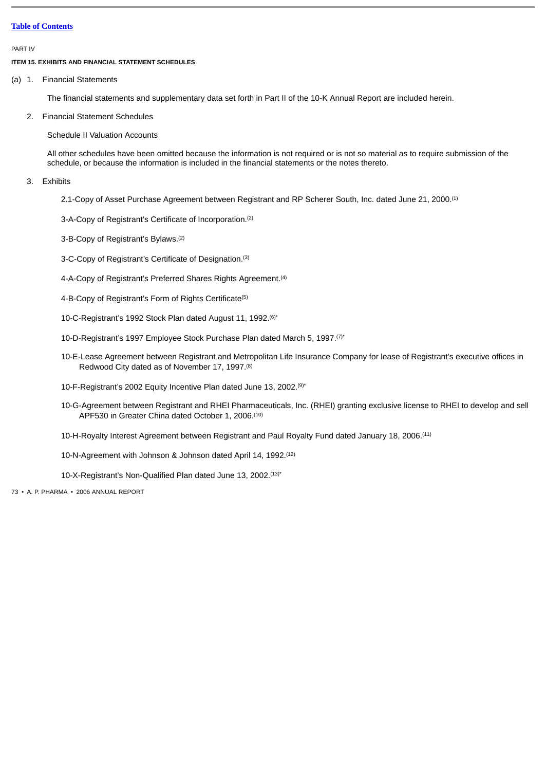### PART IV

### **ITEM 15. EXHIBITS AND FINANCIAL STATEMENT SCHEDULES**

(a) 1. Financial Statements

The financial statements and supplementary data set forth in Part II of the 10-K Annual Report are included herein.

2. Financial Statement Schedules

Schedule II Valuation Accounts

All other schedules have been omitted because the information is not required or is not so material as to require submission of the schedule, or because the information is included in the financial statements or the notes thereto.

3. Exhibits

2.1-Copy of Asset Purchase Agreement between Registrant and RP Scherer South, Inc. dated June 21, 2000.(1)

- 3-A-Copy of Registrant's Certificate of Incorporation.(2)
- 3-B-Copy of Registrant's Bylaws.(2)
- 3-C-Copy of Registrant's Certificate of Designation.(3)
- 4-A-Copy of Registrant's Preferred Shares Rights Agreement.<sup>(4)</sup>
- 4-B-Copy of Registrant's Form of Rights Certificate(5)
- 10-C-Registrant's 1992 Stock Plan dated August 11, 1992.<sup>(6)\*</sup>
- 10-D-Registrant's 1997 Employee Stock Purchase Plan dated March 5, 1997.(7)\*
- 10-E-Lease Agreement between Registrant and Metropolitan Life Insurance Company for lease of Registrant's executive offices in Redwood City dated as of November 17, 1997.(8)
- 10-F-Registrant's 2002 Equity Incentive Plan dated June 13, 2002.(9)\*
- 10-G-Agreement between Registrant and RHEI Pharmaceuticals, Inc. (RHEI) granting exclusive license to RHEI to develop and sell APF530 in Greater China dated October 1, 2006.(10)
- 10-H-Royalty Interest Agreement between Registrant and Paul Royalty Fund dated January 18, 2006.(11)
- 10-N-Agreement with Johnson & Johnson dated April 14, 1992.(12)
- 10-X-Registrant's Non-Qualified Plan dated June 13, 2002.(13)\*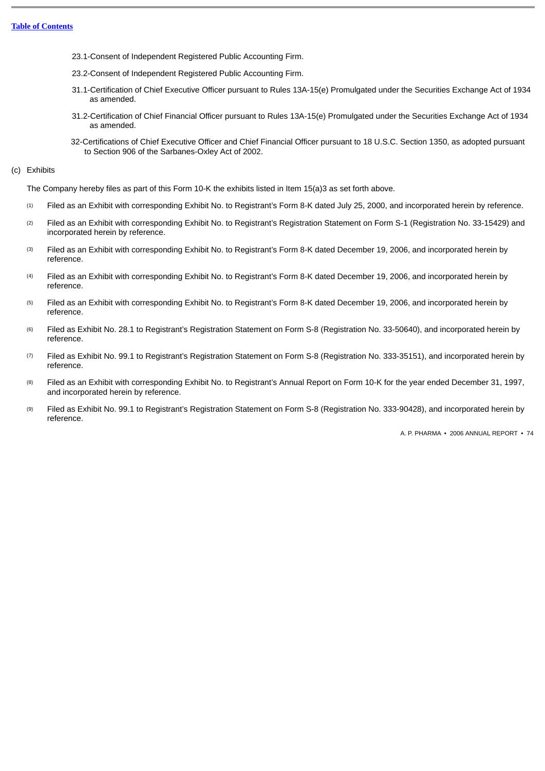- 23.1-Consent of Independent Registered Public Accounting Firm.
- 23.2-Consent of Independent Registered Public Accounting Firm.
- 31.1-Certification of Chief Executive Officer pursuant to Rules 13A-15(e) Promulgated under the Securities Exchange Act of 1934 as amended.
- 31.2-Certification of Chief Financial Officer pursuant to Rules 13A-15(e) Promulgated under the Securities Exchange Act of 1934 as amended.
- 32-Certifications of Chief Executive Officer and Chief Financial Officer pursuant to 18 U.S.C. Section 1350, as adopted pursuant to Section 906 of the Sarbanes-Oxley Act of 2002.

## (c) Exhibits

The Company hereby files as part of this Form 10-K the exhibits listed in Item 15(a)3 as set forth above.

- (1) Filed as an Exhibit with corresponding Exhibit No. to Registrant's Form 8-K dated July 25, 2000, and incorporated herein by reference.
- (2) Filed as an Exhibit with corresponding Exhibit No. to Registrant's Registration Statement on Form S-1 (Registration No. 33-15429) and incorporated herein by reference.
- (3) Filed as an Exhibit with corresponding Exhibit No. to Registrant's Form 8-K dated December 19, 2006, and incorporated herein by reference.
- (4) Filed as an Exhibit with corresponding Exhibit No. to Registrant's Form 8-K dated December 19, 2006, and incorporated herein by reference.
- (5) Filed as an Exhibit with corresponding Exhibit No. to Registrant's Form 8-K dated December 19, 2006, and incorporated herein by reference.
- (6) Filed as Exhibit No. 28.1 to Registrant's Registration Statement on Form S-8 (Registration No. 33-50640), and incorporated herein by reference.
- (7) Filed as Exhibit No. 99.1 to Registrant's Registration Statement on Form S-8 (Registration No. 333-35151), and incorporated herein by reference.
- (8) Filed as an Exhibit with corresponding Exhibit No. to Registrant's Annual Report on Form 10-K for the year ended December 31, 1997, and incorporated herein by reference.
- (9) Filed as Exhibit No. 99.1 to Registrant's Registration Statement on Form S-8 (Registration No. 333-90428), and incorporated herein by reference.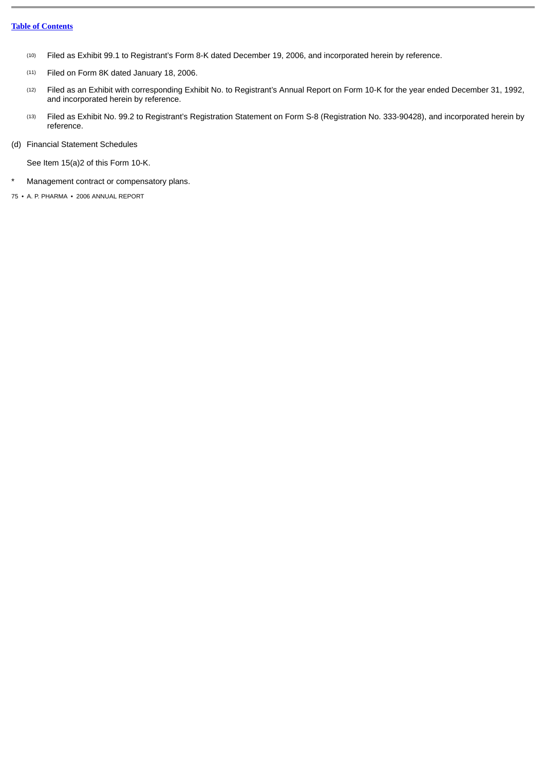- (10) Filed as Exhibit 99.1 to Registrant's Form 8-K dated December 19, 2006, and incorporated herein by reference.
- (11) Filed on Form 8K dated January 18, 2006.
- (12) Filed as an Exhibit with corresponding Exhibit No. to Registrant's Annual Report on Form 10-K for the year ended December 31, 1992, and incorporated herein by reference.
- (13) Filed as Exhibit No. 99.2 to Registrant's Registration Statement on Form S-8 (Registration No. 333-90428), and incorporated herein by reference.
- (d) Financial Statement Schedules

See Item 15(a)2 of this Form 10-K.

- \* Management contract or compensatory plans.
- 75 A. P. PHARMA 2006 ANNUAL REPORT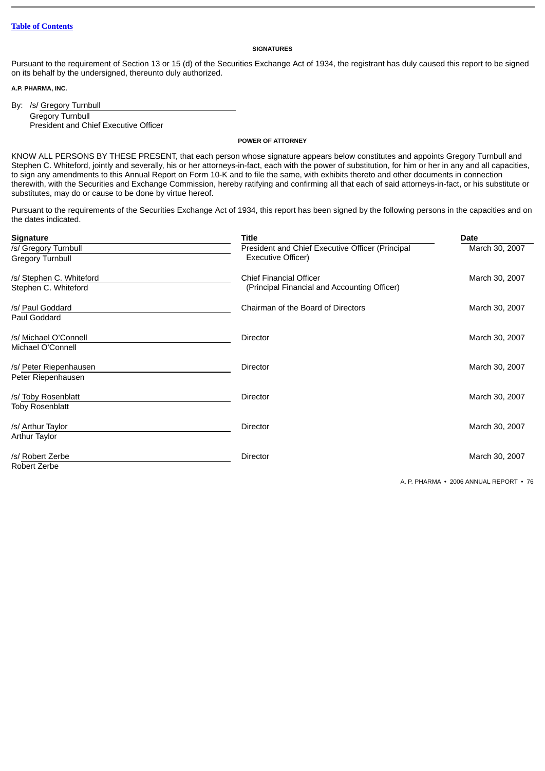### **SIGNATURES**

Pursuant to the requirement of Section 13 or 15 (d) of the Securities Exchange Act of 1934, the registrant has duly caused this report to be signed on its behalf by the undersigned, thereunto duly authorized.

**A.P. PHARMA, INC.**

By: /s/ Gregory Turnbull Gregory Turnbull President and Chief Executive Officer

#### **POWER OF ATTORNEY**

KNOW ALL PERSONS BY THESE PRESENT, that each person whose signature appears below constitutes and appoints Gregory Turnbull and Stephen C. Whiteford, jointly and severally, his or her attorneys-in-fact, each with the power of substitution, for him or her in any and all capacities, to sign any amendments to this Annual Report on Form 10-K and to file the same, with exhibits thereto and other documents in connection therewith, with the Securities and Exchange Commission, hereby ratifying and confirming all that each of said attorneys-in-fact, or his substitute or substitutes, may do or cause to be done by virtue hereof.

Pursuant to the requirements of the Securities Exchange Act of 1934, this report has been signed by the following persons in the capacities and on the dates indicated.

| <b>Signature</b>                                 | <b>Title</b>                                                                   |                |  |  |
|--------------------------------------------------|--------------------------------------------------------------------------------|----------------|--|--|
| /s/ Gregory Turnbull<br><b>Gregory Turnbull</b>  | President and Chief Executive Officer (Principal<br>Executive Officer)         | March 30, 2007 |  |  |
| /s/ Stephen C. Whiteford<br>Stephen C. Whiteford | <b>Chief Financial Officer</b><br>(Principal Financial and Accounting Officer) | March 30, 2007 |  |  |
| /s/ Paul Goddard<br>Paul Goddard                 | Chairman of the Board of Directors                                             | March 30, 2007 |  |  |
| /s/ Michael O'Connell<br>Michael O'Connell       | <b>Director</b>                                                                | March 30, 2007 |  |  |
| /s/ Peter Riepenhausen<br>Peter Riepenhausen     | <b>Director</b>                                                                | March 30, 2007 |  |  |
| /s/ Toby Rosenblatt<br><b>Toby Rosenblatt</b>    | <b>Director</b>                                                                | March 30, 2007 |  |  |
| /s/ Arthur Taylor<br><b>Arthur Taylor</b>        | <b>Director</b>                                                                | March 30, 2007 |  |  |
| /s/ Robert Zerbe<br>Robert Zerbe                 | <b>Director</b>                                                                | March 30, 2007 |  |  |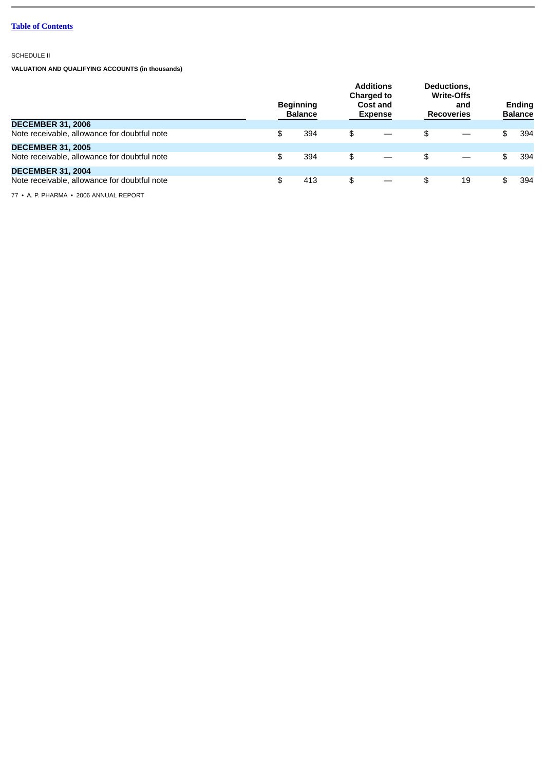SCHEDULE II

**VALUATION AND QUALIFYING ACCOUNTS (in thousands)**

|                                              |    | <b>Beginning</b><br><b>Balance</b> |    | <b>Additions</b><br><b>Charged to</b><br>Cost and<br><b>Expense</b> |    | Deductions,<br>Write-Offs<br>and<br><b>Recoveries</b> |    | <b>Ending</b><br><b>Balance</b> |  |
|----------------------------------------------|----|------------------------------------|----|---------------------------------------------------------------------|----|-------------------------------------------------------|----|---------------------------------|--|
| <b>DECEMBER 31, 2006</b>                     |    |                                    |    |                                                                     |    |                                                       |    |                                 |  |
| Note receivable, allowance for doubtful note | \$ | 394                                | \$ |                                                                     | \$ |                                                       | \$ | 394                             |  |
| <b>DECEMBER 31, 2005</b>                     |    |                                    |    |                                                                     |    |                                                       |    |                                 |  |
| Note receivable, allowance for doubtful note | \$ | 394                                | \$ |                                                                     | \$ |                                                       | \$ | 394                             |  |
| <b>DECEMBER 31, 2004</b>                     |    |                                    |    |                                                                     |    |                                                       |    |                                 |  |
| Note receivable, allowance for doubtful note | \$ | 413                                | \$ |                                                                     | \$ | 19                                                    | \$ | 394                             |  |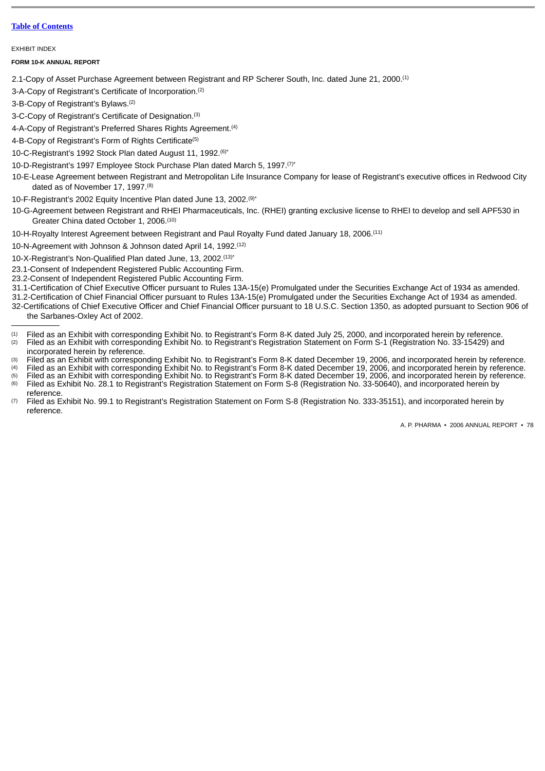EXHIBIT INDEX

**FORM 10-K ANNUAL REPORT**

- 2.1-Copy of Asset Purchase Agreement between Registrant and RP Scherer South, Inc. dated June 21, 2000.(1)
- 3-A-Copy of Registrant's Certificate of Incorporation.(2)
- 3-B-Copy of Registrant's Bylaws.(2)
- 3-C-Copy of Registrant's Certificate of Designation.(3)
- 4-A-Copy of Registrant's Preferred Shares Rights Agreement.<sup>(4)</sup>
- 4-B-Copy of Registrant's Form of Rights Certificate<sup>(5)</sup>
- 10-C-Registrant's 1992 Stock Plan dated August 11, 1992.<sup>(6)\*</sup>
- 10-D-Registrant's 1997 Employee Stock Purchase Plan dated March 5, 1997.(7)\*
- 10-E-Lease Agreement between Registrant and Metropolitan Life Insurance Company for lease of Registrant's executive offices in Redwood City dated as of November 17, 1997.<sup>(8)</sup>
- 10-F-Registrant's 2002 Equity Incentive Plan dated June 13, 2002.(9)\*
- 10-G-Agreement between Registrant and RHEI Pharmaceuticals, Inc. (RHEI) granting exclusive license to RHEI to develop and sell APF530 in Greater China dated October 1, 2006.(10)
- 10-H-Royalty Interest Agreement between Registrant and Paul Royalty Fund dated January 18, 2006.(11)
- 10-N-Agreement with Johnson & Johnson dated April 14, 1992.(12)
- 10-X-Registrant's Non-Qualified Plan dated June, 13, 2002.(13)\*
- 23.1-Consent of Independent Registered Public Accounting Firm.
- 23.2-Consent of Independent Registered Public Accounting Firm.
- 31.1-Certification of Chief Executive Officer pursuant to Rules 13A-15(e) Promulgated under the Securities Exchange Act of 1934 as amended.
- 31.2-Certification of Chief Financial Officer pursuant to Rules 13A-15(e) Promulgated under the Securities Exchange Act of 1934 as amended.
- 32-Certifications of Chief Executive Officer and Chief Financial Officer pursuant to 18 U.S.C. Section 1350, as adopted pursuant to Section 906 of the Sarbanes-Oxley Act of 2002.
- (1) Filed as an Exhibit with corresponding Exhibit No. to Registrant's Form 8-K dated July 25, 2000, and incorporated herein by reference.<br>(2) Filed as an Exhibit with corresponding Exhibit No. to Registrant's Registration Filed as an Exhibit with corresponding Exhibit No. to Registrant's Registration Statement on Form S-1 (Registration No. 33-15429) and
- incorporated herein by reference. (3) Filed as an Exhibit with corresponding Exhibit No. to Registrant's Form 8-K dated December 19, 2006, and incorporated herein by reference.<br>(4) Filed as an Exhibit with corresponding Exhibit No. to Registrant's Form 8-K
- (4) Filed as an Exhibit with corresponding Exhibit No. to Registrant's Form 8-K dated December 19, 2006, and incorporated herein by reference.
- (5) Filed as an Exhibit with corresponding Exhibit No. to Registrant's Form 8-K dated December 19, 2006, and incorporated herein by reference. (6) Filed as Exhibit No. 28.1 to Registrant's Registration Statement on Form S-8 (Registration No. 33-50640), and incorporated herein by
- reference.
- (7) Filed as Exhibit No. 99.1 to Registrant's Registration Statement on Form S-8 (Registration No. 333-35151), and incorporated herein by reference.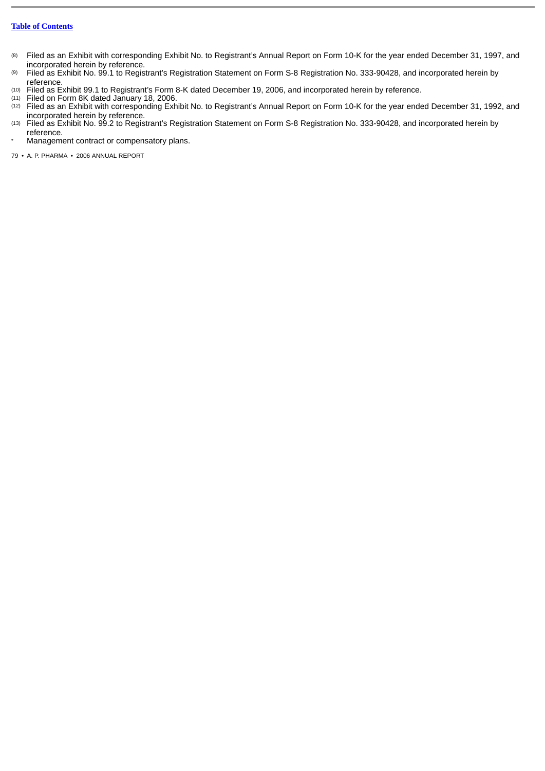- (8) Filed as an Exhibit with corresponding Exhibit No. to Registrant's Annual Report on Form 10-K for the year ended December 31, 1997, and incorporated herein by reference.
- (9) Filed as Exhibit No. 99.1 to Registrant's Registration Statement on Form S-8 Registration No. 333-90428, and incorporated herein by reference.
- (10) Filed as Exhibit 99.1 to Registrant's Form 8-K dated December 19, 2006, and incorporated herein by reference.
- (11) Filed on Form 8K dated January 18, 2006.
- (12) Filed as an Exhibit with corresponding Exhibit No. to Registrant's Annual Report on Form 10-K for the year ended December 31, 1992, and incorporated herein by reference.
- (13) Filed as Exhibit No. 99.2 to Registrant's Registration Statement on Form S-8 Registration No. 333-90428, and incorporated herein by reference.
- Management contract or compensatory plans.
- 79 A. P. PHARMA 2006 ANNUAL REPORT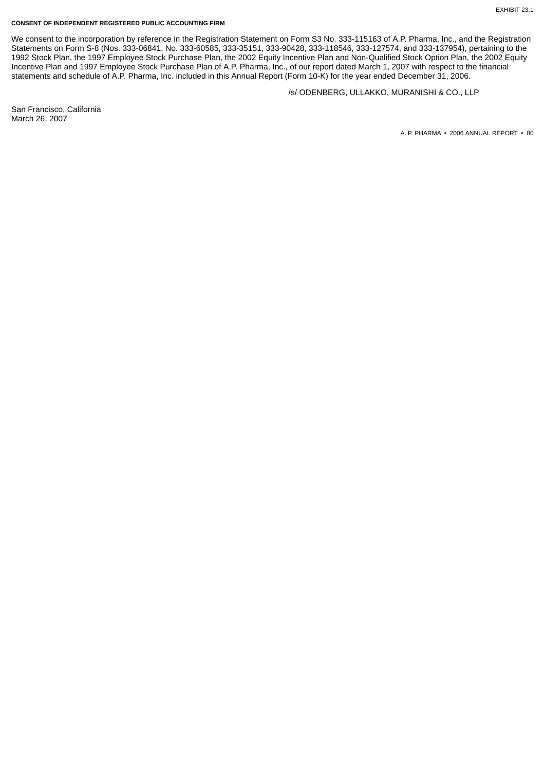### **CONSENT OF INDEPENDENT REGISTERED PUBLIC ACCOUNTING FIRM**

We consent to the incorporation by reference in the Registration Statement on Form S3 No. 333-115163 of A.P. Pharma, Inc., and the Registration Statements on Form S-8 (Nos. 333-06841, No. 333-60585, 333-35151, 333-90428, 333-118546, 333-127574, and 333-137954), pertaining to the 1992 Stock Plan, the 1997 Employee Stock Purchase Plan, the 2002 Equity Incentive Plan and Non-Qualified Stock Option Plan, the 2002 Equity Incentive Plan and 1997 Employee Stock Purchase Plan of A.P. Pharma, Inc., of our report dated March 1, 2007 with respect to the financial statements and schedule of A.P. Pharma, Inc. included in this Annual Report (Form 10-K) for the year ended December 31, 2006.

/s/ ODENBERG, ULLAKKO, MURANISHI & CO., LLP

San Francisco, California March 26, 2007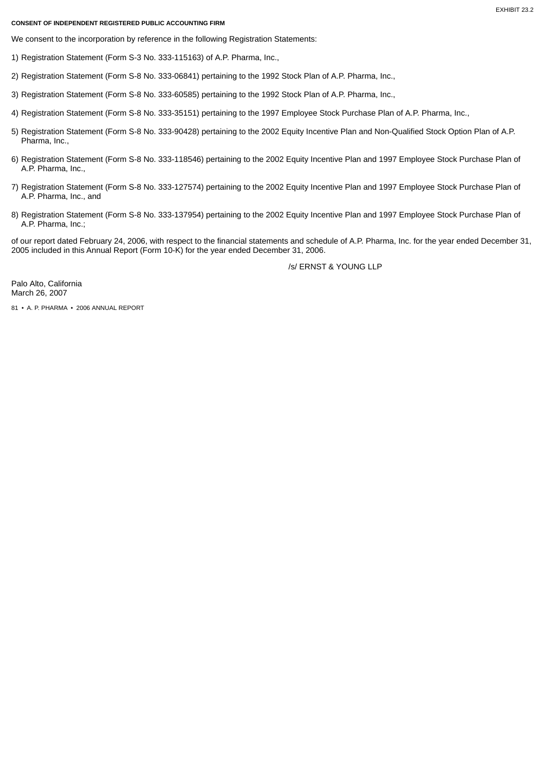### **CONSENT OF INDEPENDENT REGISTERED PUBLIC ACCOUNTING FIRM**

We consent to the incorporation by reference in the following Registration Statements:

- 1) Registration Statement (Form S-3 No. 333-115163) of A.P. Pharma, Inc.,
- 2) Registration Statement (Form S-8 No. 333-06841) pertaining to the 1992 Stock Plan of A.P. Pharma, Inc.,
- 3) Registration Statement (Form S-8 No. 333-60585) pertaining to the 1992 Stock Plan of A.P. Pharma, Inc.,
- 4) Registration Statement (Form S-8 No. 333-35151) pertaining to the 1997 Employee Stock Purchase Plan of A.P. Pharma, Inc.,
- 5) Registration Statement (Form S-8 No. 333-90428) pertaining to the 2002 Equity Incentive Plan and Non-Qualified Stock Option Plan of A.P. Pharma, Inc.,
- 6) Registration Statement (Form S-8 No. 333-118546) pertaining to the 2002 Equity Incentive Plan and 1997 Employee Stock Purchase Plan of A.P. Pharma, Inc.,
- 7) Registration Statement (Form S-8 No. 333-127574) pertaining to the 2002 Equity Incentive Plan and 1997 Employee Stock Purchase Plan of A.P. Pharma, Inc., and
- 8) Registration Statement (Form S-8 No. 333-137954) pertaining to the 2002 Equity Incentive Plan and 1997 Employee Stock Purchase Plan of A.P. Pharma, Inc.;

of our report dated February 24, 2006, with respect to the financial statements and schedule of A.P. Pharma, Inc. for the year ended December 31, 2005 included in this Annual Report (Form 10-K) for the year ended December 31, 2006.

/s/ ERNST & YOUNG LLP

Palo Alto, California March 26, 2007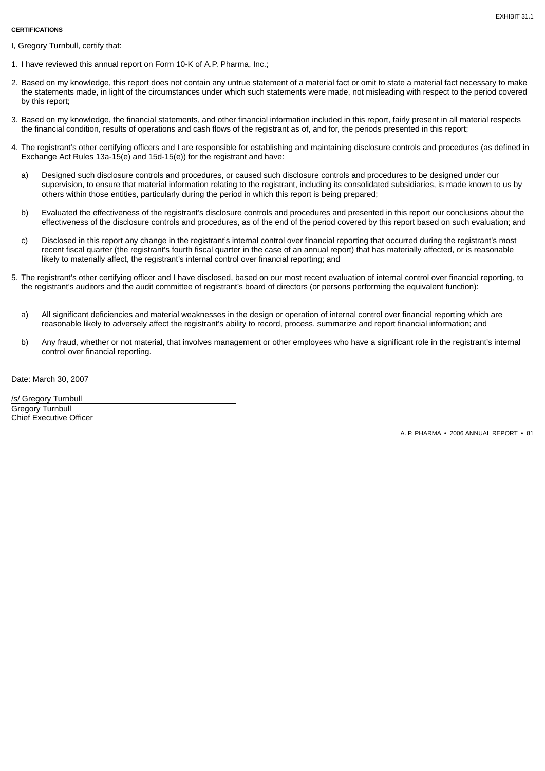### **CERTIFICATIONS**

I, Gregory Turnbull, certify that:

- 1. I have reviewed this annual report on Form 10-K of A.P. Pharma, Inc.;
- 2. Based on my knowledge, this report does not contain any untrue statement of a material fact or omit to state a material fact necessary to make the statements made, in light of the circumstances under which such statements were made, not misleading with respect to the period covered by this report;
- 3. Based on my knowledge, the financial statements, and other financial information included in this report, fairly present in all material respects the financial condition, results of operations and cash flows of the registrant as of, and for, the periods presented in this report;
- 4. The registrant's other certifying officers and I are responsible for establishing and maintaining disclosure controls and procedures (as defined in Exchange Act Rules 13a-15(e) and 15d-15(e)) for the registrant and have:
	- a) Designed such disclosure controls and procedures, or caused such disclosure controls and procedures to be designed under our supervision, to ensure that material information relating to the registrant, including its consolidated subsidiaries, is made known to us by others within those entities, particularly during the period in which this report is being prepared;
	- b) Evaluated the effectiveness of the registrant's disclosure controls and procedures and presented in this report our conclusions about the effectiveness of the disclosure controls and procedures, as of the end of the period covered by this report based on such evaluation; and
	- c) Disclosed in this report any change in the registrant's internal control over financial reporting that occurred during the registrant's most recent fiscal quarter (the registrant's fourth fiscal quarter in the case of an annual report) that has materially affected, or is reasonable likely to materially affect, the registrant's internal control over financial reporting; and
- 5. The registrant's other certifying officer and I have disclosed, based on our most recent evaluation of internal control over financial reporting, to the registrant's auditors and the audit committee of registrant's board of directors (or persons performing the equivalent function):
	- a) All significant deficiencies and material weaknesses in the design or operation of internal control over financial reporting which are reasonable likely to adversely affect the registrant's ability to record, process, summarize and report financial information; and
	- b) Any fraud, whether or not material, that involves management or other employees who have a significant role in the registrant's internal control over financial reporting.

Date: March 30, 2007

/s/ Gregory Turnbull Gregory Turnbull Chief Executive Officer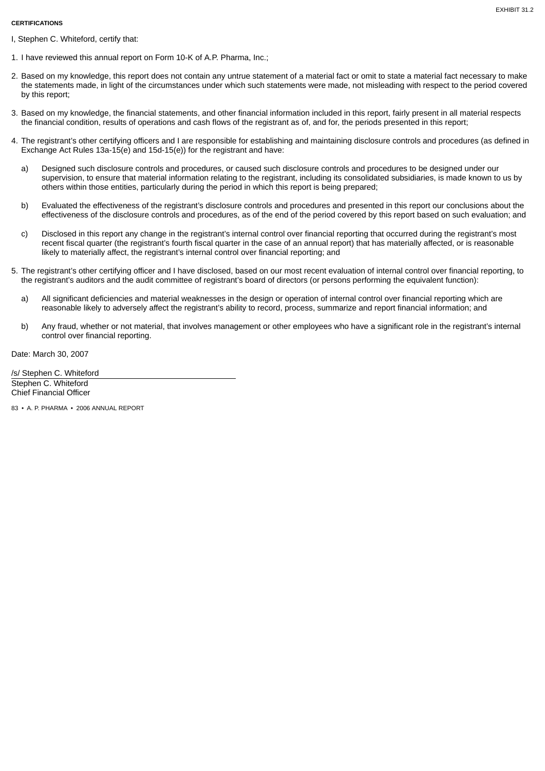### **CERTIFICATIONS**

I, Stephen C. Whiteford, certify that:

- 1. I have reviewed this annual report on Form 10-K of A.P. Pharma, Inc.;
- 2. Based on my knowledge, this report does not contain any untrue statement of a material fact or omit to state a material fact necessary to make the statements made, in light of the circumstances under which such statements were made, not misleading with respect to the period covered by this report;
- 3. Based on my knowledge, the financial statements, and other financial information included in this report, fairly present in all material respects the financial condition, results of operations and cash flows of the registrant as of, and for, the periods presented in this report;
- 4. The registrant's other certifying officers and I are responsible for establishing and maintaining disclosure controls and procedures (as defined in Exchange Act Rules 13a-15(e) and 15d-15(e)) for the registrant and have:
	- a) Designed such disclosure controls and procedures, or caused such disclosure controls and procedures to be designed under our supervision, to ensure that material information relating to the registrant, including its consolidated subsidiaries, is made known to us by others within those entities, particularly during the period in which this report is being prepared;
	- b) Evaluated the effectiveness of the registrant's disclosure controls and procedures and presented in this report our conclusions about the effectiveness of the disclosure controls and procedures, as of the end of the period covered by this report based on such evaluation; and
	- c) Disclosed in this report any change in the registrant's internal control over financial reporting that occurred during the registrant's most recent fiscal quarter (the registrant's fourth fiscal quarter in the case of an annual report) that has materially affected, or is reasonable likely to materially affect, the registrant's internal control over financial reporting; and
- 5. The registrant's other certifying officer and I have disclosed, based on our most recent evaluation of internal control over financial reporting, to the registrant's auditors and the audit committee of registrant's board of directors (or persons performing the equivalent function):
	- a) All significant deficiencies and material weaknesses in the design or operation of internal control over financial reporting which are reasonable likely to adversely affect the registrant's ability to record, process, summarize and report financial information; and
	- b) Any fraud, whether or not material, that involves management or other employees who have a significant role in the registrant's internal control over financial reporting.

Date: March 30, 2007

/s/ Stephen C. Whiteford Stephen C. Whiteford Chief Financial Officer